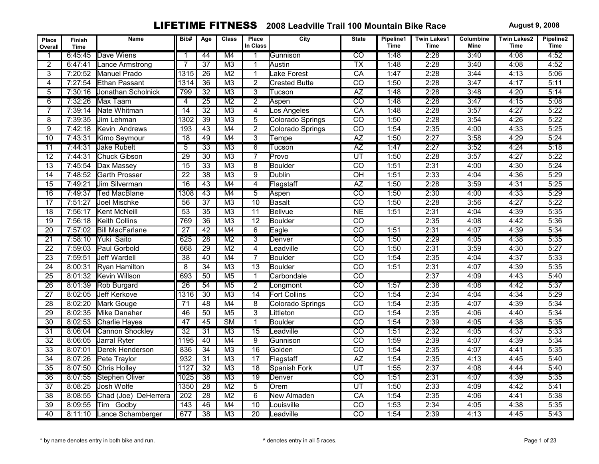| Place<br>Overall | Finish<br><b>Time</b> | Name                   | Bib#            | Age             | <b>Class</b>           | Place<br>In Class | City                 | <b>State</b>                      | Pipeline1<br><b>Time</b> | <b>Twin Lakes1</b><br><b>Time</b> | Columbine<br>Mine | <b>Twin Lakes2</b><br>Time | Pipeline2<br><b>Time</b> |
|------------------|-----------------------|------------------------|-----------------|-----------------|------------------------|-------------------|----------------------|-----------------------------------|--------------------------|-----------------------------------|-------------------|----------------------------|--------------------------|
|                  | 6:45:45               | Dave Wiens             | 1               | 44              | M4                     |                   | Gunnison             | $\overline{co}$                   | 1:48                     | 2:28                              | 3:40              | 4:08                       | 4:52                     |
| $\overline{2}$   | 6:47:41               | Lance Armstrong        |                 | $\overline{37}$ | M <sub>3</sub>         | $\mathbf{1}$      | Austin               | $\overline{\text{TX}}$            | 1:48                     | 2:28                              | 3:40              | 4:08                       | 4:52                     |
| 3                | 7:20:52               | Manuel Prado           | 1315            | 26              | M <sub>2</sub>         | $\mathbf{1}$      | Lake Forest          | $\overline{CA}$                   | 1:47                     | 2:28                              | 3:44              | 4:13                       | 5:06                     |
| $\overline{4}$   | 7:27:54               | Ethan Passant          | 1314            | $\overline{36}$ | M3                     | $\overline{2}$    | <b>Crested Butte</b> | $\overline{co}$                   | 1:50                     | 2:28                              | 3:47              | 4:17                       | 5:11                     |
| 5                | 7:30:16               | Jonathan Scholnick     | 799             | 32              | M3                     | $\overline{3}$    | Tucson               | AZ                                | 1:48                     | 2:28                              | 3:48              | 4:20                       | 5:14                     |
| 6                | 7:32:26               | Max Taam               | $\overline{4}$  | $\overline{25}$ | M <sub>2</sub>         | $\overline{2}$    | Aspen                | $\overline{co}$                   | 1:48                     | 2:28                              | 3:47              | 4:15                       | 5:08                     |
| 7                | 7:39:14               | Nate Whitman           | $\overline{14}$ | $\overline{32}$ | M <sub>3</sub>         | $\overline{4}$    | Los Angeles          | CA                                | 1:48                     | 2:28                              | 3:57              | 4:27                       | 5:22                     |
| 8                | 7:39:35               | Jim Lehman             | 1302            | 39              | M <sub>3</sub>         | 5                 | Colorado Springs     | $\overline{CO}$                   | 1:50                     | 2:28                              | 3:54              | 4:26                       | 5:22                     |
| 9                | 7:42:18               | Kevin Andrews          | 193             | $\overline{43}$ | M4                     | $\overline{2}$    | Colorado Springs     | $\overline{co}$                   | 1:54                     | 2:35                              | 4:00              | 4:33                       | 5:25                     |
| 10               | 7:43:31               | Kimo Seymour           | $\overline{18}$ | 49              | M4                     | $\overline{3}$    | Tempe                | AZ                                | 1:50                     | 2:27                              | 3:58              | 4:29                       | 5:24                     |
| 11               | 7:44:31               | <b>Jake Rubelt</b>     | $\overline{5}$  | $\overline{33}$ | $\overline{M3}$        | $\overline{6}$    | Tucson               | $\overline{AZ}$                   | 1:47                     | 2:27                              | 3:52              | 4:24                       | 5:18                     |
| $\overline{12}$  | 7:44:31               | Chuck Gibson           | $\overline{29}$ | $\overline{30}$ | M3                     | $\overline{7}$    | Provo                | $\overline{\text{UT}}$            | 1:50                     | 2:28                              | 3:57              | 4:27                       | 5:22                     |
| 13               | 7:45:54               | Dax Massey             | $\overline{15}$ | 33              | M <sub>3</sub>         | $\overline{8}$    | <b>Boulder</b>       | $\overline{CO}$                   | 1:51                     | 2:31                              | 4:00              | 4:30                       | 5:24                     |
| $\overline{14}$  | 7:48:52               | <b>Garth Prosser</b>   | $\overline{22}$ | $\overline{38}$ | M3                     | $\overline{9}$    | Dublin               | $\overline{OH}$                   | 1:51                     | 2:33                              | 4:04              | 4:36                       | 5:29                     |
| $\overline{15}$  | 7:49:21               | Jim Silverman          | $\overline{16}$ | 43              | M4                     | $\overline{4}$    | Flagstaff            | $\overline{AZ}$                   | 1:50                     | 2:28                              | 3:59              | 4:31                       | 5:25                     |
| $\overline{16}$  | 7:49:37               | <b>Ted MacBlane</b>    | 1308            | $\overline{43}$ | M4                     | $\overline{5}$    | Aspen                | $\overline{co}$                   | 1:50                     | 2:30                              | 4:00              | 4:33                       | 5:29                     |
| $\overline{17}$  | 7:51:27               | Joel Mischke           | 56              | $\overline{37}$ | M3                     | $\overline{10}$   | Basalt               | $\overline{co}$                   | 1:50                     | 2:28                              | 3:56              | 4:27                       | 5:22                     |
| $\overline{18}$  | 7:56:17               | Kent McNeill           | 53              | $\overline{35}$ | M <sub>3</sub>         | $\overline{11}$   | Bellvue              | NE                                | 1:51                     | 2:31                              | 4:04              | 4:39                       | 5:35                     |
| $\overline{19}$  | 7:56:18               | <b>Keith Collins</b>   | 769             | $\overline{36}$ | M3                     | $\overline{12}$   | Boulder              | $\overline{CO}$                   |                          | 2:35                              | 4:08              | 4:42                       | 5:36                     |
| $\overline{20}$  | 7:57:02               | <b>Bill MacFarlane</b> | $\overline{27}$ | $\overline{42}$ | M4                     | $\overline{6}$    | Eagle                | $\overline{co}$                   | 1:51                     | 2:31                              | 4:07              | 4:39                       | 5:34                     |
| $\overline{21}$  | 7:58:10               | Yuki Saito             | 625             | $\overline{28}$ | M <sub>2</sub>         | $\overline{3}$    | Denver               | $\overline{co}$                   | 1:50                     | 2:29                              | 4:05              | 4:38                       | 5:35                     |
| $\overline{22}$  | 7:59:03               | Paul Gorbold           | 668             | $\overline{29}$ | M <sub>2</sub>         | $\overline{4}$    | Leadville            | $\overline{co}$                   | 1:50                     | 2:31                              | 3:59              | 4:30                       | 5:27                     |
| $\overline{23}$  | 7:59:51               | <b>Jeff Wardell</b>    | $\overline{38}$ | 40              | M4                     | 7                 | <b>Boulder</b>       | $\overline{co}$                   | 1:54                     | 2:35                              | 4:04              | 4:37                       | 5:33                     |
| 24               | 8:00:31               | Ryan Hamilton          | $\overline{8}$  | 34              | M <sub>3</sub>         | $\overline{13}$   | <b>Boulder</b>       | $\overline{co}$                   | 1:51                     | 2:31                              | 4:07              | 4:39                       | 5:35                     |
| $\overline{25}$  | 8:01:32               | Kevin Willson          | 693             | 50              | M <sub>5</sub>         | $\mathbf{1}$      | Carbondale           | $\overline{co}$                   |                          | 2:37                              | 4:09              | 4:43                       | 5:40                     |
| $\overline{26}$  | 8:01:39               | Rob Burgard            | $\overline{26}$ | 54              | M <sub>5</sub>         | $\overline{2}$    | Longmont             | $\overline{CO}$                   | 1:57                     | 2:38                              | 4:08              | 4:42                       | 5:37                     |
| $\overline{27}$  | 8:02:05               | <b>Jeff Kerkove</b>    | 1316            | 30              | M3                     | $\overline{14}$   | <b>Fort Collins</b>  | $\overline{co}$                   | 1:54                     | 2:34                              | 4:04              | 4:34                       | 5:29                     |
| $\overline{28}$  | 8:02:20               | Mark Gouge             | 71              | 48              | M4                     | $\overline{8}$    | Colorado Springs     | $\overline{co}$                   | 1:54                     | 2:35                              | 4:07              | 4:39                       | 5:34                     |
| 29               | 8:02:35               | Mike Danaher           | 46              | 50              | M <sub>5</sub>         | $\overline{3}$    | Littleton            | $\overline{co}$                   | 1:54                     | 2:35                              | 4:06              | 4:40                       | 5:34                     |
| $\overline{30}$  | 8:02:53               | Charlie Hayes          | 47              | $\overline{45}$ | $\overline{\text{SM}}$ | $\mathbf{1}$      | <b>Boulder</b>       | $\overline{co}$                   | 1:54                     | 2:39                              | 4:05              | 4:38                       | 5:35                     |
| $\overline{31}$  | 8:06:04               | <b>Cannon Shockley</b> | $\overline{32}$ | 31              | M <sub>3</sub>         | $\overline{15}$   | Leadville            | $\overline{C}$                    | 1:51                     | 2:32                              | 4:05              | 4:37                       | 5:33                     |
| 32               | 8:06:05               | Jarral Ryter           | 1195            | 40              | M4                     | $\overline{9}$    | Gunnison             | $\overline{co}$                   | 1:59                     | 2:39                              | 4:07              | 4:39                       | 5:34                     |
| $\overline{33}$  | 8:07:01               | Derek Henderson        | 836             | $\overline{34}$ | M3                     | $\overline{16}$   | Golden               | $\overline{co}$                   | 1:54                     | 2:35                              | 4:07              | 4:41                       | 5:35                     |
| $\overline{34}$  | 8:07:26               | Pete Traylor           | 932             | $\overline{31}$ | M3                     | $\overline{17}$   | Flagstaff            | AZ                                | 1:54                     | 2:35                              | 4:13              | 4:45                       | 5:40                     |
| $\overline{35}$  | 8:07:50               | Chris Holley           | 1127            | $\overline{32}$ | M3                     | $\overline{18}$   | Spanish Fork         | $\overline{UT}$                   | 1:55                     | 2:37                              | 4:08              | 4:44                       | 5:40                     |
| $\overline{36}$  | 8:07:55               | Stephen Oliver         | 1025            | $\overline{38}$ | M3                     | $\overline{19}$   | Denver               | $\overline{\overline{\text{co}}}$ | 1:51                     | 2:31                              | 4:07              | 4:39                       | 5:35                     |
| $\overline{37}$  | 8:08:25               | Josh Wolfe             | 1350            | $\overline{28}$ | M <sub>2</sub>         | $\overline{5}$    | Orem                 | $\overline{UT}$                   | 1:50                     | 2:33                              | 4:09              | 4:42                       | 5:41                     |
| $\overline{38}$  | 8:08:55               | Chad (Joe) DeHerrera   | 202             | $\overline{28}$ | M <sub>2</sub>         | $\overline{6}$    | <b>New Almaden</b>   | $\overline{CA}$                   | 1:54                     | 2:35                              | 4:06              | 4:41                       | 5:38                     |
| $\overline{39}$  | 8:09:55               | <b>Tim</b><br>Godby    | 143             | 46              | M4                     | 10                | Louisville           | $\overline{co}$                   | 1:53                     | 2:34                              | 4:05              | 4:38                       | 5:35                     |
| $\overline{40}$  | 8:11:10               | Lance Schamberger      | 677             | $\overline{38}$ | M <sub>3</sub>         | $\overline{20}$   | Leadville            | $\overline{co}$                   | 1:54                     | 2:39                              | 4:13              | 4:45                       | 5:43                     |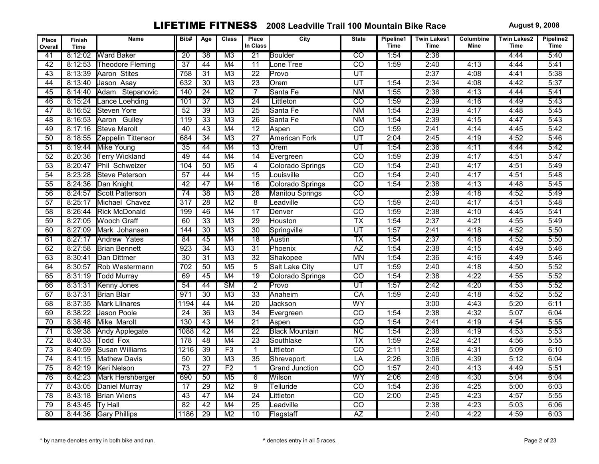| Place<br>Overall | <b>Finish</b><br>Time | Name                   | Bib#             | Age             | <b>Class</b>           | Place<br>In Class | City                   | <b>State</b>           | Pipeline1<br><b>Time</b> | <b>Twin Lakes1</b><br><b>Time</b> | Columbine<br><b>Mine</b> | <b>Twin Lakes2</b><br><b>Time</b> | Pipeline2<br><b>Time</b> |
|------------------|-----------------------|------------------------|------------------|-----------------|------------------------|-------------------|------------------------|------------------------|--------------------------|-----------------------------------|--------------------------|-----------------------------------|--------------------------|
| 41               | 8:12:02               | <b>Ward Baker</b>      | $\overline{20}$  | 38              | M <sub>3</sub>         | $\overline{21}$   | Boulder                | $\overline{co}$        | 1:54                     | 2:38                              |                          | 4:44                              | 5:40                     |
| $\overline{42}$  | 8:12:53               | Theodore Fleming       | $\overline{37}$  | 44              | M4                     | $\overline{11}$   | Lone Tree              | $\overline{co}$        | 1:59                     | 2:40                              | 4:13                     | 4:44                              | 5:41                     |
| 43               | 8:13:39               | Aaron Stites           | 758              | $\overline{31}$ | M3                     | $\overline{22}$   | Provo                  | $\overline{UT}$        |                          | 2:37                              | 4:08                     | 4:41                              | 5:38                     |
| 44               | 8:13:40               | Jason Asay             | 632              | $\overline{30}$ | M3                     | $\overline{23}$   | Orem                   | $\overline{UT}$        | 1:54                     | 2:34                              | 4:08                     | 4:42                              | 5:37                     |
| 45               | 8:14:40               | Adam Stepanovic        | 140              | $\overline{24}$ | M <sub>2</sub>         | $\overline{7}$    | Santa Fe               | <b>NM</b>              | 1:55                     | 2:38                              | 4:13                     | 4:44                              | 5:41                     |
| 46               | 8:15:24               | Lance Loehding         | 101              | $\overline{37}$ | $\overline{M3}$        | $\overline{24}$   | Littleton              | $\overline{co}$        | 1:59                     | 2:39                              | 4:16                     | 4:49                              | 5:43                     |
| $\overline{47}$  | 8:16:52               | Steven Yore            | $\overline{52}$  | 39              | M3                     | $\overline{25}$   | Santa Fe               | <b>NM</b>              | 1:54                     | 2:39                              | 4:17                     | 4:48                              | 5:45                     |
| $\overline{48}$  | 8:16:53               | Aaron Gulley           | 119              | 33              | M <sub>3</sub>         | 26                | Santa Fe               | <b>NM</b>              | 1:54                     | 2:39                              | 4:15                     | 4:47                              | 5:43                     |
| 49               | 8:17:16               | <b>Steve Marolt</b>    | 40               | 43              | M4                     | $\overline{12}$   | Aspen                  | CO                     | 1:59                     | 2:41                              | 4:14                     | 4:45                              | 5:42                     |
| 50               | 8:18:55               | Zeppelin Tittensor     | 684              | 34              | M <sub>3</sub>         | $\overline{27}$   | <b>American Fork</b>   | UT                     | 2:04                     | 2:45                              | 4:19                     | 4:52                              | 5:46                     |
| 51               | 8:19:44               | <b>Mike Young</b>      | $\overline{35}$  | 44              | M4                     | $\overline{13}$   | <b>l</b> Orem          | ण                      | 1:54                     | 2:36                              | 4:11                     | 4:44                              | 5:42                     |
| $\overline{52}$  | 8:20:36               | <b>Terry Wickland</b>  | 49               | 44              | M4                     | $\overline{14}$   | Evergreen              | $\overline{co}$        | 1:59                     | 2:39                              | 4:17                     | 4:51                              | 5:47                     |
| $\overline{53}$  | 8:20:47               | Phil Schweizer         | 104              | 50              | M <sub>5</sub>         | $\overline{4}$    | Colorado Springs       | $\overline{co}$        | 1:54                     | 2:40                              | 4:17                     | 4:51                              | 5:49                     |
| $\overline{54}$  | 8:23:28               | Steve Peterson         | $\overline{57}$  | 44              | M4                     | $\overline{15}$   | Louisville             | $\overline{co}$        | 1:54                     | 2:40                              | 4:17                     | 4:51                              | 5:48                     |
| $\overline{55}$  | 8:24:36               | Dan Knight             | 42               | 47              | M4                     | $\overline{16}$   | Colorado Springs       | $\overline{co}$        | 1:54                     | 2:38                              | 4:13                     | 4:48                              | 5:45                     |
| $\overline{56}$  | 8:24:57               | <b>Scott Patterson</b> | 74               | $\overline{38}$ | M3                     | $\overline{28}$   | <b>Manitou Springs</b> | $\overline{co}$        |                          | 2:39                              | 4:18                     | 4:52                              | 5:49                     |
| $\overline{57}$  | 8:25:17               | Michael Chavez         | $\overline{317}$ | $\overline{28}$ | M <sub>2</sub>         | $\overline{8}$    | Leadville              | $\overline{co}$        | 1:59                     | 2:40                              | 4:17                     | 4:51                              | 5:48                     |
| $\overline{58}$  | 8:26:44               | <b>Rick McDonald</b>   | 199              | 46              | M4                     | $\overline{17}$   | Denver                 | $\overline{co}$        | 1:59                     | 2:38                              | 4:10                     | 4:45                              | 5:41                     |
| 59               | 8:27:05               | <b>Wooch Graff</b>     | 60               | $\overline{33}$ | M <sub>3</sub>         | $\overline{29}$   | Houston                | $\overline{TX}$        | 1:54                     | 2:37                              | 4:21                     | 4:55                              | 5:49                     |
| 60               | 8:27:09               | Mark Johansen          | 144              | $\overline{30}$ | M <sub>3</sub>         | $\overline{30}$   | Springville            | $\overline{UT}$        | 1:57                     | 2:41                              | 4:18                     | 4:52                              | 5:50                     |
| 61               | 8:27:17               | <b>Andrew Yates</b>    | 84               | 45              | M4                     | $\overline{18}$   | Austin                 | $\overline{\text{TX}}$ | 1:54                     | 2:37                              | 4:18                     | 4:52                              | 5:50                     |
| 62               | 8:27:58               | <b>Brian Bennett</b>   | 923              | $\overline{34}$ | M3                     | $\overline{31}$   | Phoenix                | $\overline{AZ}$        | 1:54                     | 2:38                              | 4:15                     | 4:49                              | 5:46                     |
| 63               | 8:30:41               | Dan Dittmer            | $\overline{30}$  | 31              | M <sub>3</sub>         | $\overline{32}$   | Shakopee               | <b>MN</b>              | 1:54                     | 2:36                              | 4:16                     | 4:49                              | 5:46                     |
| 64               | 8:30:57               | Rob Westermann         | 702              | 50              | M <sub>5</sub>         | 5                 | Salt Lake City         | $\overline{UT}$        | 1:59                     | 2:40                              | 4:18                     | 4:50                              | 5:52                     |
| 65               | 8:31:19               | <b>Todd Murray</b>     | 69               | 45              | M4                     | $\overline{19}$   | Colorado Springs       | $\overline{co}$        | 1:54                     | 2:38                              | 4:22                     | 4:55                              | 5:52                     |
| 66               | 8:31:31               | <b>Kenny Jones</b>     | 54               | 44              | $\overline{\text{SM}}$ | $\overline{2}$    | Provo                  | $\overline{UT}$        | 1:57                     | 2:42                              | 4:20                     | 4:53                              | 5:52                     |
| 67               | 8:37:31               | <b>Brian Blair</b>     | 971              | $\overline{30}$ | $\overline{M3}$        | $\overline{33}$   | Anaheim                | $\overline{CA}$        | 1:59                     | 2:40                              | 4:18                     | 4:52                              | 5:52                     |
| 68               | 8:37:35               | Mark Llinares          | 1194             | 44              | M4                     | $\overline{20}$   | Jackson                | WY                     |                          | 3:00                              | 4:43                     | 5:20                              | 6:11                     |
| 69               | 8:38:22               | <b>Jason Poole</b>     | $\overline{24}$  | 36              | M <sub>3</sub>         | 34                | Evergreen              | $\overline{co}$        | 1:54                     | 2:38                              | 4:32                     | 5:07                              | 6:04                     |
| $\overline{70}$  | 8:38:48               | Mike Marolt            | 130              | 43              | M4                     | $\overline{21}$   | Aspen                  | $\overline{co}$        | 1:54                     | 2:41                              | 4:19                     | 4:54                              | 5:55                     |
| $\overline{71}$  | 8:39:38               | <b>Andy Applegate</b>  | 1088             | 42              | M4                     | $\overline{22}$   | <b>Black Mountain</b>  | $\overline{\text{NC}}$ | 1:54                     | 2:38                              | 4:19                     | 4:53                              | 5:53                     |
| $\overline{72}$  | 8:40:33               | <b>Todd Fox</b>        | 178              | 48              | M4                     | $\overline{23}$   | Southlake              | $\overline{TX}$        | 1:59                     | 2:42                              | 4:21                     | 4:56                              | 5:55                     |
| $\overline{73}$  | 8:40:59               | <b>Susan Williams</b>  | 1216             | $\overline{39}$ | F3                     | $\mathbf{1}$      | Littleton              | $\overline{co}$        | 2:11                     | 2:58                              | 4:31                     | 5:09                              | 6:10                     |
| $\overline{74}$  | 8:41:15               | <b>Mathew Davis</b>    | 50               | 30              | M <sub>3</sub>         | $\overline{35}$   | Shreveport             | LA                     | 2:26                     | 3:06                              | 4:39                     | 5:12                              | 6:04                     |
| 75               | 8:42:19               | Keri Nelson            | $\overline{73}$  | $\overline{27}$ | F <sub>2</sub>         | $\mathbf{1}$      | <b>Grand Junction</b>  | $\overline{CO}$        | 1:57                     | 2:40                              | 4:13                     | 4:49                              | 5:51                     |
| 76               | 8:42:23               | Mark Hershberger       | 690              | $\overline{50}$ | M <sub>5</sub>         | $\overline{6}$    | Wilson                 | $\overline{WY}$        | 2:06                     | 2:48                              | 4:30                     | 5:04                              | 6:04                     |
| 77               | 8:43:05               | Daniel Murray          | 17               | $\overline{29}$ | M <sub>2</sub>         | $\overline{9}$    | Telluride              | $\overline{co}$        | 1:54                     | 2:36                              | 4:25                     | 5:00                              | 6:03                     |
| 78               | 8:43:18               | <b>Brian Wiens</b>     | 43               | 47              | M4                     | $\overline{24}$   | Littleton              | $\overline{CO}$        | 2:00                     | 2:45                              | 4:23                     | 4:57                              | 5:55                     |
| 79               | 8:43:45               | <b>Ty Hall</b>         | 82               | 42              | M4                     | $\overline{25}$   | Leadville              | $\overline{co}$        |                          | 2:38                              | 4:23                     | 5:03                              | 6:06                     |
| 80               |                       | 8:44:36 Gary Phillips  | 1186             | $\overline{29}$ | M <sub>2</sub>         | $\overline{10}$   | Flagstaff              | $\overline{AZ}$        |                          | 2:40                              | 4:22                     | 4:59                              | 6:03                     |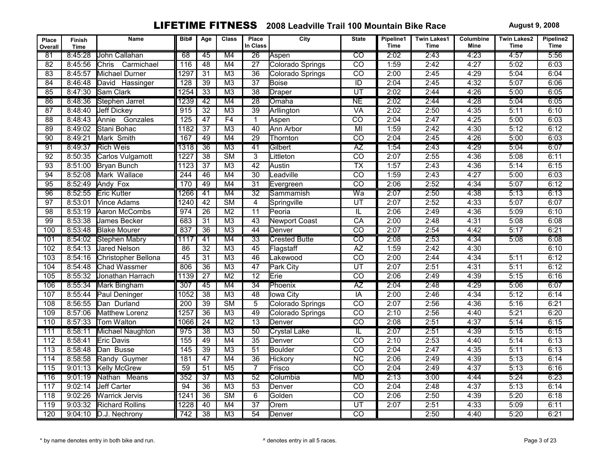| Place<br>Overall | <b>Finish</b><br><b>Time</b> | Name                       | Bib#             | Age             | <b>Class</b>           | Place<br>In Class | City                 | <b>State</b>            | Pipeline1<br><b>Time</b> | <b>Twin Lakes1</b><br><b>Time</b> | Columbine<br>Mine | <b>Twin Lakes2</b><br><b>Time</b> | Pipeline2<br><b>Time</b> |
|------------------|------------------------------|----------------------------|------------------|-----------------|------------------------|-------------------|----------------------|-------------------------|--------------------------|-----------------------------------|-------------------|-----------------------------------|--------------------------|
| 81               | 8:45:28                      | John Callahan              | 68               | 45              | M4                     | $\overline{26}$   | Aspen                | $\overline{\text{co}}$  | 2:02                     | 2:43                              | 4:23              | 4:57                              | 5:56                     |
| 82               | 8:45:56                      | <b>Chris</b><br>Carmichael | 116              | $\overline{48}$ | M4                     | $\overline{27}$   | Colorado Springs     | $\overline{co}$         | 1:59                     | 2:42                              | 4:27              | 5:02                              | 6:03                     |
| 83               | 8:45:57                      | Michael Durner             | 1297             | $\overline{31}$ | $\overline{M3}$        | $\overline{36}$   | Colorado Springs     | $\overline{co}$         | 2:00                     | 2:45                              | 4:29              | 5:04                              | 6:04                     |
| $\overline{84}$  | 8:46:48                      | David Hassinger            | $\overline{128}$ | $\overline{39}$ | M <sub>3</sub>         | $\overline{37}$   | <b>Boise</b>         | $\overline{ID}$         | 2:04                     | 2:45                              | 4:32              | 5:07                              | 6:06                     |
| 85               | 8:47:30                      | Sam Clark                  | 1254             | 33              | M <sub>3</sub>         | $\overline{38}$   | Draper               | UT                      | 2:02                     | 2:44                              | 4:26              | 5:00                              | 6:05                     |
| 86               | 8:48:36                      | Stephen Jarret             | 1239             | 42              | M4                     | $\overline{28}$   | Omaha                | NE                      | 2:02                     | 2:44                              | 4:28              | 5:04                              | 6:05                     |
| 87               | 8:48:40                      | <b>Jeff Dickey</b>         | $\overline{915}$ | $\overline{32}$ | M <sub>3</sub>         | $\overline{39}$   | Arllington           | <b>VA</b>               | 2:02                     | 2:50                              | 4:35              | 5:11                              | 6:10                     |
| 88               | 8:48:43                      | Annie<br>Gonzales          | 125              | $\overline{47}$ | F4                     | $\mathbf{1}$      | Aspen                | $\overline{co}$         | 2:04                     | 2:47                              | 4:25              | 5:00                              | 6:03                     |
| $\overline{89}$  | 8:49:02                      | Stani Bohac                | $\frac{1}{1182}$ | $\overline{37}$ | M <sub>3</sub>         | $\overline{40}$   | Ann Arbor            | $\overline{M}$          | 1:59                     | 2:42                              | 4:30              | 5:12                              | 6:12                     |
| 90               | 8:49:21                      | Mark Smith                 | 167              | 49              | M4                     | $\overline{29}$   | Thornton             | $\overline{CO}$         | 2:04                     | 2:45                              | 4:26              | 5:00                              | 6:03                     |
| 91               | 8:49:37                      | <b>Rich Weis</b>           | 1318             | $\overline{36}$ | M <sub>3</sub>         | $\overline{41}$   | Gilbert              | $\overline{AZ}$         | 1:54                     | 2:43                              | 4:29              | 5:04                              | 6:07                     |
| 92               | 8:50:35                      | Carlos Vulgamott           | 1227             | $\overline{38}$ | $\overline{\text{SM}}$ | $\overline{3}$    | Littleton            | $\overline{co}$         | 2:07                     | 2:55                              | 4:36              | 5:08                              | 6:11                     |
| 93               | 8:51:00                      | Bryan Bunch                | 1123             | $\overline{37}$ | $\overline{M3}$        | 42                | Austin               | TX                      | 1:57                     | 2:43                              | 4:36              | 5:14                              | 6:15                     |
| 94               | 8:52:08                      | Mark Wallace               | 244              | $\overline{46}$ | $\overline{M4}$        | $\overline{30}$   | Leadville            | $\overline{co}$         | 1:59                     | 2:43                              | 4:27              | 5:00                              | 6:03                     |
| $\overline{95}$  | 8:52:49                      | Andy Fox                   | 170              | 49              | M4                     | $\overline{31}$   | Evergreen            | $\overline{co}$         | 2:06                     | 2:52                              | 4:34              | 5:07                              | 6:12                     |
| 96               | 8:52:55                      | <b>Eric Kutter</b>         | 1266             | 41              | M4                     | $\overline{32}$   | Sammamish            | Wa                      | 2:07                     | 2:50                              | 4:38              | 5:13                              | 6:13                     |
| 97               | 8:53:01                      | Vince Adams                | 1240             | 42              | $\overline{\text{SM}}$ | $\overline{4}$    | Springville          | $\overline{UT}$         | 2:07                     | 2:52                              | 4:33              | 5:07                              | 6:07                     |
| 98               | 8:53:19                      | Aaron McCombs              | 974              | $\overline{26}$ | M <sub>2</sub>         | $\overline{11}$   | Peoria               | $\overline{\mathbb{L}}$ | 2:06                     | 2:49                              | 4:36              | 5:09                              | 6:10                     |
| 99               | 8:53:38                      | <b>James Becker</b>        | 683              | $\overline{31}$ | M <sub>3</sub>         | $\overline{43}$   | <b>Newport Coast</b> | $\overline{CA}$         | 2:00                     | 2:48                              | 4:31              | 5:08                              | 6:08                     |
| 100              | 8:53:48                      | <b>Blake Mourer</b>        | 837              | $\overline{36}$ | M <sub>3</sub>         | 44                | Denver               | $\overline{co}$         | 2:07                     | 2:54                              | 4:42              | 5:17                              | 6:21                     |
| 101              | 8:54:02                      | Stephen Mabry              | 1117             | 41              | M4                     | 33                | <b>Crested Butte</b> | $\overline{CO}$         | 2:08                     | 2:53                              | 4:34              | 5:08                              | 6:08                     |
| 102              | 8:54:13                      | <b>Jared Nelson</b>        | 86               | $\overline{32}$ | M3                     | $\overline{45}$   | Flagstaff            | $\overline{AZ}$         | 1:59                     | 2:42                              | 4:30              |                                   | 6:10                     |
| 103              | 8:54:16                      | Christopher Bellona        | 45               | $\overline{31}$ | M3                     | 46                | Lakewood             | $\overline{CO}$         | 2:00                     | 2:44                              | 4:34              | 5:11                              | 6:12                     |
| 104              | 8:54:48                      | Chad Wassmer               | 806              | $\overline{36}$ | M <sub>3</sub>         | $\overline{47}$   | Park City            | $\overline{UT}$         | 2:07                     | 2:51                              | 4:31              | 5:11                              | 6:12                     |
| 105              | 8:55:32                      | Jonathan Harrach           | 1139             | $\overline{27}$ | M <sub>2</sub>         | $\overline{12}$   | Erie                 | $\overline{co}$         | 2:06                     | 2:49                              | 4:39              | 5:15                              | 6:16                     |
| 106              | 8:55:34                      | <b>Mark Bingham</b>        | 307              | 45              | M4                     | $\overline{34}$   | Phoenix              | AZ                      | 2:04                     | 2:48                              | 4:29              | 5:06                              | 6:07                     |
| 107              | 8:55:44                      | Paul Deninger              | 1052             | $\overline{38}$ | M <sub>3</sub>         | 48                | <b>Iowa City</b>     | $\overline{IA}$         | 2:00                     | 2:46                              | 4:34              | 5:12                              | 6:14                     |
| 108              | 8:56:55                      | Dan Durland                | $\overline{200}$ | 39              | $\overline{\text{SM}}$ | $\overline{5}$    | Colorado Springs     | $\overline{co}$         | 2:07                     | 2:56                              | 4:36              | 5:16                              | 6:21                     |
| 109              | 8:57:06                      | Matthew Lorenz             | 1257             | 36              | M <sub>3</sub>         | 49                | Colorado Springs     | $\overline{co}$         | 2:10                     | 2:56                              | 4:40              | 5:21                              | 6:20                     |
| 110              | 8:57:33                      | Tom Walton                 | 1066             | $\overline{24}$ | M <sub>2</sub>         | $\overline{13}$   | Denver               | $\overline{co}$         | 2:08                     | 2:51                              | 4:37              | 5:14                              | 6:15                     |
| 111              | 8:58:11                      | Michael Naughton           | 975              | $\overline{38}$ | M3                     | $\overline{50}$   | <b>Crystal Lake</b>  | IL                      | 2:07                     | 2:51                              | 4:39              | 5:15                              | 6:15                     |
| 112              | 8:58:41                      | <b>Eric Davis</b>          | 155              | 49              | M4                     | $\overline{35}$   | Denver               | $\overline{CO}$         | 2:10                     | 2:53                              | 4:40              | 5:14                              | 6:13                     |
| $\overline{113}$ | 8:58:48                      | Dan Busse                  | 145              | $\overline{39}$ | M3                     | $\overline{51}$   | <b>Boulder</b>       | $\overline{co}$         | 2:04                     | 2:47                              | 4:35              | 5:11                              | 6:13                     |
| 114              | 8:58:58                      | Randy Guymer               | 181              | $\overline{47}$ | M4                     | $\overline{36}$   | <b>Hickory</b>       | $\overline{NC}$         | 2:06                     | 2:49                              | 4:39              | 5:13                              | 6:14                     |
| $\overline{115}$ | 9:01:13                      | <b>Kelly McGrew</b>        | $\overline{59}$  | $\overline{51}$ | $\overline{M5}$        | $\overline{7}$    | Frisco               | $\overline{co}$         | 2:04                     | 2:49                              | 4:37              | 5:13                              | 6:16                     |
| 116              | 9:01:19                      | Nathan Means               | 352              | $\overline{37}$ | $\overline{M3}$        | $\overline{52}$   | Columbia             | <b>MD</b>               | 2:13                     | 3:00                              | 4:44              | 5:24                              | 6:23                     |
| 117              | 9:02:14                      | <b>Jeff Carter</b>         | 94               | $\overline{36}$ | M3                     | $\overline{53}$   | Denver               | $\overline{CO}$         | 2:04                     | 2:48                              | 4:37              | 5:13                              | 6:14                     |
| 118              | 9:02:26                      | <b>Warrick Jervis</b>      | 1241             | $\overline{36}$ | $\overline{\text{SM}}$ | $\overline{6}$    | Golden               | $\overline{co}$         | 2:06                     | 2:50                              | 4:39              | 5:20                              | 6:18                     |
| 119              | 9:03:32                      | Richard Rollins            | 1228             | 40              | M4                     | $\overline{37}$   | Orem                 | $\overline{UT}$         | 2:07                     | 2:51                              | 4:33              | 5:09                              | 6:11                     |
| 120              | 9:04:10                      | D.J. Nechrony              | 742              | $\overline{38}$ | M <sub>3</sub>         | $\overline{54}$   | Denver               | $\overline{CO}$         |                          | 2:50                              | 4:40              | 5:20                              | 6:21                     |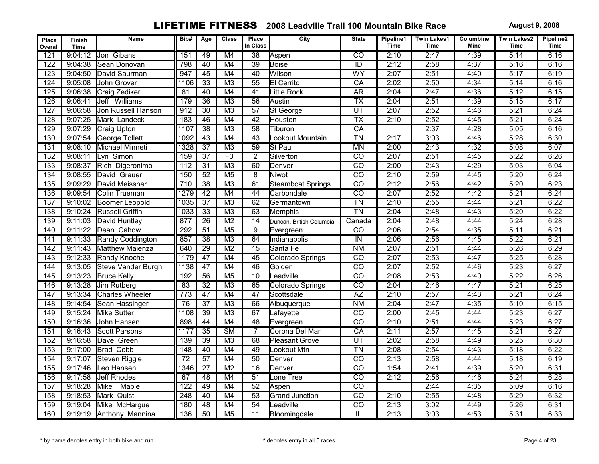| Place<br>Overall | Finish<br><b>Time</b> | Name                   | Bib#             | Age             | <b>Class</b>           | Place<br>In Class | City                     | <b>State</b>                         | Pipeline1<br><b>Time</b> | <b>Twin Lakes1</b><br>Time | Columbine<br>Mine | <b>Twin Lakes2</b><br>Time | Pipeline2<br><b>Time</b> |
|------------------|-----------------------|------------------------|------------------|-----------------|------------------------|-------------------|--------------------------|--------------------------------------|--------------------------|----------------------------|-------------------|----------------------------|--------------------------|
| 121              | 9:04:12               | Jon Gibans             | 151              | 49              | M4                     | $\overline{38}$   | Aspen                    | $\overline{co}$                      | 2:10                     | 2:47                       | 4:39              | 5:14                       | 6:16                     |
| 122              | 9:04:38               | lSean Donovan          | 798              | 40              | M4                     | $\overline{39}$   | Boise                    | $\overline{ID}$                      | 2:12                     | 2:58                       | 4:37              | 5:16                       | 6:16                     |
| $\overline{123}$ | 9:04:50               | David Saurman          | $\overline{947}$ | 45              | M4                     | 40                | Wilson                   | WY                                   | 2:07                     | 2:51                       | 4:40              | 5:17                       | 6:19                     |
| 124              | 9:05:08               | John Grover            | 1106             | $\overline{33}$ | M <sub>3</sub>         | $\overline{55}$   | El Cerrito               | CA                                   | 2:02                     | 2:50                       | 4:34              | 5:14                       | 6:16                     |
| 125              | 9:06:38               | Craig Zediker          | 81               | 40              | M4                     | 41                | Little Rock              | <b>AR</b>                            | 2:04                     | 2:47                       | 4:36              | 5:12                       | 6:15                     |
| 126              | 9:06:41               | Jeff Williams          | 179              | $\overline{36}$ | M3                     | 56                | Austin                   | ТX                                   | 2:04                     | 2:51                       | 4:39              | 5:15                       | 6:17                     |
| 127              | 9:06:58               | Jon Russell Hanson     | $\overline{912}$ | $\overline{30}$ | M <sub>3</sub>         | $\overline{57}$   | St George                | $\overline{UT}$                      | 2:07                     | 2:52                       | 4:46              | 5:21                       | 6:24                     |
| 128              | 9:07:25               | Mark Landeck           | 183              | 46              | M4                     | 42                | Houston                  | $\overline{TX}$                      | 2:10                     | 2:52                       | 4:45              | 5:21                       | 6:24                     |
| 129              | 9:07:29               | Craig Upton            | 1107             | $\overline{38}$ | M <sub>3</sub>         | $\overline{58}$   | Tiburon                  | CA                                   |                          | 2:37                       | 4:28              | 5:05                       | 6:16                     |
| 130              | 9:07:54               | George Tollett         | 1092             | 43              | M4                     | 43                | Lookout Mountain         | $\overline{T}N$                      | 2:17                     | 3:03                       | 4:46              | 5:28                       | 6:30                     |
| 131              | 9:08:10               | Michael Minneti        | 1328             | $\overline{37}$ | $\overline{M3}$        | $\overline{59}$   | <b>St Paul</b>           | <b>MN</b>                            | 2:00                     | 2:43                       | 4:32              | 5:08                       | 6:07                     |
| $\overline{132}$ | 9:08:11               | Lyn Simon              | 159              | $\overline{37}$ | F3                     | $\overline{2}$    | Silverton                | $\overline{CO}$                      | 2:07                     | 2:51                       | 4:45              | 5:22                       | 6:26                     |
| 133              | 9:08:37               | Rich Digeronimo        | 112              | $\overline{31}$ | $\overline{M3}$        | 60                | Denver                   | $\overline{CO}$                      | 2:00                     | 2:43                       | 4:29              | 5:03                       | 6:04                     |
| $\overline{134}$ | 9:08:55               | David Grauer           | 150              | 52              | M <sub>5</sub>         | $\overline{8}$    | Niwot                    | $\overline{CO}$                      | 2:10                     | 2:59                       | 4:45              | 5:20                       | 6:24                     |
| 135              | 9:09:29               | David Meissner         | 710              | $\overline{38}$ | M3                     | 61                | <b>Steamboat Springs</b> | $\overline{co}$                      | 2:12                     | 2:56                       | 4:42              | 5:20                       | 6:23                     |
| 136              | 9:09:54               | Colin Trueman          | 1279             | 42              | M4                     | 44                | Carbondale               | $\overline{co}$                      | 2:07                     | 2:52                       | 4:42              | 5:21                       | 6:24                     |
| 137              | 9:10:02               | Boomer Leopold         | 1035             | $\overline{37}$ | M <sub>3</sub>         | 62                | Germantown               | $\overline{T}N$                      | 2:10                     | 2:55                       | 4:44              | 5:21                       | 6:22                     |
| 138              | 9:10:24               | Russell Griffin        | 1033             | $\overline{33}$ | M <sub>3</sub>         | 63                | Memphis                  | $\overline{T}N$                      | 2:04                     | 2:48                       | 4:43              | 5:20                       | 6:22                     |
| 139              | 9:11:03               | David Huntley          | 877              | $\overline{26}$ | M <sub>2</sub>         | $\overline{14}$   | Duncan, British Columbia | Canada                               | 2:04                     | 2:48                       | 4:44              | 5:24                       | 6:28                     |
| 140              | 9:11:22               | Dean Cahow             | 292              | $\overline{51}$ | M <sub>5</sub>         | $\overline{9}$    | Evergreen                | $\overline{CO}$                      | 2:06                     | 2:54                       | 4:35              | 5:11                       | 6:21                     |
| 141              | 9:11:33               | Randy Coddington       | 857              | $\overline{38}$ | M3                     | 64                | Indianapolis             | $\overline{\mathsf{I}^{\mathsf{N}}}$ | 2:06                     | 2:56                       | 4:45              | 5:22                       | 6:21                     |
| 142              | 9:11:43               | Matthew Maienza        | 640              | $\overline{29}$ | M <sub>2</sub>         | 15                | Santa Fe                 | $N$ M                                | 2:07                     | 2:51                       | 4:44              | 5:26                       | 6:29                     |
| 143              | 9:12:33               | Randy Knoche           | 1179             | 47              | M4                     | 45                | Colorado Springs         | $\overline{co}$                      | 2:07                     | 2:53                       | 4:47              | 5:25                       | 6:28                     |
| 144              | 9:13:05               | Steve Vander Burgh     | 1138             | 47              | M4                     | 46                | Golden                   | $\overline{co}$                      | 2:07                     | 2:52                       | 4:46              | 5:23                       | 6:27                     |
| 145              | 9:13:23               | <b>Bruce Kelly</b>     | 192              | $\overline{56}$ | M <sub>5</sub>         | $\overline{10}$   | Leadville                | $\overline{co}$                      | 2:08                     | 2:53                       | 4:40              | 5:22                       | 6:26                     |
| 146              | 9:13:28               | <b>Jim Rutberg</b>     | 83               | $\overline{32}$ | M3                     | 65                | Colorado Springs         | $\overline{co}$                      | 2:04                     | 2:46                       | 4:47              | 5:21                       | 6:25                     |
| 147              | 9:13:34               | <b>Charles Wheeler</b> | $\overline{773}$ | $\overline{47}$ | M4                     | $\overline{47}$   | Scottsdale               | $\overline{AZ}$                      | 2:10                     | 2:57                       | 4:43              | 5:21                       | 6:24                     |
| $\overline{148}$ | 9:14:54               | Sean Hassinger         | 76               | $\overline{37}$ | M <sub>3</sub>         | 66                | Albuquerque              | N <sub>M</sub>                       | 2:04                     | 2:47                       | 4:35              | 5:10                       | 6:15                     |
| 149              | 9:15:24               | Mike Sutter            | 1108             | 39              | M <sub>3</sub>         | 67                | Lafayette                | $\overline{CO}$                      | 2:00                     | 2:45                       | 4:44              | 5:23                       | 6:27                     |
| 150              | 9:16:36               | John Hansen            | 898              | 44              | M4                     | 48                | Evergreen                | $\overline{CO}$                      | 2:10                     | 2:51                       | 4:44              | 5:23                       | 6:27                     |
| 151              | 9:16:43               | <b>Scott Parsons</b>   | 1177             | $\overline{35}$ | $\overline{\text{SM}}$ | 7                 | Corona Del Mar           | CA                                   | 2:11                     | 2:57                       | 4:45              | 5:21                       | 6:27                     |
| 152              | 9:16:58               | Dave Green             | 139              | $\overline{39}$ | M3                     | 68                | <b>Pleasant Grove</b>    | UT                                   | 2:02                     | 2:58                       | 4:49              | 5:25                       | 6:30                     |
| 153              | 9:17:00               | <b>Brad Cobb</b>       | $\overline{148}$ | $\overline{40}$ | M4                     | 49                | Lookout Mtn              | $\overline{T}N$                      | 2:08                     | 2:54                       | 4:43              | 5:18                       | 6:22                     |
| 154              | 9:17:07               | Steven Riggle          | 72               | $\overline{57}$ | M4                     | 50                | Denver                   | $\overline{CO}$                      | 2:13                     | 2:58                       | 4:44              | 5:18                       | 6:19                     |
| 155              | 9:17:46               | Leo Hansen             | 1346             | $\overline{27}$ | M <sub>2</sub>         | $\overline{16}$   | Denver                   | $\overline{co}$                      | 1:54                     | 2:41                       | 4:39              | 5:20                       | 6:31                     |
| 156              | 9:17:58               | <b>Jeff Rhodes</b>     | 67               | 48              | M4                     | $\overline{51}$   | Lone Tree                | $\overline{\text{co}}$               | 2:12                     | 2:56                       | 4:46              | 5:24                       | 6:28                     |
| 157              | 9:18:28               | Mike<br>Maple          | 122              | 49              | M <sub>4</sub>         | $\overline{52}$   | Aspen                    | $\overline{co}$                      |                          | 2:44                       | 4:35              | 5:09                       | 6:16                     |
| 158              | 9:18:53               | Mark Quist             | 248              | 40              | M4                     | $\overline{53}$   | <b>Grand Junction</b>    | $\overline{co}$                      | 2:10                     | 2:55                       | 4:48              | 5:29                       | 6:32                     |
| 159              | 9:19:04               | Mike McHargue          | 180              | 48              | M4                     | 54                | Leadville                | $\overline{CO}$                      | 2:13                     | 3:02                       | 4:49              | 5:26                       | 6:31                     |
| 160              | 9:19:19               | Anthony Mannina        | 136              | $\overline{50}$ | M <sub>5</sub>         | $\overline{11}$   | Bloomingdale             | $\overline{\mathsf{IL}}$             | 2:13                     | 3:03                       | 4:53              | 5:31                       | 6:33                     |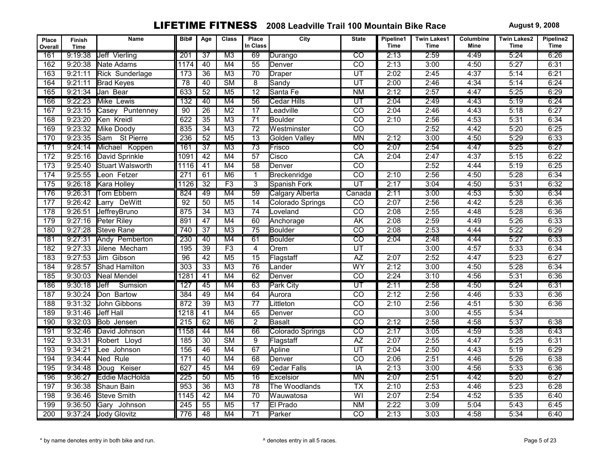| Place<br>Overall | <b>Finish</b><br><b>Time</b> | Name                 | Bib#            | Age             | <b>Class</b>           | Place<br>In Class | City               | <b>State</b>             | Pipeline1<br>Time | <b>Twin Lakes1</b><br>Time | Columbine<br><b>Mine</b> | <b>Twin Lakes2</b><br>Time | Pipeline2<br><b>Time</b> |
|------------------|------------------------------|----------------------|-----------------|-----------------|------------------------|-------------------|--------------------|--------------------------|-------------------|----------------------------|--------------------------|----------------------------|--------------------------|
| 161              | 9:19:38                      | <b>Jeff Vierling</b> | 201             | $\overline{37}$ | M <sub>3</sub>         | 69                | Durango            | $\overline{co}$          | 2:13              | 2:59                       | 4:49                     | 5:24                       | 6:26                     |
| 162              | 9:20:38                      | Nate Adams           | 1174            | 40              | M4                     | 55                | <b>I</b> Denver    | $\overline{co}$          | 2:13              | 3:00                       | 4:50                     | 5:27                       | 6:31                     |
| 163              | 9:21:11                      | Rick Sunderlage      | 173             | $\overline{36}$ | M <sub>3</sub>         | $\overline{70}$   | Draper             | $\overline{UT}$          | 2:02              | 2:45                       | 4:37                     | 5:14                       | 6:21                     |
| 164              | 9:21:11                      | <b>Brad Keyes</b>    | $\overline{78}$ | 40              | $\overline{\text{SM}}$ | 8                 | Sandy              | $\overline{UT}$          | 2:00              | 2:46                       | 4:34                     | 5:14                       | 6:24                     |
| 165              | 9:21:34                      | Jan Bear             | 633             | 52              | M <sub>5</sub>         | $\overline{12}$   | Santa Fe           | <b>NM</b>                | 2:12              | 2:57                       | 4:47                     | 5:25                       | 6:29                     |
| 166              | 9:22:23                      | Mike Lewis           | 132             | 40              | M4                     | 56                | <b>Cedar Hills</b> | $\overline{\mathtt{UT}}$ | 2:04              | 2:49                       | 4:43                     | 5:19                       | 6:24                     |
| 167              | 9:23:15                      | Puntenney<br>Casey   | 90              | $\overline{26}$ | M <sub>2</sub>         | $\overline{17}$   | Leadville          | $\overline{co}$          | 2:04              | 2:46                       | 4:43                     | 5:18                       | 6:27                     |
| 168              | 9:23:20                      | Ken Kreidl           | 622             | 35              | M <sub>3</sub>         | $\overline{71}$   | Boulder            | $\overline{co}$          | 2:10              | 2:56                       | 4:53                     | 5:31                       | 6:34                     |
| 169              | 9:23:32                      | Mike Doody           | 835             | $\overline{34}$ | M <sub>3</sub>         | 72                | Westminster        | CO                       |                   | 2:52                       | 4:42                     | 5:20                       | 6:25                     |
| 170              | 9:23:35                      | St Pierre<br>Sam     | 236             | 52              | M <sub>5</sub>         | $\overline{13}$   | Golden Valley      | <b>MN</b>                | 2:12              | 3:00                       | 4:50                     | 5:29                       | 6:33                     |
| 171              | 9:24:14                      | Michael Koppen       | 161             | $\overline{37}$ | $\overline{M3}$        | $\overline{73}$   | Frisco             | $\overline{\mathrm{co}}$ | 2:07              | 2:54                       | 4:47                     | 5:25                       | 6:27                     |
| 172              | 9:25:16                      | David Sprinkle       | 1091            | 42              | M4                     | $\overline{57}$   | Cisco              | $\overline{CA}$          | 2:04              | 2:47                       | 4:37                     | 5:15                       | 6:22                     |
| 173              | 9:25:40                      | Stuart Walsworth     | 1116            | 41              | M <sub>4</sub>         | $\overline{58}$   | <b>I</b> Denver    | $\overline{CO}$          |                   | 2:52                       | 4:44                     | 5:19                       | 6:25                     |
| 174              | 9:25:55                      | Leon Fetzer          | 271             | 61              | M6                     | $\mathbf{1}$      | Breckenridge       | $\overline{co}$          | 2:10              | 2:56                       | 4:50                     | 5:28                       | 6:34                     |
| 175              | 9:26:18                      | Kara Holley          | 1126            | $\overline{32}$ | F3                     | $\overline{3}$    | Spanish Fork       | $\overline{\mathsf{UT}}$ | 2:17              | 3:04                       | 4:50                     | 5:31                       | 6:32                     |
| 176              | 9:26:31                      | <b>Tom Ebbern</b>    | 824             | 49              | M4                     | 59                | Calgary Alberta    | Canada                   | 2:11              | 3:00                       | 4:53                     | 5:30                       | 6:34                     |
| 177              | 9:26:42                      | Larry DeWitt         | $\overline{92}$ | 50              | M <sub>5</sub>         | 14                | Colorado Springs   | $\overline{CO}$          | 2:07              | 2:56                       | 4:42                     | 5:28                       | 6:36                     |
| 178              | 9:26:51                      | JeffreyBruno         | 875             | $\overline{34}$ | M <sub>3</sub>         | $\overline{74}$   | Loveland           | $\overline{CO}$          | 2:08              | 2:55                       | 4:48                     | 5:28                       | 6:36                     |
| 179              | 9:27:16                      | Peter Rilev          | 891             | $\overline{47}$ | M4                     | 60                | Anchorage          | AK                       | 2:08              | 2:59                       | 4:49                     | 5:26                       | 6:33                     |
| 180              | 9:27:28                      | <b>Steve Rane</b>    | 740             | $\overline{37}$ | M <sub>3</sub>         | $\overline{75}$   | Boulder            | $\overline{co}$          | 2:08              | 2:53                       | 4:44                     | 5:22                       | 6:29                     |
| 181              | 9:27:31                      | Andy Pemberton       | 230             | 40              | M4                     | 61                | Boulder            | $\overline{CO}$          | 2:04              | 2:48                       | 4:44                     | 5:27                       | 6:33                     |
| 182              | 9:27:33                      | Jilene Mecham        | 195             | $\overline{39}$ | F3                     | $\overline{4}$    | Orem               | UT                       |                   | 3:00                       | 4:57                     | 5:33                       | 6:34                     |
| 183              | 9:27:53                      | Jim Gibson           | $\overline{96}$ | 42              | M <sub>5</sub>         | $\overline{15}$   | Flagstaff          | $\overline{AZ}$          | 2:07              | 2:52                       | 4:47                     | 5:23                       | 6:27                     |
| 184              | 9:28:57                      | Shad Hamilton        | 303             | $\overline{33}$ | M <sub>3</sub>         | 76                | Lander             | WY                       | 2:12              | 3:00                       | 4:50                     | 5:28                       | 6:34                     |
| 185              | 9:30:03                      | Neal Mendel          | 1281            | $\overline{41}$ | M4                     | 62                | Denver             | $\overline{co}$          | 2:24              | 3:10                       | 4:56                     | 5:31                       | 6:36                     |
| 186              | 9:30:18                      | Jeff<br>Sumsion      | 127             | 45              | M4                     | 63                | <b>Park City</b>   | UT                       | 2:11              | 2:58                       | 4:50                     | 5:24                       | 6:31                     |
| 187              | 9:30:24                      | Don Bartow           | 384             | 49              | M4                     | 64                | Aurora             | $\overline{CO}$          | 2:12              | 2:56                       | 4:46                     | 5:33                       | 6:36                     |
| 188              | 9:31:32                      | John Gibbons         | 872             | $\overline{39}$ | M <sub>3</sub>         | $\overline{77}$   | Littleton          | $\overline{co}$          | 2:10              | 2:56                       | 4:51                     | 5:30                       | 6:36                     |
| 189              | 9:31:46                      | Jeff Hall            | 1218            | $\overline{41}$ | M4                     | 65                | Denver             | $\overline{CO}$          |                   | 3:00                       | 4:55                     | 5:34                       |                          |
| 190              | 9:32:03                      | Bob Jensen           | 215             | 62              | M6                     | $\overline{2}$    | Basalt             | $\overline{CO}$          | 2:12              | 2:58                       | 4:58                     | 5:37                       | 6:38                     |
| 191              | 9:32:46                      | David Johnson        | 1158            | 44              | M4                     | 66                | Colorado Springs   | $\overline{CO}$          | 2:17              | 3:05                       | 4:59                     | 5:38                       | 6:43                     |
| 192              | 9:33:31                      | Robert Lloyd         | 185             | 30              | $\overline{\text{SM}}$ | $\overline{9}$    | Flagstaff          | $\overline{AZ}$          | 2:07              | 2:55                       | 4:47                     | 5:25                       | 6:31                     |
| 193              | 9:34:21                      | ee Johnson           | 156             | 46              | M4                     | 67                | Apline             | $\overline{UT}$          | 2:04              | 2:50                       | 4:43                     | 5:19                       | 6:29                     |
| 194              | 9:34:44                      | Ned Rule             | 171             | 40              | M4                     | 68                | <b>I</b> Denver    | $\overline{CO}$          | 2:06              | 2:51                       | 4:46                     | 5:26                       | 6:38                     |
| 195              | 9:34:48                      | Keiser<br>lDoua      | 627             | $\overline{45}$ | M4                     | 69                | Cedar Falls        | IA                       | 2:13              | 3:00                       | 4:56                     | 5:33                       | 6:36                     |
| 196              | 9:36:27                      | Eddie MacHolda       | 225             | 50              | $\overline{M5}$        | $\overline{16}$   | Excelsior          | <b>MN</b>                | 2:07              | 2:51                       | 4:42                     | 5:20                       | 6:27                     |
| 197              | 9:36:38                      | Shaun Bain           | 953             | $\overline{36}$ | M <sub>3</sub>         | $\overline{78}$   | The Woodlands      | <b>TX</b>                | 2:10              | 2:53                       | 4:46                     | 5:23                       | 6:28                     |
| 198              | 9:36:46                      | <b>Steve Smith</b>   | 1145            | 42              | M4                     | 70                | Wauwatosa          | $\overline{W}$           | 2:07              | 2:54                       | 4:52                     | 5:35                       | 6:40                     |
| 199              | 9:36:50                      | Gary<br>Johnson      | 245             | 55              | M <sub>5</sub>         | $\overline{17}$   | El Prado           | <b>NM</b>                | 2:22              | 3:09                       | 5:04                     | 5:43                       | 6:45                     |
| 200              | 9:37:24                      | Jody Glovitz         | 776             | 48              | M <sub>4</sub>         | $\overline{71}$   | Parker             | $\overline{co}$          | 2:13              | 3:03                       | 4:58                     | 5:34                       | 6:40                     |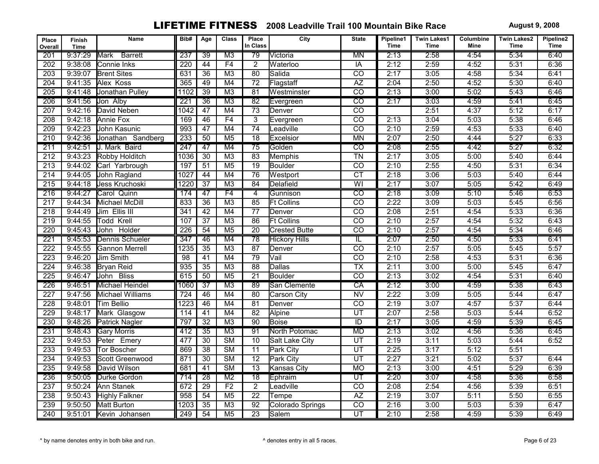| Place<br>Overall | <b>Finish</b><br><b>Time</b> | Name                   | Bib#             | Age             | <b>Class</b>           | Place<br>In Class | City                 | <b>State</b>    | Pipeline1<br><b>Time</b> | <b>Twin Lakes1</b><br><b>Time</b> | Columbine<br>Mine | <b>Twin Lakes2</b><br><b>Time</b> | Pipeline2<br><b>Time</b> |
|------------------|------------------------------|------------------------|------------------|-----------------|------------------------|-------------------|----------------------|-----------------|--------------------------|-----------------------------------|-------------------|-----------------------------------|--------------------------|
| 201              | 9:37:29                      | Mark<br><b>Barrett</b> | 237              | 39              | M3                     | 79                | Victoria             | <b>MN</b>       | 2:13                     | 2:58                              | 4:54              | 5:34                              | 6:40                     |
| 202              | 9:38:08                      | Connie Inks            | $\overline{220}$ | 44              | F4                     | $\overline{2}$    | Waterloo             | $\overline{IA}$ | 2:12                     | 2:59                              | 4:52              | 5:31                              | 6:36                     |
| 203              | 9:39:07                      | <b>Brent Sites</b>     | 631              | $\overline{36}$ | M <sub>3</sub>         | 80                | Salida               | $\overline{co}$ | 2:17                     | 3:05                              | 4:58              | 5:34                              | 6:41                     |
| 204              | 9:41:35                      | Alex Koss              | 365              | 49              | M4                     | $\overline{72}$   | Flagstaff            | $\overline{AZ}$ | 2:04                     | 2:50                              | 4:52              | 5:30                              | 6:40                     |
| $\overline{205}$ | 9:41:48                      | Jonathan Pulley        | 1102             | 39              | M <sub>3</sub>         | 81                | Westminster          | $\overline{co}$ | 2:13                     | 3:00                              | 5:02              | 5:43                              | 6:46                     |
| 206              | 9:41:56                      | Jon Alby               | 221              | $\overline{36}$ | M3                     | $\overline{82}$   | Evergreen            | $\overline{co}$ | 2:17                     | 3:03                              | 4:59              | 5:41                              | 6:45                     |
| 207              | 9:42:16                      | David Neben            | 1042             | 47              | M4                     | $\overline{73}$   | Denver               | $\overline{co}$ |                          | 2:51                              | 4:37              | 5:12                              | 6:17                     |
| 208              | 9:42:18                      | Annie Fox              | 169              | 46              | F4                     | $\overline{3}$    | Evergreen            | $\overline{CO}$ | 2:13                     | 3:04                              | 5:03              | 5:38                              | 6:46                     |
| 209              | 9:42:23                      | John Kasunic           | 993              | $\overline{47}$ | M4                     | $\overline{74}$   | Leadville            | $\overline{CO}$ | 2:10                     | 2:59                              | 4:53              | 5:33                              | 6:40                     |
| $\overline{210}$ | 9:42:36                      | Jonathan Sandberg      | 233              | 50              | M <sub>5</sub>         | $\overline{18}$   | Excelsior            | <b>MN</b>       | 2:07                     | 2:50                              | 4:44              | 5:27                              | 6:33                     |
| 211              | 9:42:51                      | <b>J. Mark Baird</b>   | $\overline{247}$ | $\overline{47}$ | M4                     | 75                | Golden               | ळ               | 2:08                     | 2:55                              | 4:42              | 5:27                              | 6:32                     |
| 212              | 9:43:23                      | Robby Holditch         | 1036             | $\overline{30}$ | M <sub>3</sub>         | 83                | Memphis              | $\overline{T}N$ | 2:17                     | 3:05                              | 5:00              | 5:40                              | 6:44                     |
| 213              | 9:44:02                      | Carl Yarbrough         | 197              | 51              | M <sub>5</sub>         | $\overline{19}$   | Boulder              | $\overline{co}$ | 2:10                     | 2:55                              | 4:50              | 5:31                              | 6:34                     |
| 214              | 9:44:05                      | John Ragland           | 1027             | 44              | M4                     | 76                | Westport             | $\overline{CT}$ | 2:18                     | 3:06                              | 5:03              | 5:40                              | 6:44                     |
| $\overline{215}$ | 9:44:18                      | Jess Kruchoski         | 1220             | $\overline{37}$ | M <sub>3</sub>         | 84                | Delafield            | $\overline{W}$  | 2:17                     | 3:07                              | 5:05              | 5:42                              | 6:49                     |
| 216              | 9:44:27                      | Carol Quinn            | 174              | 47              | F4                     | $\overline{4}$    | Gunnison             | $\overline{co}$ | 2:18                     | 3:09                              | 5:10              | 5:46                              | 6:53                     |
| 217              | 9:44:34                      | Michael McDill         | 833              | $\overline{36}$ | M3                     | 85                | <b>Ft Collins</b>    | $\overline{co}$ | 2:22                     | 3:09                              | 5:03              | 5:45                              | 6:56                     |
| $\overline{218}$ | 9:44:49                      | Jim Ellis III          | $\overline{341}$ | 42              | M4                     | $\overline{77}$   | Denver               | $\overline{co}$ | 2:08                     | 2:51                              | 4:54              | 5:33                              | 6:36                     |
| 219              | 9:44:55                      | Todd Krell             | 107              | $\overline{37}$ | M3                     | 86                | <b>Ft Collins</b>    | $\overline{co}$ | 2:10                     | 2:57                              | 4:54              | 5:32                              | 6:43                     |
| 220              | 9:45:43                      | John Holder            | 226              | 54              | M <sub>5</sub>         | $\overline{20}$   | <b>Crested Butte</b> | $\overline{co}$ | 2:10                     | 2:57                              | 4:54              | 5:34                              | 6:46                     |
| 221              | 9:45:53                      | Dennis Schueler        | 347              | 46              | M4                     | 78                | <b>Hickory Hills</b> | π               | 2:07                     | 2:50                              | 4:50              | 5:33                              | 6:41                     |
| 222              | 9:45:55                      | <b>Gannon Merrell</b>  | 1235             | $\overline{35}$ | $\overline{M3}$        | $\overline{87}$   | Denver               | $\overline{co}$ | 2:10                     | 2:57                              | 5:05              | 5:45                              | 5:57                     |
| 223              | 9:46:20                      | <b>Jim Smith</b>       | 98               | $\overline{41}$ | M4                     | 79                | Vail                 | $\overline{co}$ | 2:10                     | 2:58                              | 4:53              | 5:31                              | 6:36                     |
| $\overline{224}$ | 9:46:38                      | Bryan Reid             | $\overline{935}$ | $\overline{35}$ | M3                     | $\overline{88}$   | Dallas               | $\overline{TX}$ | 2:11                     | 3:00                              | 5:00              | 5:45                              | 6:47                     |
| $\overline{225}$ | 9:46:47                      | John Bliss             | 615              | 50              | M <sub>5</sub>         | $\overline{21}$   | Boulder              | $\overline{co}$ | 2:13                     | 3:02                              | 4:54              | 5:31                              | 6:40                     |
| 226              | 9:46:51                      | Michael Heindel        | 1060             | $\overline{37}$ | M3                     | 89                | San Clemente         | CA              | 2:12                     | 3:00                              | 4:59              | 5:38                              | 6:43                     |
| 227              | 9:47:56                      | Michael Williams       | $\overline{724}$ | 46              | M4                     | $\overline{80}$   | Carson City          | $\overline{NV}$ | 2:22                     | 3:09                              | 5:05              | 5:44                              | 6:47                     |
| 228              | 9:48:01                      | <b>Tim Bellio</b>      | 1223             | 46              | M4                     | 81                | Denver               | $\overline{co}$ | 2:19                     | 3:07                              | 4:57              | 5:37                              | 6:44                     |
| 229              | 9:48:17                      | Mark Glasgow           | 114              | $\overline{41}$ | M4                     | $\overline{82}$   | Alpine               | UT              | 2:07                     | 2:58                              | 5:03              | 5:44                              | 6:52                     |
| 230              | 9:48:26                      | <b>Patrick Nagler</b>  | 797              | $\overline{32}$ | M <sub>3</sub>         | 90                | Boise                | $\overline{ID}$ | 2:17                     | 3:05                              | 4:59              | 5:39                              | 6:45                     |
| 231              | 9:48:43                      | <b>Gary Morris</b>     | 412              | $\overline{35}$ | $\overline{M3}$        | $\overline{91}$   | North Potomac        | <b>MD</b>       | 2:13                     | 3:02                              | 4:56              | 5:36                              | 6:45                     |
| 232              | 9:49:53                      | Peter Emery            | 477              | $\overline{30}$ | $\overline{\text{SM}}$ | 10                | Salt Lake City       | UT              | 2:19                     | 3:11                              | 5:03              | 5:44                              | 6:52                     |
| 233              | 9:49:53                      | <b>Tor Boscher</b>     | 869              | $\overline{38}$ | $\overline{\text{SM}}$ | $\overline{11}$   | <b>Park City</b>     | $\overline{UT}$ | 2:25                     | 3:17                              | 5:12              | 5:51                              |                          |
| 234              | 9:49:53                      | Scott Greenwood        | 871              | $\overline{30}$ | $\overline{\text{SM}}$ | $\overline{12}$   | Park City            | $\overline{UT}$ | 2:27                     | 3:21                              | 5:02              | 5:37                              | 6:44                     |
| 235              | 9:49:58                      | David Wilson           | 681              | $\overline{41}$ | $\overline{\text{SM}}$ | $\overline{13}$   | <b>Kansas City</b>   | $\overline{MO}$ | 2:13                     | 3:00                              | 4:51              | 5:29                              | 6:39                     |
| 236              | 9:50:05                      | Durke Gordon           | 714              | $\overline{28}$ | M <sub>2</sub>         | $\overline{18}$   | Ephraim              | UT              | 2:20                     | 3:07                              | 4:58              | 5:36                              | 6:58                     |
| $\overline{237}$ | 9:50:24                      | <b>Ann Stanek</b>      | 672              | $\overline{29}$ | F <sub>2</sub>         | $\overline{2}$    | Leadville            | $\overline{CO}$ | 2:08                     | 2:54                              | 4:56              | 5:39                              | 6:51                     |
| 238              | 9:50:43                      | <b>Highly Falkner</b>  | 958              | 54              | M <sub>5</sub>         | $\overline{22}$   | Tempe                | $\overline{AZ}$ | 2:19                     | 3:07                              | 5:11              | 5:50                              | 6:55                     |
| 239              | 9:50:50                      | Matt Burton            | 1203             | 35              | M <sub>3</sub>         | $\overline{92}$   | Colorado Springs     | $\overline{CO}$ | 2:16                     | 3:00                              | 5:03              | 5:39                              | 6:47                     |
| 240              | 9:51:01                      | Kevin Johansen         | 249              | $\overline{54}$ | M <sub>5</sub>         | $\overline{23}$   | Salem                | UT              | 2:10                     | 2:58                              | 4:59              | 5:39                              | 6:49                     |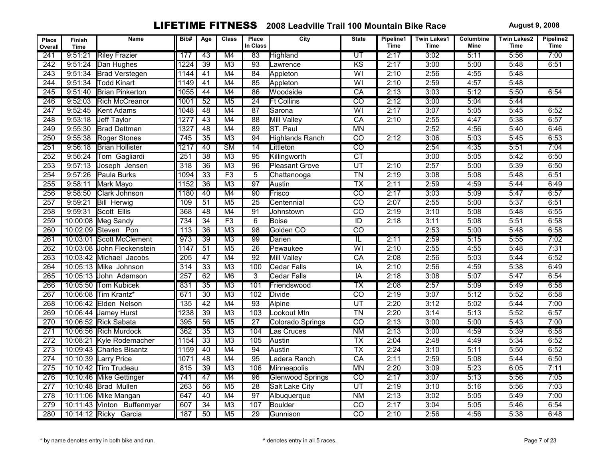| Place<br>Overall | <b>Finish</b><br><b>Time</b> | Name                       | Bib#             | Age             | <b>Class</b>           | Place<br>In Class | City                    | <b>State</b>             | Pipeline1<br><b>Time</b> | <b>Twin Lakes1</b><br><b>Time</b> | Columbine<br>Mine | <b>Twin Lakes2</b><br>Time | Pipeline2<br><b>Time</b> |
|------------------|------------------------------|----------------------------|------------------|-----------------|------------------------|-------------------|-------------------------|--------------------------|--------------------------|-----------------------------------|-------------------|----------------------------|--------------------------|
| 241              | 9:51:21                      | <b>Riley Frazier</b>       | 177              | 43              | M4                     | 83                | Highland                | $\overline{\mathsf{UT}}$ | 2:17                     | 3:02                              | 5:11              | 5:56                       | 7:00                     |
| $\overline{242}$ | 9:51:24                      | Dan Hughes                 | 1224             | $\overline{39}$ | M3                     | $\overline{93}$   | Lawrence                | $\overline{KS}$          | 2:17                     | 3:00                              | 5:00              | 5:48                       | 6:51                     |
| 243              | 9:51:34                      | <b>Brad Verstegen</b>      | 1144             | 41              | M4                     | 84                | Appleton                | $\overline{W}$           | 2:10                     | 2:56                              | 4:55              | 5:48                       |                          |
| $\overline{244}$ | 9:51:34                      | <b>Todd Kinart</b>         | 1149             | $\overline{41}$ | M4                     | 85                | Appleton                | $\overline{W}$           | 2:10                     | 2:59                              | 4:57              | 5:48                       |                          |
| 245              | 9:51:40                      | <b>Brian Pinkerton</b>     | 1055             | 44              | M4                     | 86                | Woodside                | CA                       | 2:13                     | 3:03                              | 5:12              | 5:50                       | 6:54                     |
| 246              | 9:52:03                      | <b>Rich McCreanor</b>      | 1001             | 52              | M <sub>5</sub>         | $\overline{24}$   | <b>Ft Collins</b>       | $\overline{co}$          | 2:12                     | 3:00                              | 5:04              | 5:44                       |                          |
| $\overline{247}$ | 9:52:45                      | Kent Adams                 | 1048             | 48              | M4                     | 87                | Sarona                  | $\overline{W}$           | 2:17                     | 3:07                              | 5:05              | 5:45                       | 6:52                     |
| 248              | 9:53:18                      | Jeff Taylor                | 1277             | 43              | M4                     | 88                | Mill Valley             | CA                       | 2:10                     | 2:55                              | 4:47              | 5:38                       | 6:57                     |
| 249              | 9:55:30                      | <b>Brad Dettman</b>        | 1327             | 48              | M4                     | 89                | ST. Paul                | <b>MN</b>                |                          | 2:52                              | 4:56              | 5:40                       | 6:46                     |
| 250              | 9:55:38                      | Roger Stones               | 745              | 35              | M3                     | 94                | Highlands Ranch         | $\overline{co}$          | 2:12                     | 3:06                              | 5:03              | 5:45                       | 6:53                     |
| 251              | 9:56:18                      | <b>Brian Hollister</b>     | 1217             | $\overline{40}$ | $\overline{\text{SM}}$ | $\overline{14}$   | Littleton               | $\overline{\text{co}}$   |                          | 2:54                              | 4:35              | 5:51                       | 7:04                     |
| 252              | 9:56:24                      | Tom Gagliardi              | 251              | $\overline{38}$ | M <sub>3</sub>         | 95                | Killingworth            | $\overline{\text{CT}}$   |                          | 3:00                              | 5:05              | 5:42                       | 6:50                     |
| 253              | 9:57:13                      | Joseph Jensen              | 318              | 36              | M <sub>3</sub>         | 96                | <b>Pleasant Grove</b>   | UT                       | 2:10                     | 2:57                              | 5:00              | 5:39                       | 6:50                     |
| 254              | 9:57:26                      | Paula Burks                | 1094             | $\overline{33}$ | F3                     | $\overline{5}$    | Chattanooga             | $\overline{T}N$          | 2:19                     | 3:08                              | 5:08              | 5:48                       | 6:51                     |
| $\overline{255}$ | 9:58:11                      | Mark Mayo                  | 1152             | $\overline{36}$ | M3                     | 97                | Austin                  | $\overline{\mathsf{TX}}$ | 2:11                     | 2:59                              | 4:59              | 5:44                       | 6:49                     |
| 256              | 9:58:50                      | <b>Clark Johnson</b>       | 1180             | 40              | M4                     | $\overline{90}$   | Frisco                  | $\overline{co}$          | 2:17                     | 3:03                              | 5:09              | 5:47                       | 6:57                     |
| 257              | 9:59:21                      | <b>Bill Herwig</b>         | 109              | $\overline{51}$ | $\overline{M5}$        | $\overline{25}$   | Centennial              | $\overline{co}$          | 2:07                     | 2:55                              | 5:00              | 5:37                       | 6:51                     |
| 258              | 9:59:31                      | Scott Ellis                | 368              | 48              | M4                     | $\overline{91}$   | Johnstown               | $\overline{co}$          | 2:19                     | 3:10                              | 5:08              | 5:48                       | 6:55                     |
| 259              |                              | 10:00:08 Meg Sandy         | 734              | $\overline{34}$ | F3                     | 6                 | <b>Boise</b>            | $\overline{ID}$          | 2:18                     | 3:11                              | 5:08              | 5:51                       | 6:58                     |
| 260              |                              | 10:02:09 Steven Pon        | 113              | $\overline{36}$ | M3                     | 98                | Golden CO               | $\overline{co}$          |                          | 2:53                              | 5:00              | 5:48                       | 6:58                     |
| 261              |                              | 10:03:01 Scott McClement   | 973              | $\overline{39}$ | M3                     | 99                | <b>I</b> Darien         | π                        | 2:11                     | 2:59                              | 5:15              | 5:55                       | 7:02                     |
| 262              | 10:03:08                     | John Fleckenstein          | 1147             | $\overline{51}$ | $\overline{M5}$        | $\overline{26}$   | Pewaukee                | $\overline{W}$           | 2:10                     | 2:55                              | 4:55              | 5:48                       | 7:31                     |
| 263              | 10:03:42                     | Michael Jacobs             | $\overline{205}$ | 47              | M4                     | 92                | <b>Mill Valley</b>      | $\overline{CA}$          | 2:08                     | 2:56                              | 5:03              | 5:44                       | 6:52                     |
| 264              |                              | 10:05:13 Mike Johnson      | 314              | 33              | M3                     | 100               | <b>Cedar Falls</b>      | IA                       | 2:10                     | 2:56                              | 4:59              | 5:38                       | 6:49                     |
| 265              |                              | 10:05:13 John Adamson      | 257              | 62              | M6                     | $\overline{3}$    | <b>Cedar Falls</b>      | $\overline{IA}$          | 2:18                     | 3:08                              | 5:07              | 5:47                       | 6:54                     |
| 266              |                              | 10:05:50 Tom Kubicek       | 831              | $\overline{35}$ | M3                     | 101               | Friendswood             | $\overline{\mathsf{TX}}$ | 2:08                     | 2:57                              | 5:09              | 5:49                       | 6:58                     |
| 267              | 10:06:08                     | Tim Krantz*                | 671              | $\overline{30}$ | M3                     | 102               | Divide                  | $\overline{co}$          | 2:19                     | 3:07                              | 5:12              | 5:52                       | 6:58                     |
| 268              | 10:06:42                     | Elden Nelson               | 135              | 42              | M4                     | $\overline{93}$   | Alpine                  | UT                       | 2:20                     | 3:12                              | 5:02              | 5:44                       | 7:00                     |
| 269              |                              | 10:06:44 Jamey Hurst       | 1238             | 39              | M <sub>3</sub>         | 103               | Lookout Mtn             | $\overline{T}N$          | 2:20                     | 3:14                              | 5:13              | 5:52                       | 6:57                     |
| 270              |                              | 10:06:52 Rick Sabata       | 395              | $\overline{56}$ | M <sub>5</sub>         | $\overline{27}$   | Colorado Springs        | $\overline{co}$          | 2:13                     | 3:00                              | 5:00              | 5:43                       | 7:00                     |
| 271              |                              | 10:06:56 Rich Murdock      | 362              | $\overline{35}$ | $\overline{M3}$        | 104               | Las Cruces              | $\overline{\text{NM}}$   | 2:13                     | 3:00                              | 4:59              | 5:39                       | 6:58                     |
| $\overline{272}$ | 10:08:21                     | Kyle Rodemacher            | 1154             | $\overline{33}$ | M <sub>3</sub>         | 105               | Austin                  | $\overline{TX}$          | 2:04                     | 2:48                              | 4:49              | 5:34                       | 6:52                     |
| $\overline{273}$ |                              | 10:09:43 Charles Bisantz   | 1159             | 40              | M4                     | 94                | Austin                  | $\overline{\mathsf{TX}}$ | 2:24                     | 3:10                              | 5:11              | 5:50                       | 6:52                     |
| $\overline{274}$ |                              | 10:10:39 Larry Price       | 1071             | 48              | M4                     | 95                | Ladera Ranch            | CA                       | 2:11                     | 2:59                              | 5:08              | 5:44                       | 6:50                     |
| $\overline{275}$ |                              | 10:10:42 Tim Trudeau       | 815              | $\overline{39}$ | M3                     | 106               | Minneapolis             | $\overline{MN}$          | 2:20                     | 3:09                              | 5:23              | 6:05                       | 7:11                     |
| 276              |                              | 10:10:46 Mike Gettinger    | 741              | 47              | M4                     | 96                | <b>Glenwood Springs</b> | $\overline{\text{co}}$   | 2:17                     | 3:07                              | 5:13              | 5:56                       | 7:05                     |
| $\overline{277}$ | 10:10:48                     | <b>Brad Mullen</b>         | $\overline{263}$ | 56              | M <sub>5</sub>         | $\overline{28}$   | Salt Lake City          | $\overline{UT}$          | 2:19                     | 3:10                              | 5:16              | 5:56                       | 7:03                     |
| $\overline{278}$ | 10:11:06                     | Mike Mangan                | 647              | 40              | M4                     | $\overline{97}$   | Albuquerque             | N <sub>M</sub>           | 2:13                     | 3:02                              | 5:05              | 5:49                       | 7:00                     |
| 279              |                              | 10:11:43 Vinton Buffenmyer | 607              | 34              | M <sub>3</sub>         | 107               | Boulder                 | $\overline{CO}$          | 2:17                     | 3:04                              | 5:05              | 5:46                       | 6:54                     |
| 280              |                              | 10:14:12 Ricky Garcia      | 187              | 50              | M <sub>5</sub>         | 29                | Gunnison                | $\overline{co}$          | 2:10                     | 2:56                              | 4:56              | 5:38                       | 6:48                     |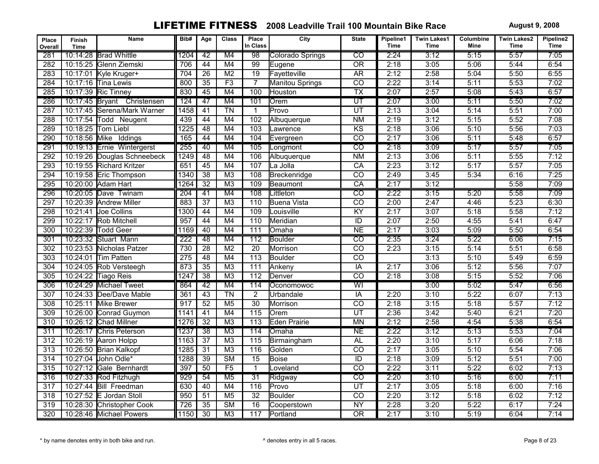| Place<br>Overall | Finish<br><b>Time</b> | Name                        | Bib#             | Age             | <b>Class</b>           | Place<br>In Class | City                    | <b>State</b>             | Pipeline1<br><b>Time</b> | <b>Twin Lakes1</b><br>Time | Columbine<br>Mine | <b>Twin Lakes2</b><br>Time | Pipeline2<br><b>Time</b> |
|------------------|-----------------------|-----------------------------|------------------|-----------------|------------------------|-------------------|-------------------------|--------------------------|--------------------------|----------------------------|-------------------|----------------------------|--------------------------|
| 281              |                       | 10:14:28 Brad Whittle       | 1204             | 42              | M4                     | 98                | <b>Colorado Springs</b> | ळ                        | 2:24                     | 3:12                       | 5:15              | 5:57                       | 7:05                     |
| 282              |                       | 10:15:25 Glenn Ziemski      | 706              | 44              | M4                     | 99                | Eugene                  | $\overline{OR}$          | 2:18                     | 3:05                       | 5:06              | 5:44                       | 6:54                     |
| 283              |                       | 10:17:01 Kyle Kruger+       | $\overline{704}$ | $\overline{26}$ | M <sub>2</sub>         | $\overline{19}$   | Favetteville            | <b>AR</b>                | 2:12                     | 2:58                       | 5:04              | 5:50                       | 6:55                     |
| 284              |                       | 10:17:16 Tina Lewis         | 800              | 35              | F3                     | $\overline{7}$    | <b>Manitou Springs</b>  | $\overline{CO}$          | 2:22                     | 3:14                       | 5:11              | 5:53                       | 7:02                     |
| 285              |                       | 10:17:39 Ric Tinney         | 830              | 45              | M4                     | 100               | Houston                 | $\overline{\mathsf{TX}}$ | 2:07                     | 2:57                       | 5:08              | 5:43                       | 6:57                     |
| 286              |                       | 10:17:45 Bryant Christensen | 124              | 47              | M4                     | 101               | Orem                    | $\overline{\mathsf{UT}}$ | 2:07                     | 3:00                       | 5:11              | 5:50                       | 7:02                     |
| 287              |                       | 10:17:45 Serena/Mark Warner | 1458             | $\overline{41}$ | $\overline{T}N$        | $\mathbf{1}$      | Provo                   | UT                       | 2:13                     | 3:04                       | 5:14              | 5:51                       | 7:00                     |
| 288              | 10:17:54              | Todd Neugent                | 439              | $\overline{44}$ | M4                     | 102               | Albuquerque             | <b>NM</b>                | 2:19                     | 3:12                       | 5:15              | 5:52                       | 7:08                     |
| 289              | 10:18:25              | <b>Tom Liebl</b>            | 1225             | $\overline{48}$ | M4                     | 103               | Lawrence                | KS                       | 2:18                     | 3:06                       | 5:10              | 5:56                       | 7:03                     |
| 290              | 10:18:56 Mike         | Iddings                     | 165              | 44              | M4                     | 104               | Evergreen               | $\overline{co}$          | 2:17                     | 3:06                       | 5:11              | 5:48                       | 6:57                     |
| 291              |                       | 10:19:13 Ernie Wintergerst  | 255              | 40              | M4                     | 105               | Longmont                | टव                       | 2:18                     | 3:09                       | 5:17              | 5:57                       | 7:05                     |
| 292              |                       | 10:19:26 Douglas Schneebeck | 1249             | 48              | M4                     | 106               | Albuquerque             | N <sub>M</sub>           | 2:13                     | 3:06                       | 5:11              | 5:55                       | 7:12                     |
| 293              |                       | 10:19:55 Richard Kritzer    | 651              | 45              | M4                     | 107               | La Jolla                | CA                       | 2:23                     | 3:12                       | 5:17              | 5:57                       | 7:05                     |
| 294              |                       | 10:19:58 Eric Thompson      | 1340             | $\overline{38}$ | M3                     | 108               | Breckenridge            | $\overline{co}$          | 2:49                     | 3:45                       | 5:34              | 6:16                       | 7:25                     |
| 295              |                       | 10:20:00 Adam Hart          | 1264             | $\overline{32}$ | M <sub>3</sub>         | 109               | Beaumont                | CA                       | 2:17                     | 3:12                       |                   | 5:58                       | 7:09                     |
| 296              |                       | 10:20:05 Dave Twinam        | 204              | 41              | M4                     | 108               | Littleton               | $\overline{co}$          | 2:22                     | 3:15                       | 5:20              | 5:58                       | 7:09                     |
| 297              |                       | 10:20:39 Andrew Miller      | 883              | $\overline{37}$ | M3                     | 110               | <b>Buena Vista</b>      | $\overline{co}$          | 2:00                     | 2:47                       | 4:46              | 5:23                       | 6:30                     |
| 298              | 10:21:41              | Joe Collins                 | 1300             | 44              | M4                     | 109               | Louisville              | $\overline{KY}$          | 2:17                     | 3:07                       | 5:18              | 5:58                       | 7:12                     |
| 299              | 10:22:17              | <b>Rob Mitchell</b>         | 957              | 44              | M4                     | 110               | Meridian                | $\overline{ID}$          | 2:07                     | 2:50                       | 4:55              | 5:41                       | 6:47                     |
| 300              |                       | 10:22:39 Todd Geer          | 1169             | 40              | M4                     | 111               | Omaha                   | N <sub>E</sub>           | 2:17                     | 3:03                       | 5:09              | 5:50                       | 6:54                     |
| 301              |                       | 10:23:32 Stuart Mann        | 222              | 48              | M4                     | $\overline{112}$  | Boulder                 | $\overline{co}$          | 2:35                     | 3:24                       | 5:22              | 6:06                       | 7:15                     |
| 302              |                       | 10:23:53 Nicholas Patzer    | 730              | $\overline{28}$ | M <sub>2</sub>         | $\overline{20}$   | Morrison                | $\overline{co}$          | 2:23                     | 3:15                       | 5:14              | 5:51                       | 6:58                     |
| $\overline{303}$ | 10:24:01              | Tim Patten                  | 275              | 48              | M4                     | 113               | Boulder                 | $\overline{co}$          |                          | 3:13                       | 5:10              | 5:49                       | 6:59                     |
| $\overline{304}$ |                       | 10:24:05 Rob Versteegh      | 873              | 35              | M3                     | $\overline{111}$  | Ankeny                  | $\overline{IA}$          | 2:17                     | 3:06                       | 5:12              | 5:56                       | 7:07                     |
| 305              |                       | 10:24:22 Tiago Reis         | 1247             | $\overline{38}$ | M <sub>3</sub>         | 112               | Denver                  | $\overline{co}$          | 2:18                     | 3:08                       | 5:15              | 5:52                       | 7:06                     |
| 306              |                       | 10:24:29 Michael Tweet      | 864              | 42              | M4                     | 114               | Oconomowoc              | $\overline{W}$           |                          | 3:00                       | 5:02              | 5:47                       | 6:56                     |
| 307              |                       | 10:24:33 Dee/Dave Mable     | 361              | 43              | $\overline{T}N$        | $\overline{2}$    | Urbandale               | $\overline{IA}$          | 2:20                     | 3:10                       | 5:22              | 6:07                       | 7:13                     |
| 308              | 10:25:11              | <b>Mike Brewer</b>          | $\overline{917}$ | $\overline{52}$ | M <sub>5</sub>         | $\overline{30}$   | Morrison                | $\overline{co}$          | 2:18                     | 3:15                       | 5:18              | 5:57                       | 7:12                     |
| $\overline{309}$ |                       | 10:26:00 Conrad Guymon      | 1141             | 41              | M4                     | 115               | Orem                    | UT                       | 2:36                     | 3:42                       | 5:40              | 6:21                       | 7:20                     |
| 310              |                       | 10:26:12 Chad Millner       | 1276             | $\overline{32}$ | M <sub>3</sub>         | 113               | <b>Eden Prairie</b>     | <b>MN</b>                | 2:12                     | 2:58                       | 4:54              | 5:38                       | 6:54                     |
| 311              |                       | 10:26:17 Chris Peterson     | 1237             | $\overline{38}$ | M3                     | 114               | Omaha                   | <b>NE</b>                | 2:22                     | 3:12                       | 5:13              | 5:53                       | 7:04                     |
| 312              |                       | 10:26:19 Aaron Holpp        | 1163             | $\overline{37}$ | M3                     | 115               | Birmaingham             | <b>AL</b>                | 2:20                     | 3:10                       | 5:17              | 6:06                       | 7:18                     |
| 313              |                       | 10:26:50 Brian Kalkopf      | 1285             | $\overline{31}$ | M <sub>3</sub>         | 116               | lGolden                 | $\overline{co}$          | 2:17                     | 3:05                       | 5:10              | 5:54                       | 7:06                     |
| 314              |                       | 10:27:04 John Odle*         | 1288             | $\overline{39}$ | $\overline{\text{SM}}$ | $\overline{15}$   | Boise                   | $\overline{ID}$          | 2:18                     | 3:09                       | 5:12              | 5:51                       | 7:00                     |
| 315              |                       | 10:27:12 Gale Bernhardt     | 397              | $\overline{50}$ | $\overline{F5}$        | $\overline{1}$    | Loveland                | $\overline{co}$          | 2:22                     | 3:11                       | 5:22              | 6:02                       | 7:13                     |
| 316              |                       | 10:27:33 Rod Fitzhugh       | 929              | $\overline{54}$ | M <sub>5</sub>         | $\overline{31}$   | Ridgway                 | $\overline{\text{co}}$   | 2:20                     | 3:10                       | 5:16              | 6:00                       | 7:11                     |
| 317              | 10:27:44              | <b>Bill Freedman</b>        | 630              | 40              | M4                     | 116               | Provo                   | $\overline{UT}$          | 2:17                     | 3:05                       | 5:18              | 6:00                       | 7:16                     |
| 318              |                       | 10:27:52 E Jordan Stoll     | 950              | $\overline{51}$ | M <sub>5</sub>         | $\overline{32}$   | <b>Boulder</b>          | $\overline{co}$          | 2:20                     | 3:12                       | 5:18              | 6:02                       | 7:12                     |
| 319              |                       | 10:28:30 Christopher Cook   | 726              | 35              | $\overline{\text{SM}}$ | $\overline{16}$   | Cooperstown             | <b>NY</b>                | 2:28                     | 3:20                       | 5:22              | 6:17                       | 7:24                     |
| 320              |                       | 10:28:46 Michael Powers     | 1150             | $\overline{30}$ | M <sub>3</sub>         | 117               | Portland                | $\overline{OR}$          | 2:17                     | 3:10                       | 5:19              | 6:04                       | 7:14                     |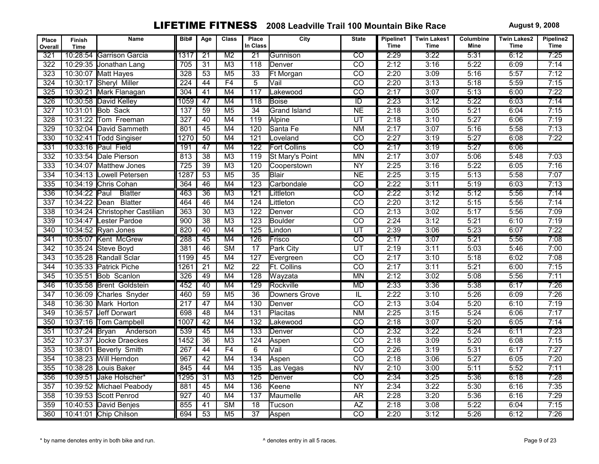| Place<br>Overall | Finish<br><b>Time</b> | Name                     | Bib#             | Age             | <b>Class</b>           | Place<br>In Class | City                | <b>State</b>            | Pipeline1<br>Time | <b>Twin Lakes1</b><br><b>Time</b> | Columbine<br>Mine | <b>Twin Lakes2</b><br><b>Time</b> | Pipeline2<br><b>Time</b> |
|------------------|-----------------------|--------------------------|------------------|-----------------|------------------------|-------------------|---------------------|-------------------------|-------------------|-----------------------------------|-------------------|-----------------------------------|--------------------------|
| 321              |                       | 10:28:54 Garrison Garcia | 1317             | $\overline{21}$ | $\overline{M2}$        | $\overline{21}$   | Gunnison            | $\overline{\text{co}}$  | 2:29              | 3:22                              | 5:31              | 6:12                              | 7:25                     |
| 322              |                       | 10:29:35 Jonathan Lang   | 705              | $\overline{31}$ | M <sub>3</sub>         | $\overline{118}$  | Denver              | $\overline{co}$         | 2:12              | 3:16                              | 5:22              | 6:09                              | 7:14                     |
| 323              |                       | 10:30:07 Matt Hayes      | 328              | 53              | M <sub>5</sub>         | $\overline{33}$   | <b>Ft Morgan</b>    | $\overline{CO}$         | 2:20              | 3:09                              | 5:16              | 5:57                              | 7:12                     |
| 324              | 10:30:17              | Sheryl Miller            | $\overline{224}$ | 44              | F4                     | $\overline{5}$    | Vail                | $\overline{co}$         | 2:20              | 3:13                              | 5:18              | 5:59                              | 7:15                     |
| 325              |                       | 10:30:21 Mark Flanagan   | 304              | 41              | M4                     | 117               | Lakewood            | $\overline{CO}$         | 2:17              | 3:07                              | 5:13              | 6:00                              | 7:22                     |
| 326              |                       | 10:30:58 David Kelley    | 1059             | 47              | M4                     | 118               | Boise               | $\overline{ID}$         | 2:23              | 3:12                              | 5:22              | 6:03                              | 7:14                     |
| 327              |                       | 10:31:01 Bob Sack        | 137              | 59              | M <sub>5</sub>         | $\overline{34}$   | <b>Grand Island</b> | NE                      | 2:18              | 3:05                              | 5:21              | 6:04                              | 7:15                     |
| 328              | 10:31:22              | Tom Freeman              | $\overline{327}$ | 40              | M4                     | 119               | Alpine              | UT                      | 2:18              | 3:10                              | 5:27              | 6:06                              | 7:19                     |
| 329              | 10:32:04              | David Sammeth            | 801              | $\overline{45}$ | M4                     | 120               | Santa Fe            | N <sub>M</sub>          | 2:17              | 3:07                              | 5:16              | 5:58                              | 7:13                     |
| 330              |                       | 10:32:41 Todd Singiser   | 1270             | 50              | M4                     | 121               | Loveland            | $\overline{CO}$         | 2:27              | 3:19                              | 5:27              | 6:08                              | 7:22                     |
| 331              |                       | 10:33:16 Paul Field      | 191              | $\overline{47}$ | M4                     | $\overline{122}$  | <b>Fort Collins</b> | टव                      | 2:17              | 3:19                              | 5:27              | 6:06                              |                          |
| 332              |                       | 10:33:54 Dale Pierson    | 813              | $\overline{38}$ | M <sub>3</sub>         | 119               | St Mary's Point     | <b>MN</b>               | 2:17              | 3:07                              | 5:06              | 5:48                              | 7:03                     |
| 333              | 10:34:07              | Matthew Jones            | $\overline{725}$ | 39              | M <sub>3</sub>         | 120               | Cooperstown         | NY                      | 2:25              | 3:16                              | 5:22              | 6:05                              | 7:16                     |
| 334              |                       | 10:34:13 Lowell Petersen | 1287             | $\overline{53}$ | M <sub>5</sub>         | $\overline{35}$   | Blair               | N <sub>E</sub>          | 2:25              | 3:15                              | 5:13              | 5:58                              | 7:07                     |
| 335              |                       | 10:34:19 Chris Cohan     | 364              | 46              | M4                     | 123               | Carbondale          | $\overline{co}$         | 2:22              | 3:11                              | 5:19              | 6:03                              | 7:13                     |
| 336              | 10:34:22 Paul         | <b>Blatter</b>           | 463              | $\overline{36}$ | M3                     | 121               | Littleton           | $\overline{co}$         | 2:22              | 3:12                              | 5:12              | 5:56                              | 7:14                     |
| 337              | 10:34:22              | <b>Blatter</b><br>Dean   | 464              | $\overline{46}$ | M4                     | 124               | Littleton           | $\overline{co}$         | 2:20              | 3:12                              | 5:15              | 5:56                              | 7:14                     |
| 338              | 10:34:24              | Christopher Castilian    | 363              | $\overline{30}$ | M3                     | 122               | Denver              | $\overline{CO}$         | 2:13              | 3:02                              | 5:17              | 5:56                              | 7:09                     |
| 339              | 10:34:47              | <b>Lester Pardoe</b>     | 900              | $\overline{38}$ | M <sub>3</sub>         | $\overline{123}$  | <b>Boulder</b>      | $\overline{co}$         | 2:24              | 3:12                              | 5:21              | 6:10                              | 7:19                     |
| 340              |                       | 10:34:52 Ryan Jones      | 820              | 40              | M4                     | $\overline{125}$  | Lindon              | $\overline{UT}$         | 2:39              | 3:06                              | 5:23              | 6:07                              | 7:22                     |
| 341              |                       | 10:35:07 Kent McGrew     | 288              | 45              | M4                     | 126               | Frisco              | $\overline{CO}$         | 2:17              | 3:07                              | 5:21              | 5:56                              | 7:08                     |
| $\overline{342}$ |                       | 10:35:24 Steve Boyd      | 381              | 46              | $\overline{\text{SM}}$ | $\overline{17}$   | <b>Park City</b>    | $\overline{UT}$         | 2:19              | 3:11                              | 5:03              | 5:46                              | 7:00                     |
| $\overline{343}$ |                       | 10:35:28 Randall Sclar   | 1199             | 45              | M4                     | 127               | Evergreen           | $\overline{CO}$         | 2:17              | 3:10                              | 5:18              | 6:02                              | 7:08                     |
| 344              |                       | 10:35:33 Patrick Piche   | 1261             | $\overline{21}$ | M <sub>2</sub>         | $\overline{22}$   | Ft. Collins         | $\overline{co}$         | 2:17              | 3:11                              | 5:21              | 6:00                              | 7:15                     |
| 345              |                       | 10:35:51 Bob Scanlon     | 326              | 49              | M4                     | 128               | Wayzata             | <b>MN</b>               | 2:12              | 3:02                              | 5:08              | 5:56                              | 7:11                     |
| 346              |                       | 10:35:58 Brent Goldstein | 452              | 40              | M4                     | 129               | Rockville           | <b>MD</b>               | 2:33              | 3:36                              | 5:38              | 6:17                              | 7:26                     |
| $\overline{347}$ | 10:36:09              | Charles Snyder           | 460              | 59              | M <sub>5</sub>         | $\overline{36}$   | Downers Grove       | $\overline{\mathbb{L}}$ | 2:22              | 3:10                              | 5:26              | 6:09                              | 7:26                     |
| $\overline{348}$ |                       | 10:36:30 Mark Horton     | $\overline{217}$ | 47              | M4                     | 130               | Denver              | $\overline{co}$         | 2:13              | 3:04                              | 5:20              | 6:10                              | 7:19                     |
| $\overline{349}$ |                       | 10:36:57 Jeff Dorwart    | 698              | 48              | M4                     | $\overline{131}$  | Placitas            | N <sub>M</sub>          | 2:25              | 3:15                              | 5:24              | 6:06                              | 7:17                     |
| 350              |                       | 10:37:16 Tom Campbell    | 1007             | 42              | M4                     | $\overline{132}$  | Lakewood            | $\overline{co}$         | 2:18              | 3:07                              | 5:20              | 6:05                              | 7:14                     |
| 351              | 10:37:24 Bryan        | Anderson                 | 539              | 45              | M4                     | 133               | Denver              | $\overline{CO}$         | 2:32              | 3:22                              | 5:24              | 6:11                              | 7:23                     |
| 352              | 10:37:37              | <b>Jocke Draeckes</b>    | 1452             | $\overline{36}$ | M3                     | $\overline{124}$  | Aspen               | $\overline{CO}$         | 2:18              | 3:09                              | 5:20              | 6:08                              | 7:15                     |
| 353              |                       | 10:38:01 Beverly Smith   | $\overline{267}$ | 44              | F4                     | 6                 | Vail                | $\overline{co}$         | 2:26              | 3:19                              | 5:31              | 6:17                              | 7:27                     |
| 354              |                       | 10:38:23 Will Herndon    | $\overline{967}$ | 42              | M4                     | 134               | Aspen               | $\overline{co}$         | 2:18              | 3:06                              | 5:27              | 6:05                              | 7:20                     |
| 355              |                       | 10:38:28 Louis Baker     | 845              | 44              | M4                     | $\overline{135}$  | Las Vegas           | $\overline{NV}$         | 2:10              | 3:00                              | 5:11              | 5:52                              | 7:11                     |
| 356              |                       | 10:39:51 Jake Holscher*  | 1295             | $\overline{31}$ | M3                     | $\overline{125}$  | Denver              | $\overline{\text{co}}$  | 2:34              | 3:25                              | 5:36              | 6:18                              | 7:28                     |
| $\overline{357}$ |                       | 10:39:52 Michael Peabody | 881              | 45              | M4                     | 136               | Keene               | <b>NY</b>               | 2:34              | 3:22                              | 5:30              | 6:16                              | 7:35                     |
| 358              |                       | 10:39:53 Scott Penrod    | 927              | 40              | M4                     | 137               | Maumelle            | AR                      | 2:28              | 3:20                              | 5:36              | 6:16                              | 7:29                     |
| 359              |                       | 10:40:53 David Benjes    | 855              | 41              | <b>SM</b>              | 18                | Tucson              | <b>AZ</b>               | 2:18              | 3:08                              | 5:22              | 6:04                              | 7:15                     |
| 360              |                       | 10:41:01 Chip Chilson    | 694              | 53              | M <sub>5</sub>         | $\overline{37}$   | Aspen               | $\overline{co}$         | 2:20              | 3:12                              | 5:26              | 6:12                              | 7:26                     |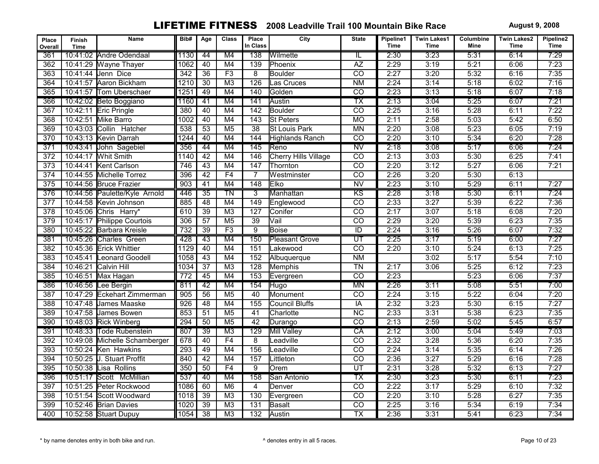| Place<br>Overall | Finish<br><b>Time</b> | Name                          | Bib#             | Age             | <b>Class</b>    | Place<br>In Class | City                   | <b>State</b>             | Pipeline1<br>Time | <b>Twin Lakes1</b><br><b>Time</b> | Columbine<br>Mine | <b>Twin Lakes2</b><br>Time | Pipeline2<br>Time |
|------------------|-----------------------|-------------------------------|------------------|-----------------|-----------------|-------------------|------------------------|--------------------------|-------------------|-----------------------------------|-------------------|----------------------------|-------------------|
| 361              |                       | 10:41:02 Andre Odendaal       | 1130             | 44              | M4              | 138               | Wilmette               | IL                       | 2:30              | 3:23                              | 5:31              | 6:14                       | 7:29              |
| 362              |                       | 10:41:29 Wayne Thayer         | 1062             | 40              | M4              | 139               | Phoenix                | $\overline{AZ}$          | 2:29              | 3:19                              | 5:21              | 6:06                       | 7:23              |
| 363              |                       | 10:41:44 Jenn Dice            | 342              | $\overline{36}$ | F3              | 8                 | <b>Boulder</b>         | $\overline{CO}$          | 2:27              | 3:20                              | 5:32              | 6:16                       | 7:35              |
| 364              |                       | 10:41:57 Aaron Bickham        | 1210             | $\overline{30}$ | M <sub>3</sub>  | 126               | Las Cruces             | N <sub>M</sub>           | 2:24              | 3:14                              | 5:18              | 6:02                       | 7:16              |
| 365              |                       | 10:41:57 Tom Uberschaer       | 1251             | 49              | M4              | 140               | Golden                 | $\overline{co}$          | 2:23              | 3:13                              | 5:18              | 6:07                       | 7:18              |
| 366              |                       | 10:42:02 Beto Boggiano        | 1160             | 41              | M4              | 141               | Austin                 | $\overline{\text{TX}}$   | 2:13              | 3:04                              | 5:25              | 6:07                       | 7:21              |
| 367              |                       | 10:42:11 Eric Pringle         | 380              | 40              | M4              | 142               | Boulder                | $\overline{co}$          | 2:25              | 3:16                              | 5:28              | 6:11                       | 7:22              |
| 368              |                       | 10:42:51 Mike Barro           | 1002             | 40              | M4              | 143               | <b>St Peters</b>       | MO                       | 2:11              | 2:58                              | 5:03              | 5:42                       | 6:50              |
| 369              | 10:43:03              | Collin Hatcher                | 538              | $\overline{53}$ | M <sub>5</sub>  | $\overline{38}$   | St Louis Park          | <b>MN</b>                | 2:20              | 3:08                              | 5:23              | 6:05                       | 7:19              |
| 370              |                       | 10:43:13 Kevin Darrah         | 1244             | 40              | M4              | 144               | <b>Highlands Ranch</b> | $\overline{co}$          | 2:20              | 3:10                              | 5:34              | 6:20                       | 7:28              |
| 371              |                       | 10:43:41 John Sagebiel        | 356              | 44              | M4              | 145               | Reno                   | N <sub>V</sub>           | 2:18              | 3:08                              | 5:17              | 6:06                       | 7:24              |
| $\overline{372}$ |                       | 10:44:17 Whit Smith           | 1140             | $\overline{42}$ | M4              | 146               | Cherry Hills Village   | $\overline{co}$          | 2:13              | 3:03                              | 5:30              | 6:25                       | 7:41              |
| $\overline{373}$ | 10:44:41              | Kent Carlson                  | $\overline{746}$ | 43              | M4              | 147               | Thornton               | $\overline{co}$          | 2:20              | 3:12                              | 5:27              | 6:06                       | 7:21              |
| $\overline{374}$ |                       | 10:44:55 Michelle Torrez      | 396              | 42              | F4              | $\overline{7}$    | Westminster            | $\overline{co}$          | 2:26              | 3:20                              | 5:30              | 6:13                       |                   |
| 375              |                       | 10:44:56 Bruce Frazier        | 903              | 41              | M4              | 148               | Elko                   | $\overline{NV}$          | 2:23              | 3:10                              | 5:29              | 6:11                       | 7:27              |
| 376              |                       | 10:44:56 Paulette/Kyle Arnold | 446              | $\overline{35}$ | TN              | $\overline{3}$    | Manhattan              | $\overline{\text{KS}}$   | 2:28              | 3:18                              | 5:30              | 6:11                       | 7:24              |
| $\overline{377}$ |                       | 10:44:58 Kevin Johnson        | 885              | $\overline{48}$ | M4              | 149               | Englewood              | $\overline{co}$          | 2:33              | 3:27                              | 5:39              | 6:22                       | 7:36              |
| $\overline{378}$ |                       | 10:45:06 Chris Harry*         | 610              | $\overline{39}$ | M <sub>3</sub>  | 127               | Conifer                | $\overline{co}$          | 2:17              | 3:07                              | 5:18              | 6:08                       | 7:20              |
| 379              |                       | 10:45:17 Philippe Courtois    | 306              | $\overline{57}$ | M <sub>5</sub>  | $\overline{39}$   | Vail                   | $\overline{CO}$          | 2:29              | 3:20                              | 5:39              | 6:23                       | 7:35              |
| 380              |                       | 10:45:22 Barbara Kreisle      | 732              | $\overline{39}$ | F3              | $\overline{9}$    | <b>Boise</b>           | $\overline{ID}$          | 2:24              | 3:16                              | 5:26              | 6:07                       | 7:32              |
| 381              |                       | 10:45:26 Charles Green        | 428              | 43              | M4              | 150               | <b>Pleasant Grove</b>  | $\overline{\mathtt{UT}}$ | 2:25              | 3:17                              | 5:19              | 6:00                       | 7:27              |
| 382              | 10:45:36              | <b>Erick Whittier</b>         | 1129             | 40              | M4              | 151               | Lakewood               | $\overline{co}$          | 2:20              | 3:10                              | 5:24              | 6:13                       | 7:25              |
| 383              | 10:45:41              | Leonard Goodell               | 1058             | 43              | M4              | 152               | Albuquerque            | N <sub>M</sub>           |                   | 3:02                              | 5:17              | 5:54                       | 7:10              |
| 384              |                       | 10:46:21 Calvin Hill          | 1034             | $\overline{37}$ | M <sub>3</sub>  | 128               | Memphis                | $\overline{T}N$          | 2:17              | 3:06                              | 5:25              | 6:12                       | 7:23              |
| 385              |                       | 10:46:51 Max Hagan            | 772              | 45              | M4              | 153               | Evergreen              | $\overline{co}$          | 2:23              |                                   | 5:23              | 6:06                       | 7:37              |
| 386              |                       | 10:46:56 Lee Bergin           | 811              | 42              | M4              | 154               | <b>Hugo</b>            | <b>MN</b>                | 2:26              | 3:11                              | 5:08              | 5:51                       | 7:00              |
| 387              |                       | 10:47:29 Eckehart Zimmerman   | $\overline{905}$ | 56              | M <sub>5</sub>  | 40                | Monument               | $\overline{CO}$          | 2:24              | 3:15                              | 5:22              | 6:04                       | 7:20              |
| 388              | 10:47:48              | James Maaske                  | $\overline{926}$ | 48              | M4              | 155               | <b>Council Bluffs</b>  | $\overline{IA}$          | 2:32              | 3:23                              | 5:30              | 6:15                       | 7:27              |
| 389              |                       | 10:47:58 James Bowen          | 853              | 51              | M <sub>5</sub>  | 41                | Charlotte              | $\overline{NC}$          | 2:33              | 3:31                              | 5:38              | 6:23                       | 7:35              |
| 390              |                       | 10:48:03 Rick Winberg         | 294              | 50              | M <sub>5</sub>  | 42                | Durango                | $\overline{co}$          | 2:13              | 2:59                              | 5:02              | 5:45                       | 6:57              |
| 391              |                       | 10:48:33 Tode Rubenstein      | 807              | 39              | M3              | 129               | <b>Mill Valley</b>     | CA                       | 2:12              | 3:00                              | 5:04              | 5:49                       | 7:03              |
| 392              | 10:49:08              | Michelle Schamberger          | 678              | 40              | F4              | $\overline{8}$    | Leadville              | $\overline{CO}$          | 2:32              | 3:28                              | 5:36              | 6:20                       | 7:35              |
| 393              |                       | 10:50:24 Ken Hawkins          | 293              | 49              | M4              | 156               | Leadville              | $\overline{co}$          | 2:24              | 3:14                              | 5:35              | 6:14                       | 7:26              |
| 394              |                       | 10:50:25 J. Stuart Proffit    | 840              | 42              | M4              | 157               | Littleton              | $\overline{CO}$          | 2:36              | 3:27                              | 5:29              | 6:16                       | 7:28              |
| 395              |                       | 10:50:38 Lisa Rollins         | 350              | $\overline{50}$ | F4              | $\overline{9}$    | Orem                   | $\overline{\mathtt{UT}}$ | 2:31              | 3:28                              | 5:32              | 6:13                       | 7:27              |
| 396              |                       | 10:51:17 Scott McMillian      | 537              | 40              | M4              | 158               | San Antonio            | $\overline{\text{TX}}$   | 2:30              | 3:23                              | 5:30              | 6:11                       | 7:23              |
| 397              | 10:51:25              | Peter Rockwood                | 1086             | 60              | M6              | $\overline{4}$    | Denver                 | $\overline{CO}$          | 2:22              | 3:17                              | 5:29              | 6:10                       | 7:32              |
| 398              |                       | 10:51:54 Scott Woodward       | 1018             | $\overline{39}$ | M <sub>3</sub>  | 130               | Evergreen              | $\overline{co}$          | 2:20              | 3:10                              | 5:28              | 6:27                       | 7:35              |
| 399              |                       | 10:52:46 Brian Davies         | 1020             | 39              | $\overline{M3}$ | 131               | Basalt                 | $\overline{co}$          | 2:25              | 3:16                              | 5:34              | 6:19                       | 7:34              |
| 400              |                       | 10:52:58 Stuart Dupuy         | 1054             | $\overline{38}$ | M <sub>3</sub>  | 132               | Austin                 | $\overline{TX}$          | 2:36              | 3:31                              | 5:41              | 6:23                       | 7:34              |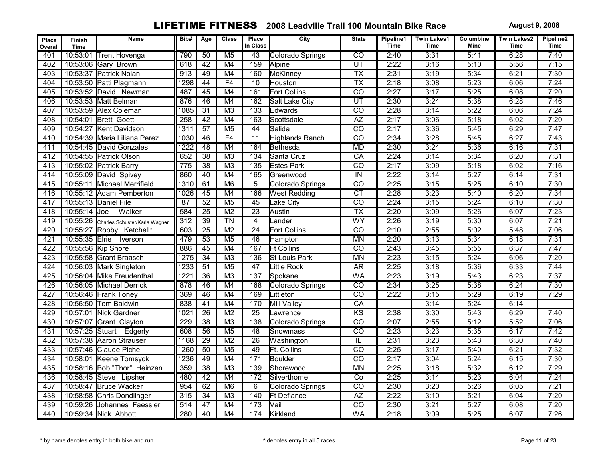| Place<br>Overall | Finish<br><b>Time</b> | Name                          | Bib# | Age             | <b>Class</b>    | Place<br>In Class | City                        | <b>State</b>             | Pipeline1<br><b>Time</b> | <b>Twin Lakes1</b><br>Time | Columbine<br>Mine | <b>Twin Lakes2</b><br>Time | Pipeline2<br>Time |
|------------------|-----------------------|-------------------------------|------|-----------------|-----------------|-------------------|-----------------------------|--------------------------|--------------------------|----------------------------|-------------------|----------------------------|-------------------|
| 401              | 10:53:01              | <b>Trent Hovenga</b>          | 790  | 50              | M <sub>5</sub>  | 43                | Colorado Springs            | $\overline{co}$          | 2:40                     | 3:31                       | 5:41              | 6:28                       | 7:40              |
| 402              |                       | 10:53:06 Gary Brown           | 618  | $\overline{42}$ | M4              | 159               | Alpine                      | UT                       | 2:22                     | 3:16                       | 5:10              | 5:56                       | 7:15              |
| 403              |                       | 10:53:37 Patrick Nolan        | 913  | 49              | M4              | 160               | McKinney                    | $\overline{TX}$          | 2:31                     | 3:19                       | 5:34              | 6:21                       | 7:30              |
| 404              |                       | 10:53:50 Patti Plagmann       | 1298 | 44              | F4              | $\overline{10}$   | Houston                     | $\overline{TX}$          | 2:18                     | 3:08                       | 5:23              | 6:06                       | 7:24              |
| 405              |                       | 10:53:52 David Newman         | 487  | 45              | M4              | 161               | <b>Fort Collins</b>         | $\overline{co}$          | 2:27                     | 3:17                       | 5:25              | 6:08                       | 7:20              |
| 406              |                       | 10:53:53 Matt Belman          | 876  | 46              | M4              | 162               | <b>Salt Lake City</b>       | $\overline{\mathsf{UT}}$ | 2:30                     | 3:24                       | 5:38              | 6:28                       | 7:46              |
| 407              |                       | 10:53:59 Alex Coleman         | 1085 | $\overline{31}$ | M <sub>3</sub>  | $\overline{133}$  | Edwards                     | $\overline{co}$          | 2:28                     | 3:14                       | 5:22              | 6:06                       | 7:24              |
| 408              | 10:54:01              | <b>Brett Goett</b>            | 258  | 42              | M4              | 163               | Scottsdale                  | $\overline{AZ}$          | 2:17                     | 3:06                       | 5:18              | 6:02                       | 7:20              |
| 409              | 10:54:27              | Kent Davidson                 | 1311 | $\overline{57}$ | M <sub>5</sub>  | 44                | Salida                      | $\overline{CO}$          | 2:17                     | 3:36                       | 5:45              | 6:29                       | 7:47              |
| 410              |                       | 10:54:39 Maria Liliana Perez  | 1030 | 46              | F4              | $\overline{11}$   | <b>Highlands Ranch</b>      | $\overline{co}$          | 2:34                     | 3:28                       | 5:45              | 6:27                       | 7:43              |
| 411              |                       | 10:54:45 David Gonzales       | 1222 | $\overline{48}$ | M4              | 164               | <b>Bethesda</b>             | <b>MD</b>                | 2:30                     | 3:24                       | 5:36              | 6:16                       | 7:31              |
| 412              |                       | 10:54:55 Patrick Olson        | 652  | $\overline{38}$ | M <sub>3</sub>  | $\overline{134}$  | Santa Cruz                  | $\overline{CA}$          | 2:24                     | 3:14                       | 5:34              | 6:20                       | 7:31              |
| 413              |                       | 10:55:02 Patrick Barry        | 775  | $\overline{38}$ | $\overline{M3}$ | $\overline{135}$  | <b>Estes Park</b>           | $\overline{CO}$          | 2:17                     | 3:09                       | 5:18              | 6:02                       | 7:16              |
| 414              |                       | 10:55:09 David Spivey         | 860  | 40              | M4              | 165               | Greenwood                   | $\overline{M}$           | 2:22                     | 3:14                       | 5:27              | 6:14                       | 7:31              |
| 415              |                       | 10:55:11 Michael Merrifield   | 1310 | 61              | M6              | $\overline{5}$    | Colorado Springs            | $\overline{co}$          | 2:25                     | 3:15                       | 5:25              | 6:10                       | 7:30              |
| 416              |                       | 10:55:12 Adam Pemberton       | 1026 | 45              | M4              | 166               | <b>West Redding</b>         | CT                       | 2:28                     | 3:23                       | 5:40              | 6:20                       | 7:34              |
| 417              |                       | 10:55:13 Daniel File          | 87   | 52              | M <sub>5</sub>  | 45                | Lake City                   | $\overline{co}$          | 2:24                     | 3:15                       | 5:24              | 6:10                       | 7:30              |
| 418              | 10:55:14              | Walker<br><b>U</b> oe         | 584  | $\overline{25}$ | M <sub>2</sub>  | $\overline{23}$   | Austin                      | $\overline{\mathsf{TX}}$ | 2:20                     | 3:09                       | 5:26              | 6:07                       | 7:23              |
| 419              | 10:55:26              | Charles Schuster/Karla Wagner | 312  | $\overline{39}$ | $\overline{T}N$ | $\overline{4}$    | Lander                      | WY                       | 2:26                     | 3:19                       | 5:30              | 6:07                       | 7:21              |
| 420              |                       | 10:55:27 Robby Ketchell*      | 603  | $\overline{25}$ | M <sub>2</sub>  | $\overline{24}$   | <b>Fort Collins</b>         | $\overline{co}$          | 2:10                     | 2:55                       | 5:02              | 5:48                       | 7:06              |
| 421              | 10:55:35 Elrie        | Iverson                       | 479  | 53              | M <sub>5</sub>  | 46                | <b>Hampton</b>              | <b>MN</b>                | 2:20                     | 3:13                       | 5:34              | 6:18                       | 7:31              |
| 422              |                       | 10:55:56 Kip Shore            | 886  | 45              | M4              | 167               | <b>Ft Collins</b>           | $\overline{CO}$          | 2:43                     | 3:45                       | 5:55              | 6:37                       | 7:47              |
| 423              |                       | 10:55:58 Grant Braasch        | 1275 | $\overline{34}$ | M <sub>3</sub>  | 136               | <b>St Louis Park</b>        | <b>MN</b>                | 2:23                     | 3:15                       | 5:24              | 6:06                       | 7:20              |
| 424              |                       | 10:56:03 Mark Singleton       | 1233 | $\overline{51}$ | M <sub>5</sub>  | 47                | Little Rock                 | AR                       | 2:25                     | 3:18                       | 5:36              | 6:33                       | 7:44              |
| 425              |                       | 10:56:04 Mike Freudenthal     | 1221 | $\overline{36}$ | M <sub>3</sub>  | 137               | Spokane                     | <b>WA</b>                | 2:23                     | 3:19                       | 5:43              | 6:23                       | 7:37              |
| 426              |                       | 10:56:05 Michael Derrick      | 878  | 46              | M4              | 168               | Colorado Springs            | $\overline{co}$          | 2:34                     | 3:25                       | 5:38              | 6:24                       | 7:30              |
| 427              |                       | 10:56:46 Frank Toney          | 369  | 46              | M4              | 169               | Littleton                   | $\overline{co}$          | 2:22                     | 3:15                       | 5:29              | 6:19                       | 7:29              |
| 428              |                       | 10:56:50 Tom Baldwin          | 838  | 41              | M4              | 170               | <b>Mill Valley</b>          | CA                       |                          | 3:14                       | 5:24              | 6:14                       |                   |
| 429              |                       | 10:57:01 Nick Gardner         | 1021 | $\overline{26}$ | M <sub>2</sub>  | $\overline{25}$   | _awrence                    | KS                       | 2:38                     | 3:30                       | 5:43              | 6:29                       | 7:40              |
| 430              |                       | 10:57:07 Grant Clayton        | 229  | $\overline{38}$ | M <sub>3</sub>  | $\overline{138}$  | Colorado Springs            | $\overline{CO}$          | 2:07                     | 2:55                       | 5:12              | 5:52                       | 7:06              |
| 431              |                       | 10:57:25 Stuart Edgerly       | 608  | 56              | M <sub>5</sub>  | 48                | Snowmass                    | $\overline{co}$          | 2:23                     | 3:23                       | 5:35              | 6:17                       | 7:42              |
| 432              |                       | 10:57:38 Aaron Strauser       | 1168 | $\overline{29}$ | $\overline{M2}$ | $\overline{26}$   | Washington                  | $\overline{\mathbb{L}}$  | 2:31                     | 3:23                       | 5:43              | 6:30                       | 7:40              |
| 433              |                       | 10:57:46 Claude Piche         | 1260 | 50              | M <sub>5</sub>  | 49                | <b>Ft. Collins</b>          | $\overline{co}$          | 2:25                     | 3:17                       | 5:40              | 6:21                       | 7:32              |
| 434              |                       | 10:58:01 Keene Tomsyck        | 1236 | 49              | M4              | $\overline{171}$  | <b>Boulder</b>              | $\overline{co}$          | 2:17                     | 3:04                       | 5:24              | 6:15                       | 7:30              |
| 435              |                       | 10:58:16 Bob "Thor" Heinzen   | 359  | $\overline{38}$ | M <sub>3</sub>  | 139               | Shorewood                   | <b>MN</b>                | 2:25                     | 3:18                       | 5:32              | 6:12                       | 7:29              |
| 436              |                       | 10:58:45 Steve Lipsher        | 480  | 42              | M4              | 172               | Silverthorne                | $\overline{C}$           | 2:25                     | 3:14                       | 5:23              | 6:04                       | 7:24              |
| 437              | 10:58:47              | <b>Bruce Wacker</b>           | 954  | 62              | M6              | 6                 | Colorado Springs            | $\overline{co}$          | 2:30                     | 3:20                       | 5:26              | 6:05                       | 7:21              |
| 438              |                       | 10:58:58 Chris Dondlinger     | 315  | $\overline{34}$ | M <sub>3</sub>  | 140               | <b>Ft Defiance</b>          | $\overline{AZ}$          | 2:22                     | 3:10                       | 5:21              | 6:04                       | 7:20              |
| 439              |                       | 10:59:26 Johannes Faessler    | 514  | 47              | M4              | 173               | $\overline{\mathsf{V}}$ ail | $\overline{CO}$          | 2:30                     | 3:21                       | 5:27              | 6:08                       | 7:20              |
| 440              |                       | 10:59:34 Nick Abbott          | 280  | 40              | M4              | 174               | Kirkland                    | <b>WA</b>                | 2:18                     | 3:09                       | 5:25              | 6:07                       | 7:26              |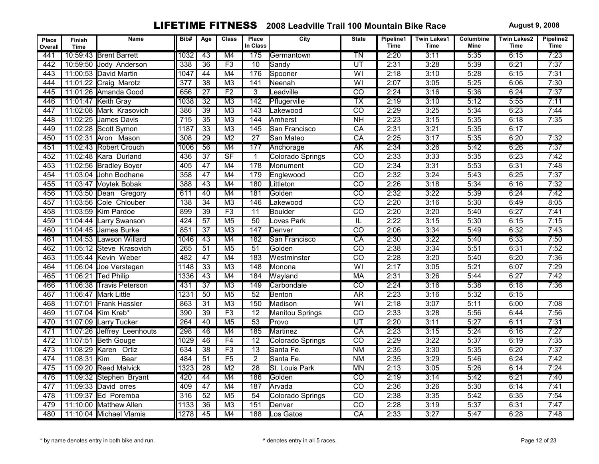| Place<br>Overall | Finish<br><b>Time</b> | Name                       | Bib#             | Age             | <b>Class</b>                      | Place<br>In Class | City              | <b>State</b>             | Pipeline1<br><b>Time</b> | <b>Twin Lakes1</b><br><b>Time</b> | Columbine<br>Mine | <b>Twin Lakes2</b><br>Time | Pipeline2<br>Time |
|------------------|-----------------------|----------------------------|------------------|-----------------|-----------------------------------|-------------------|-------------------|--------------------------|--------------------------|-----------------------------------|-------------------|----------------------------|-------------------|
| 441              |                       | 10:59:43 Brent Barrett     | 1032             | 43              | M4                                | 175               | Germantown        | TN                       | 2:20                     | 3:11                              | 5:35              | 6:15                       | 7:23              |
| 442              |                       | 10:59:50 Jody Anderson     | 338              | $\overline{36}$ | F3                                | 10                | Sandy             | UT                       | 2:31                     | 3:28                              | 5:39              | 6:21                       | 7:37              |
| 443              |                       | 11:00:53 David Martin      | 1047             | 44              | M4                                | 176               | Spooner           | $\overline{W}$           | 2:18                     | 3:10                              | 5:28              | 6:15                       | 7:31              |
| 444              |                       | 11:01:22 Craig Marotz      | $\overline{377}$ | $\overline{38}$ | M <sub>3</sub>                    | 141               | Neenah            | $\overline{W}$           | 2:07                     | 3:05                              | 5:25              | 6:06                       | 7:30              |
| 445              |                       | 11:01:26 Amanda Good       | 656              | 27              | F <sub>2</sub>                    | $\overline{3}$    | Leadville         | $\overline{co}$          | 2:24                     | 3:16                              | 5:36              | 6:24                       | 7:37              |
| 446              |                       | 11:01:47 Keith Gray        | 1038             | $\overline{32}$ | M3                                | 142               | Pflugerville      | $\overline{\mathsf{TX}}$ | 2:19                     | 3:10                              | 5:12              | 5:55                       | 7:11              |
| 447              | 11:02:08              | Mark Krasovich             | 386              | $\overline{39}$ | M <sub>3</sub>                    | 143               | Lakewood          | $\overline{co}$          | 2:29                     | 3:25                              | 5:34              | 6:23                       | 7:44              |
| 448              |                       | 11:02:25 James Davis       | $\overline{715}$ | $\overline{35}$ | M <sub>3</sub>                    | 144               | Amherst           | $\overline{NH}$          | 2:23                     | 3:15                              | 5:35              | 6:18                       | 7:35              |
| 449              |                       | 11:02:28 Scott Symon       | 1187             | $\overline{33}$ | M3                                | 145               | San Francisco     | $\overline{CA}$          | 2:31                     | 3:21                              | 5:35              | 6:17                       |                   |
| 450              |                       | 11:02:31 Aron Mason        | 308              | $\overline{29}$ | M <sub>2</sub>                    | $\overline{27}$   | San Mateo         | CA                       | 2:25                     | 3:17                              | 5:35              | 6:20                       | 7:32              |
| 451              |                       | 11:02:43 Robert Crouch     | 1006             | 56              | M4                                | 177               | Anchorage         | <b>AK</b>                | 2:34                     | 3:26                              | 5:42              | 6:26                       | 7:37              |
| 452              |                       | 11:02:48 Kara Durland      | 436              | $\overline{37}$ | $\overline{\mathsf{S}\mathsf{F}}$ | $\mathbf{1}$      | Colorado Springs  | $\overline{co}$          | 2:33                     | 3:33                              | 5:35              | 6:23                       | 7:42              |
| 453              |                       | 11:02:56 Bradley Boyer     | 405              | 47              | M4                                | 178               | <b>I</b> Monument | $\overline{CO}$          | 2:34                     | 3:31                              | 5:53              | 6:31                       | 7:48              |
| 454              | 11:03:04              | John Bodhane               | 358              | $\overline{47}$ | M4                                | 179               | Englewood         | $\overline{CO}$          | 2:32                     | 3:24                              | 5:43              | 6:25                       | 7:37              |
| 455              |                       | 11:03:47 Voytek Bobak      | 388              | 43              | M4                                | 180               | Littleton         | $\overline{co}$          | 2:26                     | 3:18                              | 5:34              | 6:16                       | 7:32              |
| 456              |                       | 11:03:50 Dean Gregory      | 611              | 40              | M4                                | 181               | Golden            | $\overline{co}$          | 2:32                     | 3:22                              | 5:39              | 6:24                       | 7:42              |
| 457              |                       | 11:03:56 Cole Chlouber     | $\overline{138}$ | $\overline{34}$ | $\overline{M3}$                   | 146               | Lakewood          | $\overline{co}$          | 2:20                     | 3:16                              | 5:30              | 6:49                       | 8:05              |
| 458              | 11:03:59              | Kim Pardoe                 | 899              | $\overline{39}$ | F3                                | $\overline{11}$   | Boulder           | $\overline{co}$          | 2:20                     | 3:20                              | 5:40              | 6:27                       | 7:41              |
| 459              | 11:04:44              | Larry Swanson              | 424              | $\overline{57}$ | M <sub>5</sub>                    | $\overline{50}$   | Loves Park        | $\overline{\mathbb{L}}$  | 2:22                     | 3:15                              | 5:30              | 6:15                       | 7:15              |
| 460              |                       | 11:04:45 James Burke       | 851              | $\overline{37}$ | M <sub>3</sub>                    | 147               | Denver            | $\overline{co}$          | 2:06                     | 3:34                              | 5:49              | 6:32                       | 7:43              |
| 461              |                       | 11:04:53 Lawson Willard    | 1046             | 43              | M4                                | 182               | San Francisco     | $\overline{CA}$          | 2:30                     | 3:22                              | 5:40              | 6:33                       | 7:50              |
| 462              | 11:05:12              | Steve Krasovich            | $\overline{265}$ | $\overline{51}$ | M <sub>5</sub>                    | $\overline{51}$   | Golden            | $\overline{CO}$          | 2:38                     | 3:34                              | 5:51              | 6:31                       | 7:52              |
| 463              |                       | 11:05:44 Kevin Weber       | 482              | 47              | M4                                | 183               | Westminster       | $\overline{co}$          | 2:28                     | 3:20                              | 5:40              | 6:20                       | 7:36              |
| 464              |                       | 11:06:04 Joe Verstegen     | 1148             | $\overline{33}$ | M3                                | $\overline{148}$  | Monona            | $\overline{W}$           | 2:17                     | 3:05                              | 5:21              | 6:07                       | 7:29              |
| 465              |                       | 11:06:21 Ted Philip        | 1336             | 43              | M4                                | $\overline{184}$  | Wayland           | <b>MA</b>                | 2:31                     | 3:26                              | 5:44              | 6:27                       | 7:42              |
| 466              |                       | 11:06:38 Travis Peterson   | 431              | $\overline{37}$ | M3                                | 149               | Carbondale        | $\overline{co}$          | 2:24                     | 3:16                              | 5:38              | 6:18                       | 7:36              |
| 467              | 11:06:47              | <b>Mark Little</b>         | 1231             | 50              | M <sub>5</sub>                    | $\overline{52}$   | Benton            | AR                       | 2:23                     | 3:16                              | 5:32              | 6:15                       |                   |
| 468              | 11:07:01              | <b>Frank Hassler</b>       | 863              | $\overline{31}$ | M <sub>3</sub>                    | 150               | Madison           | $\overline{W}$           | 2:18                     | 3:07                              | 5:11              | 6:00                       | 7:08              |
| 469              |                       | 11:07:04 Kim Kreb*         | 390              | 39              | F3                                | $\overline{12}$   | Manitou Springs   | $\overline{CO}$          | 2:33                     | 3:28                              | 5:56              | 6:44                       | 7:56              |
| 470              |                       | 11:07:09 Larry Tucker      | 264              | 40              | M <sub>5</sub>                    | $\overline{53}$   | Provo             | $\overline{UT}$          | 2:20                     | 3:11                              | 5:27              | 6:11                       | 7:31              |
| 471              |                       | 11:07:26 Jeffrey Leenhouts | 298              | 46              | M4                                | 185               | Martinez          | CA                       | 2:23                     | 3:15                              | 5:24              | 6:16                       | 7:27              |
| 472              | 11:07:51              | <b>Beth Gouge</b>          | 1029             | $\overline{46}$ | F4                                | $\overline{12}$   | Colorado Springs  | $\overline{co}$          | 2:29                     | 3:22                              | 5:37              | 6:19                       | 7:35              |
| 473              | 11:08:29              | Karen Ortiz                | 634              | $\overline{38}$ | F3                                | $\overline{13}$   | Santa Fe.         | $\overline{\text{NM}}$   | 2:35                     | 3:30                              | 5:35              | 6:20                       | 7:37              |
| 474              | 11:08:31              | Bear<br>Kim                | 484              | $\overline{51}$ | F5                                | $\overline{2}$    | Santa Fe.         | N <sub>M</sub>           | 2:35                     | 3:29                              | 5:46              | 6:24                       | 7:42              |
| 475              |                       | 11:09:20 Reed Malvick      | 1323             | $\overline{28}$ | $\overline{M2}$                   | $\overline{28}$   | St. Louis Park    | <b>MN</b>                | 2:13                     | 3:05                              | 5:26              | 6:14                       | 7:24              |
| 476              |                       | 11:09:32 Stephen Bryant    | 420              | 44              | M4                                | 186               | Golden            | $\overline{\text{co}}$   | 2:19                     | 3:14                              | 5:42              | 6:21                       | 7:40              |
| 477              |                       | 11:09:33 David orres       | 409              | $\overline{47}$ | M4                                | 187               | Arvada            | $\overline{co}$          | 2:36                     | 3:26                              | 5:30              | 6:14                       | 7:41              |
| 478              |                       | 11:09:37 Ed Poremba        | 316              | 52              | M <sub>5</sub>                    | 54                | Colorado Springs  | $\overline{CO}$          | 2:38                     | 3:35                              | 5:42              | 6:35                       | 7:54              |
| 479              |                       | 11:10:00 Matthew Allen     | 1133             | 36              | M <sub>3</sub>                    | 151               | Denver            | $\overline{co}$          | 2:28                     | 3:19                              | 5:37              | 6:31                       | 7:47              |
| 480              |                       | 11:10:04 Michael Vlamis    | 1278             | 45              | M4                                | 188               | Los Gatos         | $\overline{CA}$          | 2:33                     | 3:27                              | 5:47              | 6:28                       | 7:48              |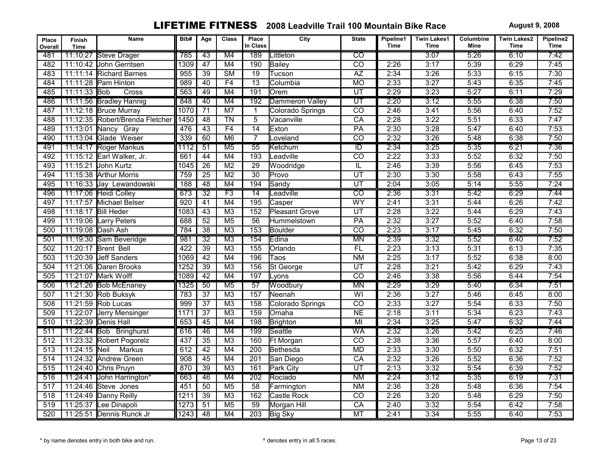| Place<br>Overall | <b>Finish</b><br><b>Time</b> | Name                            | Bib#             | Age             | <b>Class</b>           | Place<br>In Class | City                  | <b>State</b>            | Pipeline1<br>Time | <b>Twin Lakes1</b><br>Time | Columbine<br>Mine | <b>Twin Lakes2</b><br>Time | Pipeline2<br>Time |
|------------------|------------------------------|---------------------------------|------------------|-----------------|------------------------|-------------------|-----------------------|-------------------------|-------------------|----------------------------|-------------------|----------------------------|-------------------|
| 481              | 11:10:27                     | Steve Drager                    | 785              | 43              | M4                     | 189               | ∟ittleton             | $\overline{CO}$         |                   | 3:07                       | 5:26              | 6:10                       | 7:42              |
| 482              |                              | 11:10:42 John Gerritsen         | 1309             | 47              | M4                     | 190               | Bailey                | $\overline{co}$         | 2:26              | 3:17                       | 5:39              | 6:29                       | 7:45              |
| 483              |                              | 11:11:14 Richard Barnes         | 955              | 39              | $\overline{\text{SM}}$ | $\overline{19}$   | Tucson                | $\overline{AZ}$         | 2:34              | 3:26                       | 5:33              | 6:15                       | 7:30              |
| 484              | 11:11:28                     | Pam Hinton                      | 989              | 40              | F4                     | $\overline{13}$   | Columbia              | $\overline{MO}$         | 2:33              | 3:27                       | 5:43              | 6:35                       | 7:45              |
| 485              | 11:11:33 Bob                 | Cross                           | 563              | 49              | M4                     | 191               | Orem                  | UT                      | 2:29              | 3:23                       | 5:27              | 6:11                       | 7:29              |
| 486              |                              | 11:11:56 Bradley Hannig         | 848              | 40              | M4                     | 192               | Dammeron Valley       | $\overline{U}$          | 2:20              | 3:12                       | 5:55              | 6:38                       | 7:50              |
| 487              |                              | 11:12:18 Bruce Murray           | 1070             | $\overline{71}$ | M <sub>7</sub>         | $\mathbf{1}$      | Colorado Springs      | $\overline{co}$         | 2:46              | 3:41                       | 5:56              | 6:40                       | 7:52              |
| 488              |                              | 11:12:35 Robert/Brenda Fletcher | 1450             | $\overline{48}$ | $\overline{T}N$        | $\overline{5}$    | Vacanville            | CA                      | 2:28              | 3:22                       | 5:51              | 6:33                       | 7:47              |
| 489              | 11:13:01                     | Nancy Gray                      | 476              | 43              | F4                     | $\overline{14}$   | Exton                 | PA                      | 2:30              | 3:28                       | 5:47              | 6:40                       | 7:53              |
| 490              |                              | 11:13:04 Glade Weiser           | 339              | 60              | M6                     | $\overline{7}$    | Loveland              | $\overline{co}$         | 2:32              | 3:26                       | 5:48              | 6:38                       | 7:50              |
| 491              |                              | 11:14:17 Roger Mankus           | 1112             | $\overline{51}$ | $\overline{M5}$        | $\overline{55}$   | Ketchum               | $\overline{\mathbb{D}}$ | 2:34              | 3:25                       | 5:35              | 6:21                       | 7:36              |
| 492              |                              | 11:15:12 Earl Walker, Jr.       | 661              | 44              | M4                     | 193               | Leadville             | $\overline{co}$         | 2:22              | 3:33                       | 5:52              | 6:32                       | 7:50              |
| 493              | 11:15:21                     | <b>John Kurtz</b>               | 1045             | $\overline{26}$ | $\overline{M2}$        | 29                | Woodridge             | IL                      | 2:46              | 3:39                       | 5:56              | 6:45                       | 7:53              |
| 494              |                              | 11:15:38 Arthur Morris          | 759              | $\overline{25}$ | $\overline{M2}$        | $\overline{30}$   | Provo                 | UT                      | 2:30              | 3:30                       | 5:58              | 6:43                       | 7:55              |
| 495              |                              | 11:16:33 Jay Lewandowski        | 188              | 48              | M4                     | 194               | Sandy                 | UT                      | 2:04              | 3:05                       | 5:14              | 5:55                       | 7:24              |
| 496              |                              | 11:17:06 Heidi Colley           | 673              | $\overline{32}$ | F3                     | $\overline{14}$   | Leadville             | $\overline{\text{co}}$  | 2:36              | 3:31                       | 5:42              | 6:29                       | 7:44              |
| 497              |                              | 11:17:57 Michael Belser         | 920              | 41              | M4                     | 195               | Casper                | WY                      | 2:41              | 3:31                       | 5:44              | 6:26                       | 7:42              |
| 498              | 11:18:17                     | <b>Bill Heder</b>               | 1083             | 43              | M <sub>3</sub>         | 152               | <b>Pleasant Grove</b> | UT                      | 2:28              | 3:22                       | 5:44              | 6:29                       | 7:43              |
| 499              |                              | 11:19:06 Larry Peters           | 688              | 52              | M <sub>5</sub>         | 56                | Hummelstown           | PA                      | 2:32              | 3:27                       | 5:52              | 6:40                       | 7:58              |
| 500              | 11:19:08 Dash Ash            |                                 | 784              | $\overline{38}$ | M <sub>3</sub>         | 153               | Boulder               | $\overline{co}$         | 2:23              | 3:17                       | 5:45              | 6:32                       | 7:50              |
| 501              |                              | 11:19:30 Sam Beveridge          | 981              | $\overline{32}$ | M <sub>3</sub>         | 154               | Edina                 | <b>MN</b>               | 2:39              | 3:32                       | 5:52              | 6:40                       | 7:52              |
| 502              | 11:20:17                     | <b>Brent Bell</b>               | $\overline{422}$ | $\overline{39}$ | M <sub>3</sub>         | $\overline{155}$  | Orlando               | FL                      | 2:23              | 3:13                       | 5:31              | 6:13                       | 7:35              |
| 503              |                              | 11:20:39 Jeff Sanders           | 1069             | 42              | M4                     | 196               | Taos                  | N <sub>M</sub>          | 2:25              | 3:17                       | 5:52              | 6:38                       | 8:00              |
| 504              |                              | 11:21:06 Daren Brooks           | 1252             | $\overline{39}$ | M <sub>3</sub>         | 156               | St George             | UT                      | 2:28              | 3:21                       | 5:42              | 6:29                       | 7:43              |
| 505              |                              | 11:21:07 Mark Wolff             | 1089             | $\overline{42}$ | M4                     | 197               | Lyons                 | $\overline{co}$         | 2:46              | 3:38                       | 5:56              | 6:44                       | 7:54              |
| 506              |                              | 11:21:26 Bob McEnaney           | 1325             | 50              | M <sub>5</sub>         | 57                | Woodbury              | <b>MN</b>               | 2:29              | 3:29                       | 5:40              | 6:34                       | 7:51              |
| 507              |                              | 11:21:30 Rob Buksyk             | 783              | $\overline{37}$ | M <sub>3</sub>         | 157               | Neenah                | $\overline{\mathsf{W}}$ | 2:36              | 3:27                       | 5:46              | 6:45                       | 8:00              |
| 508              |                              | 11:21:59 Rob Lucas              | 999              | $\overline{37}$ | M <sub>3</sub>         | 158               | Colorado Springs      | $\overline{co}$         | 2:33              | 3:27                       | 5:54              | 6:33                       | 7:50              |
| 509              |                              | 11:22:07 Jerry Mensinger        | 1171             | $\overline{37}$ | $\overline{M3}$        | 159               | <b>Omaha</b>          | NE                      | 2:18              | 3:11                       | 5:34              | 6:23                       | 7:43              |
| 510              |                              | 11:22:39 Denis Hall             | 653              | 45              | M4                     | 198               | Brighton              | MI                      | 2:34              | 3:25                       | 5:47              | 6:32                       | 7:44              |
| 511              |                              | 11:22:44 Bob Bringhurst         | 616              | 46              | M4                     | 199               | Seattle               | <b>WA</b>               | 2:32              | 3:26                       | 5:42              | 6:25                       | 7:46              |
| 512              |                              | 11:23:32 Robert Pogorelz        | 437              | $\overline{35}$ | M <sub>3</sub>         | 160               | <b>Ft Morgan</b>      | $\overline{CO}$         | 2:38              | 3:36                       | 5:57              | 6:40                       | 8:00              |
| $\overline{513}$ | 11:24:15 Neil                | <b>Markus</b>                   | 612              | 42              | M4                     | $\overline{200}$  | <b>Bethesda</b>       | <b>MD</b>               | 2:33              | 3:30                       | 5:50              | 6:32                       | 7:51              |
| 514              |                              | 11:24:32 Andrew Green           | 908              | 45              | M4                     | 201               | San Diego             | CA                      | 2:32              | 3:26                       | 5:52              | 6:36                       | 7:52              |
| 515              |                              | 11:24:40 Chris Pruyn            | 870              | $\overline{39}$ | $\overline{M3}$        | 161               | Park City             | $\overline{u}$          | 2:13              | 3:32                       | 5:54              | 6:39                       | 7:52              |
| 516              |                              | 11:24:41 John Harrington*       | 663              | 46              | M4                     | 202               | Rociado               | N <sub>M</sub>          | 2:24              | 3:12                       | 5:35              | 6:19                       | 7:31              |
| 517              | 11:24:46                     | Steve Jones                     | 451              | $\overline{50}$ | M <sub>5</sub>         | $\overline{58}$   | Farmington            | <b>NM</b>               | 2:36              | 3:28                       | 5:48              | 6:36                       | 7:54              |
| 518              |                              | 11:24:49 Danny Reilly           | 1211             | 39              | M <sub>3</sub>         | 162               | <b>Castle Rock</b>    | $\overline{CO}$         | 2:26              | 3:20                       | 5:48              | 6:29                       | 7:50              |
| 519              | 11:25:37                     | Lee Dinapoli                    | 1273             | $\overline{51}$ | M <sub>5</sub>         | 59                | Morgan Hill           | CA                      | 2:40              | 3:32                       | 5:54              | 6:42                       | 7:58              |
| 520              |                              | 11:25:51 Dennis Runck Jr        | 1243             | 48              | M4                     | 203               | <b>Big Sky</b>        | MT                      | 2:41              | 3:34                       | 5:55              | 6:40                       | 7:53              |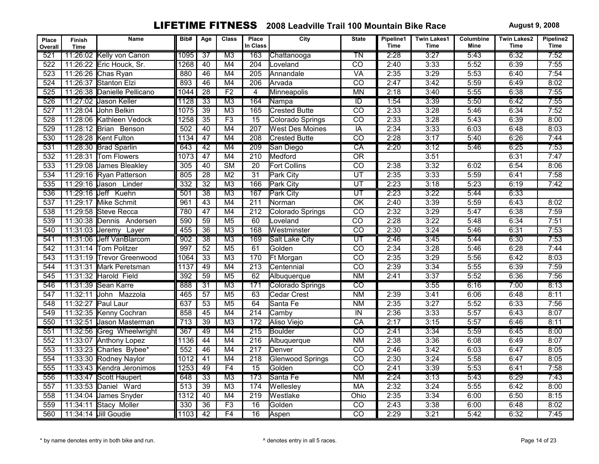| Place<br>Overall | <b>Finish</b><br><b>Time</b> | Name                        | Bib# | Age             | <b>Class</b>           | Place<br>In Class | City                   | <b>State</b>             | Pipeline1<br><b>Time</b> | <b>Twin Lakes1</b><br>Time | Columbine<br>Mine | <b>Twin Lakes2</b><br>Time | Pipeline2<br><b>Time</b> |
|------------------|------------------------------|-----------------------------|------|-----------------|------------------------|-------------------|------------------------|--------------------------|--------------------------|----------------------------|-------------------|----------------------------|--------------------------|
| 521              |                              | 11:26:02 Kelly von Canon    | 1095 | $\overline{37}$ | M3                     | 163               | Chattanooga            | $\overline{T}N$          | 2:28                     | 3:27                       | 5:43              | 6:32                       | 7:52                     |
| 522              |                              | 11:26:22 Eric Houck, Sr.    | 1268 | 40              | M4                     | $\overline{204}$  | Loveland               | $\overline{CO}$          | 2:40                     | 3:33                       | 5:52              | 6:39                       | 7:55                     |
| $\overline{523}$ |                              | 11:26:26 Chas Ryan          | 880  | $\overline{46}$ | M4                     | 205               | <b>Annandale</b>       | VA                       | 2:35                     | 3:29                       | 5:53              | 6:40                       | 7:54                     |
| 524              |                              | 11:26:37 Stanton Elzi       | 893  | 46              | M4                     | 206               | <b>I</b> Arvada        | $\overline{CO}$          | 2:47                     | 3:42                       | 5:59              | 6:49                       | 8:02                     |
| 525              |                              | 11:26:38 Danielle Pellicano | 1044 | 28              | F <sub>2</sub>         | $\overline{4}$    | Minneapolis            | <b>MN</b>                | 2:18                     | 3:40                       | 5:55              | 6:38                       | 7:55                     |
| 526              |                              | 11:27:02 Jason Keller       | 1128 | $\overline{33}$ | M3                     | 164               | Nampa                  | $\overline{ID}$          | 1:54                     | 3:39                       | 5:50              | 6:42                       | 7:55                     |
| 527              |                              | 11:28:04 John Belkin        | 1075 | 39              | M3                     | 165               | <b>Crested Butte</b>   | $\overline{co}$          | 2:33                     | 3:28                       | 5:46              | 6:34                       | 7:52                     |
| 528              |                              | 11:28:06 Kathleen Vedock    | 1258 | $\overline{35}$ | F3                     | $\overline{15}$   | Colorado Springs       | $\overline{CO}$          | 2:33                     | 3:28                       | 5:43              | 6:39                       | 8:00                     |
| 529              |                              | 11:28:12 Brian Benson       | 502  | 40              | M4                     | $\overline{207}$  | <b>West Des Moines</b> | IA                       | 2:34                     | 3:33                       | 6:03              | 6:48                       | 8:03                     |
| 530              |                              | 11:28:28 Kent Fulton        | 1134 | 47              | M4                     | $\overline{208}$  | <b>Crested Butte</b>   | $\overline{co}$          | 2:28                     | 3:17                       | 5:40              | 6:26                       | 7:44                     |
| 531              |                              | 11:28:30 Brad Sparlin       | 643  | $\overline{42}$ | M4                     | 209               | San Diego              | $\overline{CA}$          | 2:20                     | 3:12                       | 5:46              | 6:25                       | 7:53                     |
| 532              |                              | 11:28:31 Tom Flowers        | 1073 | 47              | M4                     | $\overline{210}$  | <b>I</b> Medford       | $\overline{OR}$          |                          | 3:51                       |                   | 6:31                       | 7:47                     |
| $\overline{533}$ |                              | 11:29:08 James Bleakley     | 305  | 40              | $\overline{\text{SM}}$ | $\overline{20}$   | Fort Collins           | $\overline{co}$          | 2:38                     | 3:32                       | 6:02              | 6:54                       | 8:06                     |
| 534              |                              | 11:29:16 Ryan Patterson     | 805  | $\overline{28}$ | M <sub>2</sub>         | $\overline{31}$   | <b>Park City</b>       | $\overline{UT}$          | 2:35                     | 3:33                       | 5:59              | 6:41                       | 7:58                     |
| 535              | 11:29:16 Jason               | Linder                      | 332  | $\overline{32}$ | M <sub>3</sub>         | 166               | Park City              | $\overline{UT}$          | 2:23                     | 3:18                       | 5:23              | 6:19                       | 7:42                     |
| 536              |                              | 11:29:16 Jeff Kuehn         | 501  | $\overline{38}$ | M3                     | 167               | <b>Park City</b>       | $\overline{\text{UT}}$   | 2:23                     | 3:22                       | 5:44              | 6:33                       |                          |
| $\overline{537}$ |                              | 11:29:17 Mike Schmit        | 961  | $\overline{43}$ | M4                     | $\overline{211}$  | <b>Norman</b>          | $\overline{OK}$          | 2:40                     | 3:39                       | 5:59              | 6:43                       | 8:02                     |
| 538              | 11:29:58                     | Steve Recca                 | 780  | $\overline{47}$ | M4                     | $\overline{212}$  | Colorado Springs       | $\overline{co}$          | 2:32                     | 3:29                       | 5:47              | 6:38                       | 7:59                     |
| 539              |                              | 11:30:38 Dennis Andersen    | 590  | 59              | M <sub>5</sub>         | 60                | Loveland               | $\overline{CO}$          | 2:28                     | 3:22                       | 5:48              | 6:34                       | 7:51                     |
| 540              |                              | 11:31:03 Jeremy Layer       | 455  | $\overline{36}$ | M3                     | 168               | Westminster            | $\overline{co}$          | 2:30                     | 3:24                       | 5:46              | 6:31                       | 7:53                     |
| 541              |                              | 11:31:06 Jeff VanBlarcom    | 902  | $\overline{38}$ | M3                     | 169               | Salt Lake City         | $\overline{\mathsf{UT}}$ | 2:46                     | 3:45                       | 5:44              | 6:30                       | 7:53                     |
| 542              |                              | 11:31:14 Tom Politzer       | 997  | $\overline{52}$ | M <sub>5</sub>         | 61                | Golden                 | $\overline{CO}$          | 2:34                     | 3:28                       | 5:46              | 6:28                       | 7:44                     |
| 543              |                              | 11:31:19 Trevor Greenwood   | 1064 | 33              | M <sub>3</sub>         | 170               | <b>Ft Morgan</b>       | $\overline{co}$          | 2:35                     | 3:29                       | 5:56              | 6:42                       | 8:03                     |
| 544              |                              | 11:31:31 Mark Peretsman     | 1137 | 49              | M4                     | $\overline{213}$  | Centennial             | $\overline{co}$          | 2:39                     | 3:34                       | 5:55              | 6:39                       | 7:59                     |
| 545              |                              | 11:31:32 Harold Field       | 392  | $\overline{59}$ | M <sub>5</sub>         | 62                | Albuquerque            | N <sub>M</sub>           | 2:41                     | 3:37                       | 5:52              | 6:36                       | 7:56                     |
| 546              |                              | 11:31:39 Sean Karre         | 888  | $\overline{31}$ | M3                     | 171               | Colorado Springs       | $\overline{co}$          |                          | 3:55                       | 6:16              | 7:00                       | 8:13                     |
| 547              | 11:32:11                     | Mazzola<br>John             | 465  | $\overline{57}$ | M <sub>5</sub>         | 63                | Cedar Crest            | <b>NM</b>                | 2:39                     | 3:41                       | 6:06              | 6:48                       | 8:11                     |
| $\overline{548}$ | 11:32:27                     | Paul Laur                   | 637  | 53              | M <sub>5</sub>         | 64                | Santa Fe               | N <sub>M</sub>           | 2:35                     | 3:27                       | 5:52              | 6:33                       | 7:56                     |
| 549              |                              | 11:32:35 Kenny Cochran      | 858  | 45              | M4                     | $\overline{214}$  | Camby                  | $\overline{N}$           | 2:36                     | 3:33                       | 5:57              | 6:43                       | 8:07                     |
| 550              |                              | 11:32:51 Jason Masterman    | 713  | $\overline{39}$ | M3                     | 172               | Aliso Viejo            | CA                       | 2:17                     | 3:15                       | 5:57              | 6:46                       | 8:11                     |
| 551              |                              | 11:32:56 Greg Wheelwright   | 367  | 49              | M4                     | 215               | Boulder                | $\overline{CO}$          | 2:41                     | 3:34                       | 5:59              | 6:45                       | 8:00                     |
| 552              |                              | 11:33:07 Anthony Lopez      | 1136 | 44              | M4                     | $\overline{216}$  | Albuquerque            | N <sub>M</sub>           | 2:38                     | 3:36                       | 6:08              | 6:49                       | 8:07                     |
| 553              |                              | 11:33:23 Charles Bybee*     | 552  | 46              | M4                     | $\overline{217}$  | Denver                 | $\overline{co}$          | 2:46                     | 3:42                       | 6:03              | 6:47                       | 8:05                     |
| 554              |                              | 11:33:30 Rodney Naylor      | 1012 | 41              | M4                     | 218               | Glenwood Springs       | $\overline{CO}$          | 2:30                     | 3:24                       | 5:58              | 6:47                       | 8:05                     |
| 555              |                              | 11:33:43 Kendra Jeronimos   | 1253 | 49              | F4                     | $\overline{15}$   | Golden                 | $\overline{co}$          | 2:41                     | 3:39                       | 5:53              | 6:41                       | 7:58                     |
| 556              |                              | 11:33:47 Scott Haupert      | 648  | $\overline{33}$ | M3                     | 173               | Santa Fe               | <b>NM</b>                | 2:24                     | 3:13                       | 5:43              | 6:29                       | 7:43                     |
| 557              | 11:33:53                     | Daniel Ward                 | 513  | 39              | M3                     | 174               | Wellesley              | <b>MA</b>                | 2:32                     | 3:24                       | 5:55              | 6:42                       | 8:00                     |
| 558              |                              | 11:34:04 James Snyder       | 1312 | 40              | M4                     | 219               | Westlake               | Ohio                     | 2:35                     | 3:34                       | 6:00              | 6:50                       | 8:15                     |
| 559              | 11:34:11                     | Stacy Moller                | 330  | $\overline{36}$ | F3                     | 16                | Golden                 | CO                       | 2:43                     | 3:38                       | 6:00              | 6:48                       | 8:02                     |
| 560              |                              | 11:34:14 Jill Goudie        | 1103 | 42              | F4                     | 16                | Aspen                  | $\overline{co}$          | 2:29                     | 3:21                       | 5:42              | 6:32                       | 7:45                     |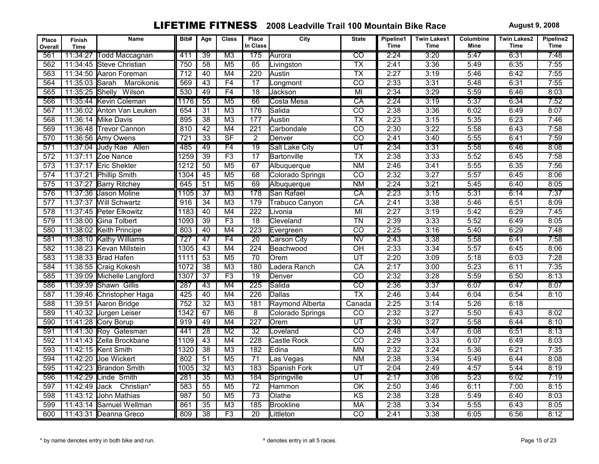| Place<br>Overall | Finish<br><b>Time</b> | Name                       | Bib#             | Age             | <b>Class</b>             | Place<br>In Class | City                  | <b>State</b>             | Pipeline1<br><b>Time</b> | <b>Twin Lakes1</b><br>Time | Columbine<br>Mine | <b>Twin Lakes2</b><br>Time | Pipeline2<br>Time |
|------------------|-----------------------|----------------------------|------------------|-----------------|--------------------------|-------------------|-----------------------|--------------------------|--------------------------|----------------------------|-------------------|----------------------------|-------------------|
| 561              | 11:34:27              | <b>Todd Maccagnan</b>      | 411              | $\overline{39}$ | M <sub>3</sub>           | 175               | Aurora                | $\overline{\mathrm{co}}$ | 2:24                     | 3:20                       | 5:47              | 6:31                       | 7:48              |
| 562              |                       | 11:34:45 Steve Christian   | 750              | $\overline{58}$ | M <sub>5</sub>           | 65                | Livingston            | $\overline{TX}$          | 2:41                     | 3:36                       | 5:49              | 6:35                       | 7:55              |
| 563              |                       | 11:34:50 Aaron Foreman     | $\overline{712}$ | 40              | M4                       | $\overline{220}$  | Austin                | $\overline{TX}$          | 2:27                     | 3:19                       | 5:46              | 6:42                       | 7:55              |
| 564              | 11:35:03 Sarah        | Marcikonis                 | 569              | 43              | F4                       | 17                | Longmont              | $\overline{co}$          | 2:33                     | 3:31                       | 5:48              | 6:31                       | 7:55              |
| 565              | 11:35:25 Shelly       | Wilson                     | 530              | 49              | F <sub>4</sub>           | $\overline{18}$   | Jackson               | MI                       | 2:34                     | 3:29                       | 5:59              | 6:46                       | 8:03              |
| 566              |                       | 11:35:44 Kevin Coleman     | 1176             | 55              | M <sub>5</sub>           | 66                | Costa Mesa            | CA                       | 2:24                     | 3:19                       | 5:37              | 6:34                       | 7:52              |
| 567              |                       | 11:36:02 Anton Van Leuken  | 654              | $\overline{31}$ | M <sub>3</sub>           | 176               | Salida                | $\overline{co}$          | 2:38                     | 3:36                       | 6:02              | 6:49                       | 8:07              |
| 568              |                       | 11:36:14 Mike Davis        | 895              | $\overline{38}$ | M <sub>3</sub>           | 177               | Austin                | $\overline{TX}$          | 2:23                     | 3:15                       | 5:35              | 6:23                       | 7:46              |
| 569              |                       | 11:36:48 Trevor Cannon     | 810              | 42              | M4                       | $\overline{221}$  | Carbondale            | $\overline{co}$          | 2:30                     | 3:22                       | 5:58              | 6:43                       | 7:58              |
| 570              |                       | 11:36:56 Amy Owens         | 721              | $\overline{33}$ | $\overline{\mathsf{SF}}$ | $\overline{2}$    | Denver                | $\overline{co}$          | 2:41                     | 3:40                       | 5:55              | 6:41                       | 7:59              |
| 571              |                       | 11:37:04 Judy Rae Allen    | 485              | 49              | F4                       | $\overline{19}$   | <b>Salt Lake City</b> | $\overline{\mathtt{UT}}$ | 2:34                     | 3:31                       | 5:58              | 6:46                       | 8:08              |
| 572              |                       | 11:37:11 Zoe Nance         | 1259             | $\overline{39}$ | F3                       | $\overline{17}$   | Bartonville           | $\overline{TX}$          | 2:38                     | 3:33                       | 5:52              | 6:45                       | 7:58              |
| $\overline{573}$ | 11:37:17              | Eric Shekter               | 1212             | 50              | M <sub>5</sub>           | 67                | Albuquerque           | N <sub>M</sub>           | 2:46                     | 3:41                       | 5:55              | 6:35                       | 7:56              |
| 574              | 11:37:21              | <b>Phillip Smith</b>       | 1304             | 45              | M <sub>5</sub>           | 68                | Colorado Springs      | $\overline{CO}$          | 2:32                     | 3:27                       | 5:57              | 6:45                       | 8:06              |
| 575              |                       | 11:37:27 Barry Ritchey     | 645              | $\overline{51}$ | M <sub>5</sub>           | 69                | Albuquerque           | N <sub>M</sub>           | 2:24                     | 3:21                       | 5:45              | 6:40                       | 8:05              |
| 576              |                       | 11:37:36 Jason Moline      | 1105             | $\overline{37}$ | M3                       | 178               | San Rafael            | CA                       | 2:23                     | 3:15                       | 5:31              | 6:14                       | 7:37              |
| 577              |                       | 11:37:37 Will Schwartz     | 916              | $\overline{34}$ | $\overline{M3}$          | 179               | <b>Trabuco Canyon</b> | $\overline{CA}$          | 2:41                     | 3:38                       | 5:46              | 6:51                       | 8:09              |
| $\overline{578}$ |                       | 11:37:45 Peter Elkowitz    | 1183             | 40              | M4                       | 222               | Livonia               | $\overline{M}$           | 2:27                     | 3:19                       | 5:42              | 6:29                       | 7:45              |
| 579              |                       | 11:38:00 Gina Tolbert      | 1093             | 39              | F3                       | $\overline{18}$   | Cleveland             | $\overline{TN}$          | 2:39                     | 3:33                       | 5:52              | 6:49                       | 8:05              |
| 580              |                       | 11:38:02 Keith Principe    | 803              | 40              | M4                       | $\overline{223}$  | Evergreen             | $\overline{co}$          | 2:25                     | 3:16                       | 5:40              | 6:29                       | 7:48              |
| 581              |                       | 11:38:10 Kathy Williams    | 727              | 47              | F4                       | $\overline{20}$   | <b>Carson City</b>    | $\overline{\text{NV}}$   | 2:43                     | 3:38                       | 5:58              | 6:41                       | 7:58              |
| 582              |                       | 11:38:23 Kevan Millstein   | 1305             | 43              | M4                       | $\overline{224}$  | Beachwood             | $\overline{OH}$          | 2:33                     | 3:34                       | 5:57              | 6:45                       | 8:06              |
| 583              |                       | 11:38:33 Brad Hafen        | 1111             | 53              | M <sub>5</sub>           | 70                | Orem                  | UT                       | 2:20                     | 3:09                       | 5:18              | 6:03                       | 7:28              |
| 584              |                       | 11:38:55 Craig Kokesh      | 1072             | $\overline{38}$ | M <sub>3</sub>           | 180               | Ladera Ranch          | CA                       | 2:17                     | 3:00                       | 5:23              | 6:11                       | 7:35              |
| 585              |                       | 11:39:09 Michelle Langford | 1307             | $\overline{37}$ | F3                       | $\overline{19}$   | Denver                | $\overline{co}$          | 2:32                     | 3:28                       | 5:59              | 6:50                       | 8:13              |
| 586              |                       | 11:39:39 Shawn Gillis      | 287              | 43              | M4                       | 225               | Salida                | $\overline{\text{co}}$   | 2:36                     | 3:37                       | 6:07              | 6:47                       | 8:07              |
| 587              |                       | 11:39:46 Christopher Haga  | 425              | 40              | M4                       | 226               | <b>Dallas</b>         | $\overline{TX}$          | 2:46                     | 3:44                       | 6:04              | 6:54                       | 8:10              |
| 588              |                       | 11:39:51 Aaron Bridge      | 752              | $\overline{32}$ | M <sub>3</sub>           | 181               | Raymond Alberta       | Canada                   | 2:25                     | 3:14                       | 5:26              | 6:18                       |                   |
| 589              |                       | 11:40:32 Jurgen Leiser     | 1342             | 67              | M6                       | 8                 | Colorado Springs      | $\overline{co}$          | 2:32                     | 3:27                       | 5:50              | 6:43                       | 8:02              |
| 590              |                       | 11:41:28 Cory Borup        | 919              | 49              | M4                       | $\overline{227}$  | Orem                  | $\overline{UT}$          | 2:30                     | 3:27                       | 5:58              | 6:44                       | 8:10              |
| 591              |                       | 11:41:30 Roy Gatesman      | 441              | $\overline{28}$ | M <sub>2</sub>           | 32                | Loveland              | $\overline{\text{co}}$   | 2:48                     | 3:47                       | 6:08              | 6:51                       | 8:13              |
| 592              |                       | 11:41:43 Zella Brockbane   | 1109             | 43              | M4                       | 228               | Castle Rock           | $\overline{co}$          | 2:29                     | 3:33                       | 6:07              | 6:49                       | 8:03              |
| 593              |                       | 11:42:15 Kent Smith        | 1320             | $\overline{38}$ | M <sub>3</sub>           | 182               | Edina                 | <b>MN</b>                | 2:32                     | 3:24                       | 5:36              | 6:21                       | 7:35              |
| 594              |                       | 11:42:20 Joe Wickert       | 802              | $\overline{51}$ | M <sub>5</sub>           | $\overline{71}$   | Las Vegas             | N <sub>M</sub>           | 2:38                     | 3:34                       | 5:49              | 6:44                       | 8:08              |
| 595              |                       | 11:42:23 Brandon Smith     | 1005             | $\overline{32}$ | M <sub>3</sub>           | 183               | Spanish Fork          | $\overline{\text{UT}}$   | 2:04                     | 2:49                       | 4:57              | 5:44                       | 8:19              |
| 596              |                       | 11:42:29 Linde Smith       | 281              | $\overline{35}$ | $\overline{M3}$          | 184               | Springville           | $\overline{\mathtt{UT}}$ | 2:17                     | 3:06                       | 5:23              | 6:02                       | 7:19              |
| 597              | 11:42:49              | Jack<br>Christian*         | 583              | $\overline{55}$ | M <sub>5</sub>           | $\overline{72}$   | Hammon                | $\overline{OK}$          | 2:50                     | 3:46                       | 6:11              | 7:00                       | 8:15              |
| 598              | 11:43:12              | John Mathias               | 987              | 50              | M <sub>5</sub>           | $\overline{73}$   | Olathe                | K <sub>S</sub>           | 2:38                     | 3:28                       | 5:49              | 6:40                       | 8:03              |
| 599              |                       | 11:43:14 Samuel Wellman    | 861              | $\overline{35}$ | $\overline{M3}$          | 185               | <b>Brookline</b>      | MA                       | 2:38                     | 3:34                       | 5:55              | 6:43                       | 8:05              |
| 600              |                       | 11:43:31 Deanna Greco      | 809              | $\overline{38}$ | F3                       | 20                | Littleton             | $\overline{co}$          | 2:41                     | 3:38                       | 6:05              | 6:56                       | 8:12              |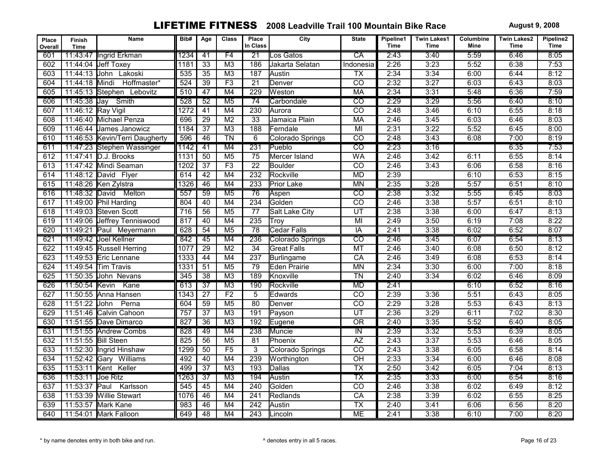| Place<br>Overall | <b>Finish</b><br><b>Time</b> | Name                           | Bib# | Age             | <b>Class</b>    | Place<br>In Class | City                  | <b>State</b>             | Pipeline1<br><b>Time</b> | <b>Twin Lakes1</b><br><b>Time</b> | Columbine<br>Mine | <b>Twin Lakes2</b><br><b>Time</b> | Pipeline2<br><b>Time</b> |
|------------------|------------------------------|--------------------------------|------|-----------------|-----------------|-------------------|-----------------------|--------------------------|--------------------------|-----------------------------------|-------------------|-----------------------------------|--------------------------|
| 601              |                              | 11:43:47 Ingrid Erkman         | 1234 | 41              | F4              | 21                | Los Gatos             | $\overline{CA}$          | 2:43                     | 3:40                              | 5:59              | 6:46                              | 8:05                     |
| 602              | 11:44:04                     | Jeff Toxey                     | 1181 | $\overline{33}$ | M <sub>3</sub>  | 186               | Jakarta Selatan       | <b>Indonesia</b>         | 2:26                     | 3:23                              | 5:52              | 6:38                              | 7:53                     |
| 603              | 11:44:13                     | John Lakoski                   | 535  | $\overline{35}$ | M3              | 187               | Austin                | $\overline{TX}$          | 2:34                     | 3:34                              | 6:00              | 6:44                              | 8:12                     |
| 604              | 11:44:18                     | Hoffmaster*<br>Mindi           | 524  | 39              | F3              | $\overline{21}$   | Denver                | $\overline{CO}$          | 2:32                     | 3:27                              | 6:03              | 6:43                              | 8:03                     |
| 605              |                              | 11:45:13 Stephen Lebovitz      | 510  | 47              | M4              | 229               | Weston                | <b>MA</b>                | 2:34                     | 3:31                              | 5:48              | 6:36                              | 7:59                     |
| 606              | 11:45:38 Jay                 | Smith                          | 528  | $\overline{52}$ | M <sub>5</sub>  | $\overline{74}$   | Carbondale            | $\overline{\text{co}}$   | 2:29                     | 3:29                              | 5:56              | 6:40                              | 8:10                     |
| 607              | 11:46:12 Ray Vigil           |                                | 1272 | $\overline{41}$ | M4              | 230               | Aurora                | $\overline{co}$          | 2:48                     | 3:46                              | 6:10              | 6:55                              | 8:18                     |
| 608              |                              | 11:46:40 Michael Penza         | 696  | 29              | M <sub>2</sub>  | 33                | Jamaica Plain         | <b>MA</b>                | 2:46                     | 3:45                              | 6:03              | 6:46                              | 8:03                     |
| 609              | 11:46:44                     | James Janowicz                 | 1184 | $\overline{37}$ | M3              | 188               | Ferndale              | MI                       | 2:31                     | 3:22                              | 5:52              | 6:45                              | 8:00                     |
| 610              |                              | 11:46:53 Kevin/Terri Daugherty | 596  | 46              | $\overline{T}N$ | 6                 | Colorado Springs      | $\overline{CO}$          | 2:48                     | 3:43                              | 6:08              | 7:00                              | 8:19                     |
| 611              |                              | 11:47:23 Stephen Wassinger     | 1142 | 41              | M4              | 231               | Pueblo                | टव                       | 2:23                     | 3:16                              |                   | 6:35                              | 7:53                     |
| 612              |                              | 11:47:41 D.J. Brooks           | 1131 | 50              | M <sub>5</sub>  | $\overline{75}$   | Mercer Island         | <b>WA</b>                | 2:46                     | 3:42                              | 6:11              | 6:55                              | 8:14                     |
| 613              |                              | 11:47:42 Mindi Seaman          | 1202 | $\overline{37}$ | F3              | $\overline{22}$   | Boulder               | $\overline{CO}$          | 2:46                     | 3:43                              | 6:06              | 6:58                              | 8:16                     |
| 614              |                              | 11:48:12 David Flyer           | 614  | 42              | M4              | 232               | Rockville             | <b>MD</b>                | 2:39                     |                                   | 6:10              | 6:53                              | 8:15                     |
| 615              |                              | 11:48:26 Ken Zylstra           | 1326 | 46              | M4              | 233               | Prior Lake            | <b>MN</b>                | 2:35                     | 3:28                              | 5:57              | 6:51                              | 8:10                     |
| 616              | 11:48:32 David               | Melton                         | 557  | 59              | M <sub>5</sub>  | 76                | Aspen                 | $\overline{co}$          | 2:38                     | 3:32                              | 5:55              | 6:45                              | 8:03                     |
| 617              |                              | 11:49:00 Phil Harding          | 804  | 40              | M4              | 234               | Golden                | $\overline{co}$          | 2:46                     | 3:38                              | 5:57              | 6:51                              | 8:10                     |
| 618              | 11:49:03                     | <b>Steven Scott</b>            | 716  | 56              | M <sub>5</sub>  | 77                | <b>Salt Lake City</b> | $\overline{UT}$          | 2:38                     | 3:38                              | 6:00              | 6:47                              | 8:13                     |
| 619              | 11:49:06                     | Jeffrey Tenniswood             | 817  | 40              | M4              | 235               | Troy                  | $\overline{M}$           | 2:49                     | 3:50                              | 6:19              | 7:08                              | 8:22                     |
| 620              |                              | 11:49:21 Paul Meyermann        | 628  | $\overline{54}$ | M <sub>5</sub>  | 78                | <b>Cedar Falls</b>    | $\overline{IA}$          | 2:41                     | 3:38                              | 6:02              | 6:52                              | 8:07                     |
| 621              |                              | 11:49:42 Joel Kellner          | 842  | 45              | M4              | 236               | Colorado Springs      | $\overline{CO}$          | 2:46                     | 3:45                              | 6:07              | 6:54                              | 8:13                     |
| 622              |                              | 11:49:45 Russell Herring       | 1077 | $\overline{29}$ | $\overline{M2}$ | $\overline{34}$   | <b>Great Falls</b>    | MT                       | 2:46                     | 3:40                              | 6:08              | 6:50                              | 8:12                     |
| 623              |                              | 11:49:53 Eric Lennane          | 1333 | 44              | M4              | 237               | Burlingame            | CA                       | 2:46                     | 3:49                              | 6:08              | 6:53                              | 8:14                     |
| 624              |                              | 11:49:54 Tim Travis            | 1331 | 51              | M <sub>5</sub>  | 79                | <b>Eden Prairie</b>   | <b>MN</b>                | 2:34                     | 3:30                              | 6:00              | 7:00                              | 8:18                     |
| 625              |                              | 11:50:35 John Nevans           | 345  | $\overline{38}$ | M <sub>3</sub>  | 189               | Knoxville             | $\overline{T}N$          | 2:40                     | 3:34                              | 6:02              | 6:46                              | 8:09                     |
| 626              | 11:50:54 Kevin               | Kane                           | 613  | $\overline{37}$ | M3              | 190               | Rockville             | <b>MD</b>                | 2:41                     |                                   | 6:10              | 6:52                              | 8:16                     |
| 627              | 11:50:55                     | Anna Hansen                    | 1343 | $\overline{27}$ | F <sub>2</sub>  | $\overline{5}$    | Edwards               | $\overline{CO}$          | 2:39                     | 3:36                              | 5:51              | 6:43                              | 8:05                     |
| 628              | 11:51:22                     | Perna<br>John                  | 604  | 59              | M <sub>5</sub>  | 80                | Denver                | $\overline{co}$          | 2:29                     | 3:28                              | 5:53              | 6:43                              | 8:13                     |
| 629              |                              | 11:51:46 Calvin Cahoon         | 757  | 37              | M <sub>3</sub>  | 191               | Payson                | $\overline{UT}$          | 2:36                     | 3:29                              | 6:11              | 7:02                              | 8:30                     |
| 630              |                              | 11:51:55 Dave Dimarco          | 827  | $\overline{36}$ | $\overline{M3}$ | 192               | Eugene                | $\overline{OR}$          | 2:40                     | 3:35                              | 5:52              | 6:40                              | 8:05                     |
| 631              |                              | 11:51:55 Andrew Combs          | 828  | 49              | M4              | 238               | Muncie                | $\overline{N}$           | 2:39                     | 3:32                              | 5:53              | 6:39                              | 8:05                     |
| 632              | 11:51:55 Bill Steen          |                                | 825  | 56              | M <sub>5</sub>  | $\overline{81}$   | Phoenix               | $\overline{AZ}$          | 2:43                     | 3:37                              | 5:53              | 6:46                              | 8:05                     |
| 633              |                              | 11:52:30 Ingrid Hinshaw        | 1299 | 50              | F5              | $\overline{3}$    | Colorado Springs      | $\overline{co}$          | 2:43                     | 3:38                              | 6:05              | 6:58                              | 8:14                     |
| 634              |                              | 11:52:42 Gary Williams         | 492  | 40              | M4              | 239               | Worthington           | $\overline{OH}$          | 2:33                     | 3:34                              | 6:00              | 6:46                              | 8:08                     |
| 635              |                              | 11:53:11 Kent Keller           | 499  | $\overline{37}$ | M3              | 193               | Dallas                | $\overline{\mathsf{TX}}$ | 2:50                     | 3:42                              | 6:05              | 7:04                              | 8:13                     |
| 636              | 11:53:11 Joe Ritz            |                                | 1263 | $\overline{37}$ | M3              | 194               | Austin                | $\overline{\mathsf{TX}}$ | 2:35                     | 3:33                              | 6:00              | 6:54                              | 8:16                     |
| 637              | 11:53:37                     | Paul<br>Karlsson               | 545  | 45              | M4              | 240               | Golden                | CO                       | 2:46                     | 3:38                              | 6:02              | 6:49                              | 8:12                     |
| 638              |                              | 11:53:39 Willie Stewart        | 1076 | 46              | M4              | $\overline{241}$  | Redlands              | $\overline{CA}$          | 2:38                     | 3:39                              | 6:02              | 6:55                              | 8:25                     |
| 639              |                              | 11:53:57 Mark Kane             | 983  | 46              | M4              | $\overline{242}$  | Austin                | $\overline{TX}$          | 2:40                     | 3:41                              | 6:06              | 6:56                              | 8:20                     |
| 640              |                              | 11:54:01 Mark Falloon          | 649  | 48              | M4              | $\overline{243}$  | Lincoln               | <b>ME</b>                | 2:41                     | 3:38                              | 6:10              | 7:00                              | 8:20                     |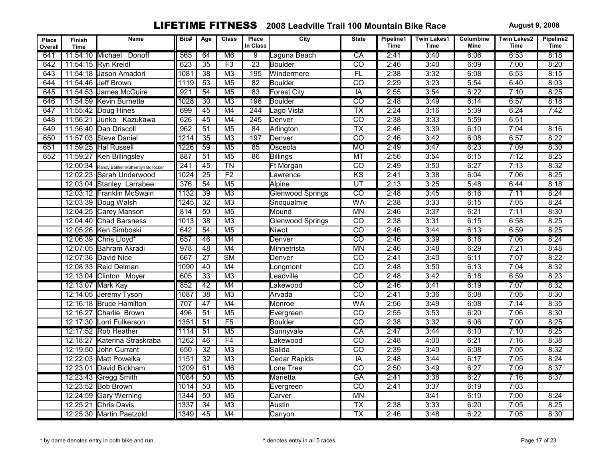| Place<br>Overall | <b>Finish</b><br><b>Time</b> | Name                               | Bib#             | Age             | <b>Class</b>           | Place<br>In Class | City                    | <b>State</b>             | Pipeline1<br>Time | <b>Twin Lakes1</b><br>Time | Columbine<br>Mine | <b>Twin Lakes2</b><br>Time | Pipeline2<br><b>Time</b> |
|------------------|------------------------------|------------------------------------|------------------|-----------------|------------------------|-------------------|-------------------------|--------------------------|-------------------|----------------------------|-------------------|----------------------------|--------------------------|
| 641              | 11:54:10 Michael             | Donoff                             | 565              | 64              | M <sub>6</sub>         | $\overline{9}$    | Laguna Beach            | CA                       | 2:41              | 3:40                       | 6:06              | 6:53                       | 8:18                     |
| 642              |                              | 11:54:15 Ryn Kreidl                | 623              | $\overline{35}$ | F3                     | $\overline{23}$   | <b>I</b> Boulder        | $\overline{co}$          | 2:46              | 3:40                       | 6:09              | 7:00                       | 8:20                     |
| 643              |                              | 11:54:18 Jason Amadori             | 1081             | $\overline{38}$ | $\overline{M3}$        | 195               | Windermere              | FL                       | 2:38              | 3:32                       | 6:08              | 6:53                       | 8:15                     |
| 644              |                              | 11:54:46 Jeff Brown                | 1119             | $\overline{53}$ | M <sub>5</sub>         | $\overline{82}$   | Boulder                 | $\overline{CO}$          | 2:29              | 3:23                       | 5:54              | 6:40                       | 8:03                     |
| 645              |                              | 11:54:53 James McGuire             | 921              | 54              | M <sub>5</sub>         | 83                | <b>Forest City</b>      | IA                       | 2:55              | 3:54                       | 6:22              | 7:10                       | 8:25                     |
| 646              |                              | 11:54:59 Kevin Burnette            | 1028             | $\overline{30}$ | M <sub>3</sub>         | 196               | Boulder                 | $\overline{co}$          | 2:48              | 3:49                       | 6:14              | 6:57                       | 8:18                     |
| 647              |                              | 11:55:42 Doug Hines                | 699              | 45              | M4                     | 244               | Lago Vista              | $\overline{\mathsf{TX}}$ | 2:24              | 3:16                       | 5:39              | 6:24                       | 7:42                     |
| 648              | 11:56:21                     | Junko Kazukawa                     | 626              | 45              | M4                     | $\overline{245}$  | Denver                  | $\overline{co}$          | 2:38              | 3:33                       | 5:59              | 6:51                       |                          |
| 649              | 11:56:40                     | Dan Driscoll                       | 962              | 51              | M <sub>5</sub>         | 84                | Arlington               | $\overline{TX}$          | 2:46              | 3:39                       | 6:10              | 7:04                       | 8:16                     |
| 650              |                              | 11:57:03 Steve Daniel              | 1214             | $\overline{35}$ | M <sub>3</sub>         | 197               | Denver                  | $\overline{co}$          | 2:46              | 3:42                       | 6:08              | 6:57                       | 8:22                     |
| 651              |                              | 11:59:25 Hal Russell               | 1226             | $\overline{59}$ | $\overline{M5}$        | $\overline{85}$   | Osceola                 | <b>MO</b>                | 2:49              | 3:47                       | 6:23              | 7:09                       | 8:30                     |
| 652              |                              | 11:59:27 Ken Billingsley           | 887              | $\overline{51}$ | M <sub>5</sub>         | 86                | Billings                | MT                       | 2:56              | 3:54                       | 6:15              | 7:12                       | 8:25                     |
|                  | 12:00:34                     | Randy Ballheim/Sherrilyn Bollocker | 241              | 45              | $\overline{T}N$        |                   | Ft Morgan               | $\overline{CO}$          | 2:49              | 3:50                       | 6:27              | 7:13                       | 8:32                     |
|                  | 12:02:23                     | Sarah Underwood                    | 1024             | $\overline{25}$ | F2                     |                   | _awrence                | $\overline{KS}$          | 2:41              | 3:38                       | 6:04              | 7:06                       | 8:25                     |
|                  |                              | 12:03:04 Stanley Larrabee          | $\overline{376}$ | 54              | M <sub>5</sub>         |                   | <b>Alpine</b>           | $\overline{\mathtt{UT}}$ | 2:13              | 3:25                       | 5:48              | 6:44                       | 8:18                     |
|                  |                              | 12:03:12 Franklin McSwain          | 1132             | $\overline{39}$ | M3                     |                   | <b>Glenwood Springs</b> | $\overline{co}$          | 2:48              | 3:45                       | 6:16              | 7:11                       | 8:24                     |
|                  |                              | 12:03:39 Doug Walsh                | 1245             | $\overline{32}$ | M <sub>3</sub>         |                   | Snoqualmie              | <b>WA</b>                | 2:38              | 3:33                       | 6:15              | 7:05                       | 8:24                     |
|                  |                              | 12:04:25 Carey Manson              | 814              | 50              | M <sub>5</sub>         |                   | Mound                   | <b>MN</b>                | 2:46              | 3:37                       | 6:21              | 7:11                       | 8:30                     |
|                  |                              | 12:04:40 Chad Barsness             | 1013             | $\overline{38}$ | M <sub>3</sub>         |                   | <b>Glenwood Springs</b> | $\overline{CO}$          | 2:38              | 3:31                       | 6:15              | 6:58                       | 8:25                     |
|                  |                              | 12:05:26 Ken Simboski              | 642              | 54              | M <sub>5</sub>         |                   | Niwot                   | $\overline{co}$          | 2:46              | 3:44                       | 6:13              | 6:59                       | 8:25                     |
|                  |                              | 12:06:39 Chris Lloyd*              | 657              | 46              | M4                     |                   | Denver                  | $\overline{CO}$          | 2:46              | 3:39                       | 6:16              | 7:06                       | 8:24                     |
|                  |                              | 12:07:05 Bahram Akradi             | 978              | $\overline{48}$ | M4                     |                   | Minnetrista             | <b>MN</b>                | 2:46              | 3:48                       | 6:29              | 7:21                       | 8:48                     |
|                  |                              | 12:07:36 David Nice                | 667              | $\overline{27}$ | $\overline{\text{SM}}$ |                   | Denver                  | $\overline{CO}$          | 2:41              | 3:40                       | 6:11              | 7:07                       | 8:22                     |
|                  |                              | 12:08:33 Reid Delman               | 1090             | 40              | M4                     |                   | Longmont                | $\overline{CO}$          | 2:48              | 3:50                       | 6:13              | 7:04                       | 8:32                     |
|                  |                              | 12:13:04 Clinton Moyer             | 605              | $\overline{33}$ | M <sub>3</sub>         |                   | Leadville               | $\overline{co}$          | 2:48              | 3:42                       | 6:18              | 6:59                       | 8:23                     |
|                  |                              | 12:13:07 Mark Kay                  | 852              | 42              | M4                     |                   | Lakewood                | $\overline{co}$          | 2:46              | 3:41                       | 6:19              | 7:07                       | 8:32                     |
|                  |                              | 12:14:05 Jeremy Tyson              | 1087             | $\overline{38}$ | M <sub>3</sub>         |                   | Arvada                  | $\overline{CO}$          | 2:41              | 3:36                       | 6:08              | 7:05                       | 8:30                     |
|                  |                              | 12:16:18 Bruce Hamilton            | 707              | 47              | M4                     |                   | Monroe                  | <b>WA</b>                | 2:56              | 3:49                       | 6:08              | 7:14                       | 8:35                     |
|                  |                              | 12:16:27 Charlie Brown             | 496              | $\overline{51}$ | M <sub>5</sub>         |                   | Evergreen               | $\overline{CO}$          | 2:55              | 3:53                       | 6:20              | 7:06                       | 8:30                     |
|                  |                              | 12:17:30 Lorri Fulkerson           | 1351             | 51              | $\overline{F5}$        |                   | Boulder                 | $\overline{CO}$          | 2:38              | 3:32                       | 6:06              | 7:00                       | 8:25                     |
|                  |                              | 12:17:52 Rob Heather               | 1114             | 51              | M <sub>5</sub>         |                   | Sunnyvale               | CA                       | 2:47              | 3:44                       | 6:10              | 7:10                       | 8:25                     |
|                  | 12:18:27                     | Katerina Straskraba                | 1262             | 46              | F4                     |                   | _akewood                | $\overline{co}$          | 2:48              | 4:00                       | 6:21              | 7:16                       | 8:38                     |
|                  | 12:19:50                     | John Currant                       | 650              | $\overline{32}$ | M <sub>3</sub>         |                   | Salida                  | $\overline{co}$          | 2:39              | 3:40                       | 6:08              | 7:05                       | 8:32                     |
|                  |                              | 12:22:03 Matt Powelka              | $\frac{1}{1151}$ | $\overline{32}$ | $\overline{M3}$        |                   | Cedar Rapids            | IA                       | 2:48              | 3:44                       | 6:17              | 7:05                       | 8:24                     |
|                  |                              | 12:23:01 David Bickham             | 1209             | $\overline{61}$ | M6                     |                   | Lone Tree               | $\overline{co}$          | 2:50              | 3:49                       | 6:27              | 7:09                       | 8:37                     |
|                  |                              | 12:23:43 Gregg Smith               | 1084             | $\overline{50}$ | $\overline{M5}$        |                   | Marietta                | $G$ A                    | 2:41              | 3:38                       | 6:27              | 7:16                       | 8:37                     |
|                  |                              | 12:23:52 Bob Brown                 | 1014             | 50              | M <sub>5</sub>         |                   | Evergreen               | $\overline{CO}$          | 2:41              | 3:37                       | 6:19              | 7:03                       |                          |
|                  |                              | 12:24:59 Gary Werning              | 1344             | 50              | M <sub>5</sub>         |                   | Carver                  | <b>MN</b>                |                   | 3:41                       | 6:10              | 7:00                       | 8:24                     |
|                  | 12:25:21                     | Chris Davis                        | 1337             | $\overline{34}$ | $\overline{M3}$        |                   | Austin                  | <b>TX</b>                | 2:38              | 3:33                       | 6:20              | 7:05                       | 8:25                     |
|                  |                              | 12:25:30 Martin Paetzold           | 1349             | 45              | M4                     |                   | Canyon                  | $\overline{TX}$          | 2:46              | 3:48                       | 6:22              | 7:05                       | 8:30                     |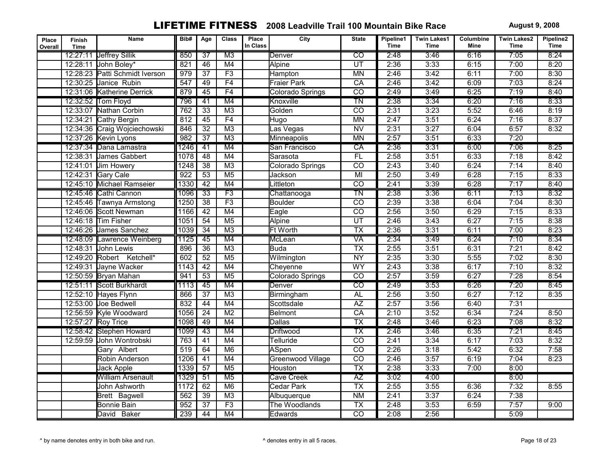| Place<br>Overall | Finish<br>Time | Name                           | Bib# | Age             | <b>Class</b>             | Place<br>In Class | City               | <b>State</b>             | Pipeline1<br><b>Time</b> | <b>Twin Lakes1</b><br><b>Time</b> | Columbine<br>Mine | <b>Twin Lakes2</b><br><b>Time</b> | Pipeline2<br><b>Time</b> |
|------------------|----------------|--------------------------------|------|-----------------|--------------------------|-------------------|--------------------|--------------------------|--------------------------|-----------------------------------|-------------------|-----------------------------------|--------------------------|
|                  |                | 12:27:11 Jeffrey Sillik        | 850  | $\overline{37}$ | $\overline{M3}$          |                   | Denver             | $\overline{\text{co}}$   | 2:48                     | 3:46                              | 6:16              | 7:05                              | 8:24                     |
|                  |                | 12:28:11 John Boley*           | 821  | 46              | M4                       |                   | <b>Alpine</b>      | $\overline{UT}$          | 2:36                     | 3:33                              | 6:15              | 7:00                              | 8:20                     |
|                  |                | 12:28:23 Patti Schmidt Iverson | 979  | $\overline{37}$ | F3                       |                   | Hampton            | <b>MN</b>                | 2:46                     | 3:42                              | 6:11              | 7:00                              | 8:30                     |
|                  | 12:30:25       | Janice Rubin                   | 547  | 49              | F4                       |                   | <b>Fraier Park</b> | $\overline{CA}$          | 2:46                     | 3:42                              | 6:09              | 7:03                              | 8:24                     |
|                  |                | 12:31:06 Katherine Derrick     | 879  | 45              | F4                       |                   | Colorado Springs   | $\overline{CO}$          | 2:49                     | 3:49                              | 6:25              | 7:19                              | 8:40                     |
|                  |                | 12:32:52 Tom Floyd             | 796  | $\overline{41}$ | M4                       |                   | Knoxville          | $\overline{\text{TN}}$   | 2:38                     | 3:34                              | 6:20              | 7:16                              | 8:33                     |
|                  |                | 12:33:07 Nathan Corbin         | 762  | $\overline{33}$ | M <sub>3</sub>           |                   | Golden             | $\overline{co}$          | 2:31                     | 3:23                              | 5:52              | 6:46                              | 8:19                     |
|                  | 12:34:21       | Cathy Bergin                   | 812  | 45              | F4                       |                   | Hugo               | <b>MN</b>                | 2:47                     | 3:51                              | 6:24              | 7:16                              | 8:37                     |
|                  |                | 12:34:36 Craig Wojciechowski   | 846  | $\overline{32}$ | M <sub>3</sub>           |                   | as Vegas           | <b>NV</b>                | 2:31                     | 3:27                              | 6:04              | 6:57                              | 8:32                     |
|                  |                | 12:37:26 Kevin Lyons           | 982  | $\overline{37}$ | M3                       |                   | Minneapolis        | <b>MN</b>                | 2:57                     | 3:51                              | 6:33              | 7:20                              |                          |
|                  |                | 12:37:34 Dana Lamastra         | 1246 | $\overline{41}$ | M4                       |                   | San Francisco      | $\overline{CA}$          | 2:36                     | 3:31                              | 6:00              | 7:06                              | 8:25                     |
|                  |                | 12:38:31 James Gabbert         | 1078 | 48              | M4                       |                   | Sarasota           | F <sub>L</sub>           | 2:58                     | 3:51                              | 6:33              | 7:18                              | 8:42                     |
|                  | 12:41:01       | Jim Howery                     | 1248 | 38              | M <sub>3</sub>           |                   | Colorado Springs   | $\overline{CO}$          | 2:43                     | 3:40                              | 6:24              | 7:14                              | 8:40                     |
|                  | 12:42:31       | <b>Gary Cale</b>               | 922  | $\overline{53}$ | $\overline{M5}$          |                   | Jackson            | $\overline{M}$           | 2:50                     | 3:49                              | 6:28              | 7:15                              | 8:33                     |
|                  |                | 12:45:10 Michael Ramseier      | 1330 | 42              | M4                       |                   | Littleton          | $\overline{co}$          | 2:41                     | 3:39                              | 6:28              | 7:17                              | 8:40                     |
|                  |                | 12:45:46 Cathi Cannon          | 1096 | $\overline{33}$ | F3                       |                   | Chattanooga        | $\overline{T}N$          | 2:38                     | 3:36                              | 6:11              | 7:13                              | 8:32                     |
|                  |                | 12:45:46 Tawnya Armstong       | 1250 | $\overline{38}$ | F3                       |                   | <b>Boulder</b>     | $\overline{CO}$          | 2:39                     | 3:38                              | 6:04              | 7:04                              | 8:30                     |
|                  |                | 12:46:06 Scott Newman          | 1166 | 42              | M4                       |                   | Eagle              | $\overline{co}$          | 2:56                     | 3:50                              | 6:29              | 7:15                              | 8:33                     |
|                  |                | 12:46:18 Tim Fisher            | 1051 | 54              | $\overline{M5}$          |                   | Alpine             | UT                       | 2:46                     | 3:43                              | 6:27              | 7:15                              | 8:38                     |
|                  |                | 12:46:26 James Sanchez         | 1039 | $\overline{34}$ | M <sub>3</sub>           |                   | <b>Ft Worth</b>    | $\overline{\text{TX}}$   | 2:36                     | 3:31                              | 6:11              | 7:00                              | 8:23                     |
|                  |                | 12:48:09 Lawrence Weinberg     | 1125 | 45              | M4                       |                   | McLean             | VA                       | 2:34                     | 3:49                              | 6:24              | 7:10                              | 8:34                     |
|                  | 12:48:31       | John Lewis                     | 896  | $\overline{36}$ | M3                       |                   | <b>Buda</b>        | $\overline{TX}$          | 2:55                     | 3:51                              | 6:31              | 7:21                              | 8:42                     |
|                  |                | 12:49:20 Robert Ketchell*      | 602  | 52              | M <sub>5</sub>           |                   | Wilmington         | <b>NY</b>                | 2:35                     | 3:30                              | 5:55              | 7:02                              | 8:30                     |
|                  |                | 12:49:31 Jayne Wacker          | 1143 | $\overline{42}$ | M4                       |                   | Cheyenne           | <b>WY</b>                | 2:43                     | 3:38                              | 6:17              | 7:10                              | 8:32                     |
|                  |                | 12:50:59 Bryan Mahan           | 941  | $\overline{53}$ | M <sub>5</sub>           |                   | Colorado Springs   | $\overline{co}$          | 2:57                     | 3:59                              | 6:27              | 7:28                              | 8:54                     |
|                  |                | 12:51:11 Scott Burkhardt       | 1113 | 45              | M4                       |                   | Denver             | $\overline{co}$          | 2:49                     | 3:53                              | 6:26              | 7:20                              | 8:45                     |
|                  |                | 12:52:10 Hayes Flynn           | 866  | $\overline{37}$ | M <sub>3</sub>           |                   | Birmingham         | <b>AL</b>                | 2:56                     | 3:50                              | 6:27              | 7:12                              | 8:35                     |
|                  | 12:53:00       | Joe Bedwell                    | 832  | 44              | M4                       |                   | Scottsdale         | AZ                       | 2:57                     | 3:56                              | 6:40              | 7:31                              |                          |
|                  |                | 12:56:59 Kyle Woodward         | 1056 | $\overline{24}$ | M <sub>2</sub>           |                   | Belmont            | CA                       | 2:10                     | 3:52                              | 6:34              | 7:24                              | 8:50                     |
|                  |                | 12:57:27 Roy Trice             | 1098 | 49              | M4                       |                   | <b>Dallas</b>      | $\overline{\mathsf{TX}}$ | 2:48                     | 3:46                              | 6:23              | 7:08                              | 8:32                     |
|                  |                | 12:58:42 Stephen Howard        | 1099 | 43              | M4                       |                   | <b>Driftwood</b>   | $\overline{\mathsf{TX}}$ | 2:46                     | 3:46                              | 6:35              | 7:21                              | 8:45                     |
|                  | 12:59:59       | John Wontrobski                | 763  | $\overline{41}$ | M4                       |                   | Telluride          | $\overline{CO}$          | 2:41                     | 3:34                              | 6:17              | 7:03                              | 8:32                     |
|                  |                | Gary Albert                    | 519  | 64              | M6                       |                   | <b>ASpen</b>       | $\overline{co}$          | 2:26                     | 3:18                              | 5:42              | 6:32                              | 7:58                     |
|                  |                | Robin Anderson                 | 1206 | $\overline{41}$ | $\overline{\mathsf{M4}}$ |                   | Greenwood Village  | $\overline{co}$          | 2:46                     | 3:57                              | 6:19              | 7:04                              | 8:23                     |
|                  |                | Jack Apple                     | 1339 | $\overline{57}$ | $\overline{M5}$          |                   | <b>Houston</b>     | $\overline{TX}$          | 2:38                     | 3:33                              | 7:00              | 8:00                              |                          |
|                  |                | <b>William Arsenault</b>       | 1329 | 51              | M <sub>5</sub>           |                   | <b>Cave Creek</b>  | $\overline{AZ}$          | 3:02                     | 4:00                              |                   | 8:00                              |                          |
|                  |                | John Ashworth                  | 1172 | 62              | M6                       |                   | Cedar Park         | $\overline{TX}$          | 2:55                     | 3:55                              | 6:36              | 7:32                              | 8:55                     |
|                  |                | Brett Bagwell                  | 562  | 39              | M <sub>3</sub>           |                   | Albuquerque        | N <sub>M</sub>           | 2:41                     | 3:37                              | 6:24              | 7:38                              |                          |
|                  |                | Bonnie Bain                    | 952  | $\overline{37}$ | F3                       |                   | The Woodlands      | $\overline{TX}$          | 2:48                     | 3:53                              | 6:59              | 7:57                              | 9:00                     |
|                  |                | David Baker                    | 239  | 44              | M4                       |                   | Edwards            | $\overline{CO}$          | 2:08                     | 2:56                              |                   | 5:09                              |                          |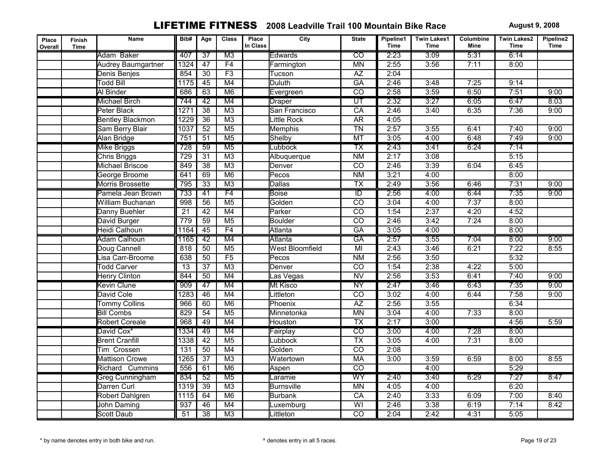| Place<br>Overall | <b>Finish</b><br><b>Time</b> | Name                      | Bib#             | Age             | <b>Class</b>    | Place<br>In Class | City                   | <b>State</b>             | Pipeline1<br><b>Time</b> | <b>Twin Lakes1</b><br><b>Time</b> | Columbine<br>Mine | <b>Twin Lakes2</b><br><b>Time</b> | Pipeline2<br><b>Time</b> |
|------------------|------------------------------|---------------------------|------------------|-----------------|-----------------|-------------------|------------------------|--------------------------|--------------------------|-----------------------------------|-------------------|-----------------------------------|--------------------------|
|                  |                              | Adam Baker                | 407              | $\overline{37}$ | $\overline{M3}$ |                   | Edwards                | $\overline{co}$          | 2:23                     | 3:09                              | 5:31              | 6:14                              |                          |
|                  |                              | <b>Audrey Baumgartner</b> | 1324             | 47              | F4              |                   | Farmington             | <b>MN</b>                | 2:55                     | 3:56                              | 7:11              | 8:00                              |                          |
|                  |                              | Denis Benjes              | 854              | $\overline{30}$ | F3              |                   | Tucson                 | $\overline{AZ}$          | 2:04                     |                                   |                   |                                   |                          |
|                  |                              | <b>Todd Bill</b>          | 1175             | 45              | M4              |                   | <b>Duluth</b>          | <b>GA</b>                | 2:46                     | 3:48                              | 7:25              | 9:14                              |                          |
|                  |                              | Al Binder                 | 686              | 63              | M <sub>6</sub>  |                   | Evergreen              | $\overline{CO}$          | 2:58                     | 3:59                              | 6:50              | 7:51                              | 9:00                     |
|                  |                              | <b>Michael Birch</b>      | 744              | 42              | M4              |                   | <b>Draper</b>          | $\overline{\text{UT}}$   | 2:32                     | 3:27                              | 6:05              | 6:47                              | 8:03                     |
|                  |                              | Peter Black               | 1271             | $\overline{38}$ | M <sub>3</sub>  |                   | San Francisco          | CA                       | 2:46                     | 3:40                              | 6:35              | 7:36                              | 9:00                     |
|                  |                              | <b>Bentley Blackmon</b>   | 1229             | $\overline{36}$ | M3              |                   | Little Rock            | <b>AR</b>                | 4:05                     |                                   |                   |                                   |                          |
|                  |                              | Sam Berry Blair           | 1037             | $\overline{52}$ | M <sub>5</sub>  |                   | Memphis                | <b>TN</b>                | 2:57                     | 3:55                              | 6:41              | 7:40                              | 9:00                     |
|                  |                              | Alan Bridge               | 751              | 51              | M <sub>5</sub>  |                   | Shelby                 | MT                       | 3:05                     | 4:00                              | 6:48              | 7:49                              | 9:00                     |
|                  |                              | <b>Mike Briggs</b>        | 728              | $\overline{59}$ | M <sub>5</sub>  |                   | Lubbock                | $\overline{\text{TX}}$   | 2:43                     | 3:41                              | 6:24              | 7:14                              |                          |
|                  |                              | <b>Chris Briggs</b>       | 729              | $\overline{31}$ | M <sub>3</sub>  |                   | Albuquerque            | N <sub>M</sub>           | 2:17                     | 3:08                              |                   | 5:15                              |                          |
|                  |                              | Michael Briscoe           | 849              | $\overline{38}$ | M <sub>3</sub>  |                   | Denver                 | $\overline{CO}$          | 2:46                     | 3:39                              | 6:04              | 6:45                              |                          |
|                  |                              | George Broome             | 641              | 69              | M6              |                   | Pecos                  | $\overline{\text{NM}}$   | 3:21                     | 4:00                              |                   | 8:00                              |                          |
|                  |                              | Morris Brossette          | 795              | $\overline{33}$ | M3              |                   | <b>Dallas</b>          | $\overline{\mathsf{TX}}$ | 2:49                     | 3:56                              | 6:46              | 7:31                              | 9:00                     |
|                  |                              | Pamela Jean Brown         | 733              | 41              | F4              |                   | <b>Boise</b>           | $\overline{ID}$          | 2:56                     | 4:00                              | 6:44              | 7:35                              | 9:00                     |
|                  |                              | William Buchanan          | 998              | $\overline{56}$ | M <sub>5</sub>  |                   | Golden                 | $\overline{co}$          | 3:04                     | 4:00                              | 7:37              | 8:00                              |                          |
|                  |                              | Danny Buehler             | $\overline{21}$  | $\overline{42}$ | M4              |                   | Parker                 | $\overline{CO}$          | 1:54                     | 2:37                              | 4:20              | 4:52                              |                          |
|                  |                              | David Burger              | 779              | 59              | M <sub>5</sub>  |                   | <b>Boulder</b>         | $\overline{CO}$          | 2:46                     | 3:42                              | 7:24              | 8:00                              |                          |
|                  |                              | Heidi Calhoun             | 1164             | 45              | F4              |                   | Atlanta                | <b>GA</b>                | 3:05                     | 4:00                              |                   | 8:00                              |                          |
|                  |                              | <b>Adam Calhoun</b>       | 1165             | 42              | M4              |                   | <b>Atlanta</b>         | <b>GA</b>                | 2:57                     | 3:55                              | 7:04              | 8:00                              | 9:00                     |
|                  |                              | Doug Cannell              | 818              | 50              | M <sub>5</sub>  |                   | <b>West Bloomfield</b> | $\overline{M}$           | 2:43                     | 3:46                              | 6:21              | 7:22                              | 8:55                     |
|                  |                              | Lisa Carr-Broome          | 638              | 50              | F5              |                   | Pecos                  | <b>NM</b>                | 2:56                     | 3:50                              |                   | 5:32                              |                          |
|                  |                              | <b>Todd Carver</b>        | 13               | $\overline{37}$ | M3              |                   | Denver                 | $\overline{CO}$          | 1:54                     | 2:38                              | 4:22              | 5:00                              |                          |
|                  |                              | <b>Henry Clinton</b>      | 844              | $\overline{50}$ | M4              |                   | Las Vegas              | $\overline{NV}$          | 2:56                     | 3:53                              | 6:41              | 7:40                              | 9:00                     |
|                  |                              | <b>Kevin Clune</b>        | 909              | 47              | M4              |                   | <b>Mt Kisco</b>        | <b>NY</b>                | 2:47                     | 3:46                              | 6:43              | 7:35                              | 9:00                     |
|                  |                              | David Cole                | 1283             | 46              | M4              |                   | Littleton              | $\overline{CO}$          | 3:02                     | 4:00                              | 6:44              | 7:58                              | 9:00                     |
|                  |                              | <b>Tommy Collins</b>      | 966              | 60              | M6              |                   | Phoenix                | AZ                       | 2:56                     | 3:55                              |                   | 6:34                              |                          |
|                  |                              | <b>Bill Combs</b>         | 829              | $\overline{54}$ | M <sub>5</sub>  |                   | Minnetonka             | <b>MN</b>                | 3:04                     | 4:00                              | 7:33              | 8:00                              |                          |
|                  |                              | <b>Robert Coreale</b>     | 968              | 49              | M4              |                   | Houston                | $\overline{TX}$          | 2:17                     | 3:00                              |                   | 4:56                              | 5:59                     |
|                  |                              | David Cox*                | 1334             | 49              | M4              |                   | Fairplay               | $\overline{\text{co}}$   | 3:00                     | 4:00                              | 7:28              | 8:00                              |                          |
|                  |                              | <b>Brent Cranfill</b>     | 1338             | 42              | M <sub>5</sub>  |                   | _ubbock                | $\overline{TX}$          | 3:05                     | 4:00                              | 7:31              | 8:00                              |                          |
|                  |                              | Tim Crossen               | $\overline{131}$ | 50              | M4              |                   | Golden                 | $\overline{co}$          | 2:08                     |                                   |                   |                                   |                          |
|                  |                              | <b>Mattison Crowe</b>     | 1265             | $\overline{37}$ | M3              |                   | Watertown              | <b>MA</b>                | 3:00                     | 3:59                              | 6:59              | 8:00                              | 8:55                     |
|                  |                              | Richard Cummins           | 556              | $\overline{61}$ | M6              |                   | Aspen                  | $\overline{co}$          |                          | 4:00                              |                   | 5:29                              |                          |
|                  |                              | <b>Greg Cunningham</b>    | 834              | $\overline{52}$ | M <sub>5</sub>  |                   | Laramie                | WY                       | 2:40                     | 3:40                              | 6:29              | 7:27                              | 8:47                     |
|                  |                              | Darren Curl               | 1319             | 39              | M <sub>3</sub>  |                   | <b>Burnsville</b>      | <b>MN</b>                | 4:05                     | 4:00                              |                   | 6:20                              |                          |
|                  |                              | Robert Dahlgren           | 1115             | 64              | M6              |                   | <b>Burbank</b>         | CA                       | 2:40                     | 3:33                              | 6:09              | 7:00                              | 8:40                     |
|                  |                              | John Daming               | 937              | 46              | M4              |                   | _uxemburg              | $\overline{\mathsf{W}}$  | 2:46                     | 3:38                              | 6:19              | 7:14                              | 8:42                     |
|                  |                              | <b>Scott Daub</b>         | 51               | $\overline{38}$ | M3              |                   | Littleton              | $\overline{CO}$          | 2:04                     | 2:42                              | 4:31              | 5:05                              |                          |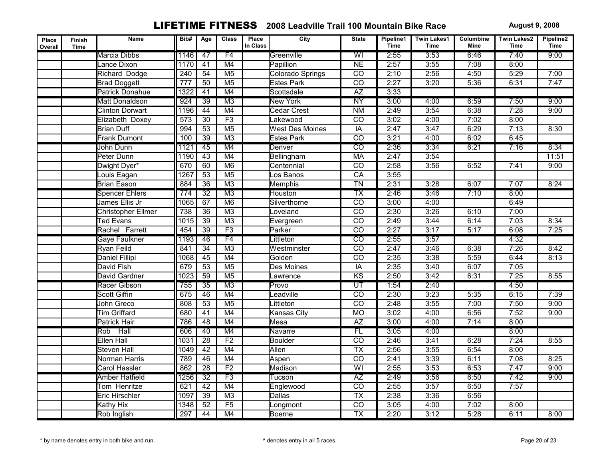| Place<br>Overall | Finish<br><b>Time</b> | Name                      | Bib#             | Age             | <b>Class</b>    | Place<br>In Class | City                   | <b>State</b>             | Pipeline1<br><b>Time</b> | <b>Twin Lakes1</b><br><b>Time</b> | Columbine<br>Mine | <b>Twin Lakes2</b><br><b>Time</b> | Pipeline2<br><b>Time</b> |
|------------------|-----------------------|---------------------------|------------------|-----------------|-----------------|-------------------|------------------------|--------------------------|--------------------------|-----------------------------------|-------------------|-----------------------------------|--------------------------|
|                  |                       | Marcia Dibbs              | 1146             | 47              | F4              |                   | Greenville             | WI                       | 2:55                     | 3:53                              | 6:46              | 7:40                              | 9:00                     |
|                  |                       | Lance Dixon               | 1170             | $\overline{41}$ | M4              |                   | <b>Papillion</b>       | N <sub>E</sub>           | 2:57                     | 3:55                              | 7:08              | 8:00                              |                          |
|                  |                       | Richard Dodge             | $\overline{240}$ | $\overline{54}$ | M <sub>5</sub>  |                   | Colorado Springs       | $\overline{CO}$          | 2:10                     | 2:56                              | 4:50              | 5:29                              | 7:00                     |
|                  |                       | <b>Brad Doggett</b>       | 777              | 50              | M <sub>5</sub>  |                   | <b>Estes Park</b>      | $\overline{CO}$          | 2:27                     | 3:20                              | 5:36              | 6:31                              | 7:47                     |
|                  |                       | <b>Patrick Donahue</b>    | 1322             | 41              | M4              |                   | Scottsdale             | AZ                       | 3:33                     |                                   |                   |                                   |                          |
|                  |                       | <b>Matt Donaldson</b>     | 924              | 39              | M3              |                   | <b>New York</b>        | $\overline{NY}$          | 3:00                     | 4:00                              | 6:59              | 7:50                              | 9:00                     |
|                  |                       | <b>Clinton Dorwart</b>    | 1196             | 44              | M4              |                   | <b>Cedar Crest</b>     | N <sub>M</sub>           | 2:49                     | 3:54                              | 6:38              | 7:28                              | 9:00                     |
|                  |                       | Elizabeth Doxey           | $\overline{573}$ | 30              | F3              |                   | Lakewood               | $\overline{co}$          | 3:02                     | 4:00                              | 7:02              | 8:00                              |                          |
|                  |                       | <b>Brian Duff</b>         | 994              | $\overline{53}$ | M <sub>5</sub>  |                   | <b>West Des Moines</b> | IA                       | 2:47                     | 3:47                              | 6:29              | 7:13                              | 8:30                     |
|                  |                       | <b>Frank Dumont</b>       | 100              | 39              | M3              |                   | <b>Estes Park</b>      | $\overline{co}$          | 3:21                     | 4:00                              | 6:02              | 6:45                              |                          |
|                  |                       | John Dunn                 | 1121             | $\overline{45}$ | M4              |                   | Denver                 | $\overline{co}$          | 2:36                     | 3:34                              | 6:21              | 7:16                              | 8:34                     |
|                  |                       | Peter Dunn                | 1190             | 43              | M4              |                   | Bellingham             | <b>MA</b>                | 2:47                     | 3:54                              |                   |                                   | 11:51                    |
|                  |                       | Dwight Dyer*              | 670              | 60              | M6              |                   | Centennial             | $\overline{CO}$          | 2:58                     | 3:56                              | 6:52              | 7:41                              | 9:00                     |
|                  |                       | Louis Eagan               | 1267             | $\overline{53}$ | M <sub>5</sub>  |                   | os Banos               | CA                       | 3:55                     |                                   |                   |                                   |                          |
|                  |                       | <b>Brian Eason</b>        | 884              | $\overline{36}$ | M3              |                   | <b>Memphis</b>         | $\overline{T}N$          | 2:31                     | 3:28                              | 6:07              | 7:07                              | 8:24                     |
|                  |                       | <b>Spencer Ehlers</b>     | 774              | $\overline{32}$ | M3              |                   | Houston                | $\overline{\mathsf{TX}}$ | 2:46                     | 3:46                              | 7:10              | 8:00                              |                          |
|                  |                       | James Ellis Jr            | 1065             | 67              | M6              |                   | Silverthorne           | $\overline{co}$          | 3:00                     | 4:00                              |                   | 6:49                              |                          |
|                  |                       | <b>Christopher Ellmer</b> | 738              | $\overline{36}$ | M <sub>3</sub>  |                   | _oveland               | $\overline{CO}$          | 2:30                     | 3:26                              | 6:10              | 7:00                              |                          |
|                  |                       | <b>Ted Evans</b>          | 1015             | $\overline{39}$ | M3              |                   | Evergreen              | $\overline{CO}$          | 2:49                     | 3:44                              | 6:14              | 7:03                              | 8:34                     |
|                  |                       | Rachel Farrett            | 454              | 39              | F3              |                   | Parker                 | $\overline{co}$          | 2:27                     | 3:17                              | 5:17              | 6:08                              | 7:25                     |
|                  |                       | Gaye Faulkner             | 1193             | 46              | F4              |                   | Littleton              | $\overline{CO}$          | 2:55                     | 3:57                              |                   | 4:32                              |                          |
|                  |                       | Ryan Feild                | 841              | $\overline{34}$ | M3              |                   | Westminster            | $\overline{co}$          | 2:47                     | 3:46                              | 6:38              | 7:26                              | 8:42                     |
|                  |                       | Daniel Fillipi            | 1068             | 45              | M4              |                   | Golden                 | $\overline{CO}$          | 2:35                     | 3:38                              | 5:59              | 6:44                              | 8:13                     |
|                  |                       | David Fish                | 679              | 53              | M <sub>5</sub>  |                   | Des Moines             | IA                       | 2:35                     | 3:40                              | 6:07              | 7:05                              |                          |
|                  |                       | David Gardner             | 1023             | 59              | M <sub>5</sub>  |                   | awrence                | $\overline{\text{KS}}$   | 2:50                     | 3:42                              | 6:31              | 7:25                              | 8:55                     |
|                  |                       | Racer Gibson              | 755              | $\overline{35}$ | M <sub>3</sub>  |                   | Provo                  | $\overline{\mathtt{UT}}$ | 1:54                     | 2:40                              |                   | 4:50                              |                          |
|                  |                       | <b>Scott Giffin</b>       | 675              | 46              | M4              |                   | Leadville              | $\overline{CO}$          | 2:30                     | 3:23                              | 5:35              | 6:15                              | 7:39                     |
|                  |                       | John Greco                | 808              | 53              | M <sub>5</sub>  |                   | _ittleton              | $\overline{CO}$          | 2:48                     | 3:55                              | 7:00              | 7:50                              | 9:00                     |
|                  |                       | <b>Tim Griffard</b>       | 680              | 41              | M4              |                   | Kansas City            | <b>MO</b>                | 3:02                     | 4:00                              | 6:56              | 7:52                              | 9:00                     |
|                  |                       | <b>Patrick Hair</b>       | 786              | $\overline{48}$ | M4              |                   | Mesa                   | AZ                       | 3:00                     | 4:00                              | 7:14              | 8:00                              |                          |
|                  |                       | Rob Hall                  | 606              | 40              | M4              |                   | Navarre                | FL                       | 3:05                     | 4:00                              |                   | 8:00                              |                          |
|                  |                       | Ellen Hall                | 1031             | $\overline{28}$ | F <sub>2</sub>  |                   | <b>Boulder</b>         | $\overline{CO}$          | 2:46                     | 3:41                              | 6:28              | 7:24                              | 8:55                     |
|                  |                       | Steven Hall               | 1049             | 42              | M4              |                   | <b>Allen</b>           | $\overline{TX}$          | 2:56                     | 3:55                              | 6:54              | 8:00                              |                          |
|                  |                       | Norman Harris             | 789              | 46              | M4              |                   | Aspen                  | $\overline{CO}$          | 2:41                     | 3:39                              | 6:11              | 7:08                              | 8:25                     |
|                  |                       | <b>Carol Hassler</b>      | 862              | $\overline{28}$ | F <sub>2</sub>  |                   | Madison                | $\overline{W}$           | 2:55                     | 3:53                              | 6:53              | 7:47                              | 9:00                     |
|                  |                       | <b>Amber Hatfield</b>     | 1256             | $\overline{32}$ | $\overline{F3}$ |                   | Tucson                 | $\overline{AZ}$          | 2:49                     | 3:56                              | 6:50              | 7:42                              | 9:00                     |
|                  |                       | Tom Henritze              | 621              | 42              | M4              |                   | Englewood              | $\overline{CO}$          | 2:55                     | 3:57                              | 6:50              | 7:57                              |                          |
|                  |                       | Eric Hirschler            | 1097             | 39              | M3              |                   | <b>Dallas</b>          | $\overline{TX}$          | 2:38                     | 3:36                              | 6:56              |                                   |                          |
|                  |                       | Kathy Hix                 | 1348             | 52              | F5              |                   | _ongmont               | $\overline{CO}$          | 3:05                     | 4:00                              | 7:02              | 8:00                              |                          |
|                  |                       | Rob Inglish               | 297              | 44              | M4              |                   | <b>Boerne</b>          | $\overline{\mathsf{TX}}$ | 2:20                     | 3:12                              | 5:28              | 6:11                              | 8:00                     |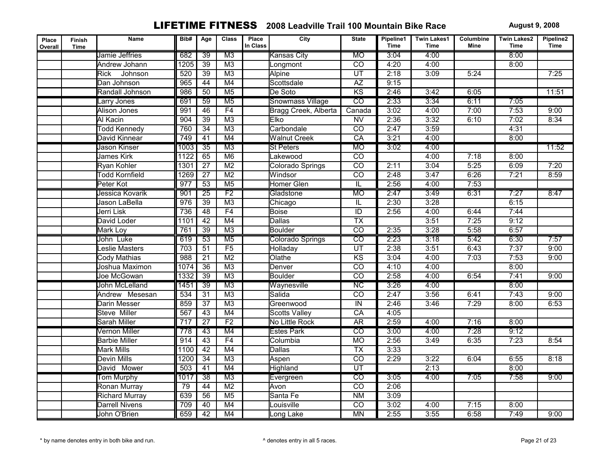| Place<br>Overall | <b>Finish</b><br><b>Time</b> | Name                  | Bib# | Age             | <b>Class</b>    | Place<br>In Class | City                    | <b>State</b>            | Pipeline1<br><b>Time</b> | <b>Twin Lakes1</b><br><b>Time</b> | Columbine<br>Mine | <b>Twin Lakes2</b><br><b>Time</b> | Pipeline2<br><b>Time</b> |
|------------------|------------------------------|-----------------------|------|-----------------|-----------------|-------------------|-------------------------|-------------------------|--------------------------|-----------------------------------|-------------------|-----------------------------------|--------------------------|
|                  |                              | Jamie Jeffries        | 682  | $\overline{39}$ | $\overline{M3}$ |                   | Kansas City             | <b>MO</b>               | 3:04                     | 4:00                              |                   | 8:00                              |                          |
|                  |                              | Andrew Johann         | 1205 | $\overline{39}$ | M <sub>3</sub>  |                   | Longmont                | $\overline{co}$         | 4:20                     | 4:00                              |                   | 8:00                              |                          |
|                  |                              | Rick<br>Johnson       | 520  | $\overline{39}$ | M3              |                   | <b>Alpine</b>           | UT                      | 2:18                     | 3:09                              | 5:24              |                                   | 7:25                     |
|                  |                              | Dan Johnson           | 965  | 44              | M4              |                   | Scottsdale              | $\overline{AZ}$         | 9:15                     |                                   |                   |                                   |                          |
|                  |                              | Randall Johnson       | 986  | 50              | M <sub>5</sub>  |                   | De Soto                 | <b>KS</b>               | 2:46                     | 3:42                              | 6:05              |                                   | 11:51                    |
|                  |                              | Larry Jones           | 691  | 59              | M <sub>5</sub>  |                   | <b>Snowmass Village</b> | $\overline{co}$         | 2:33                     | 3:34                              | 6:11              | 7:05                              |                          |
|                  |                              | <b>Alison Jones</b>   | 991  | 46              | F4              |                   | Bragg Creek, Alberta    | Canada                  | 3:02                     | 4:00                              | 7:00              | 7:53                              | 9:00                     |
|                  |                              | Al Kacin              | 904  | 39              | M <sub>3</sub>  |                   | Elko                    | N <sub>V</sub>          | 2:36                     | 3:32                              | 6:10              | 7:02                              | 8:34                     |
|                  |                              | <b>Todd Kennedy</b>   | 760  | $\overline{34}$ | M <sub>3</sub>  |                   | Carbondale              | $\overline{co}$         | 2:47                     | 3:59                              |                   | 4:31                              |                          |
|                  |                              | David Kinnear         | 749  | 41              | M4              |                   | <b>Walnut Creek</b>     | CA                      | 3:21                     | 4:00                              |                   | 8:00                              |                          |
|                  |                              | Jason Kinser          | 1003 | $\overline{35}$ | M <sub>3</sub>  |                   | <b>St Peters</b>        | <b>MO</b>               | 3:02                     | 4:00                              |                   |                                   | 11:52                    |
|                  |                              | James Kirk            | 1122 | 65              | M6              |                   | _akewood                | $\overline{co}$         |                          | 4:00                              | 7:18              | 8:00                              |                          |
|                  |                              | Ryan Kohler           | 1301 | $\overline{27}$ | M <sub>2</sub>  |                   | Colorado Springs        | $\overline{CO}$         | 2:11                     | 3:04                              | 5:25              | 6:09                              | 7:20                     |
|                  |                              | <b>Todd Kornfield</b> | 1269 | $\overline{27}$ | M <sub>2</sub>  |                   | Windsor                 | $\overline{co}$         | 2:48                     | 3:47                              | 6:26              | 7:21                              | 8:59                     |
|                  |                              | Peter Kot             | 977  | $\overline{53}$ | M <sub>5</sub>  |                   | Homer Glen              | π                       | 2:56                     | 4:00                              | 7:53              |                                   |                          |
|                  |                              | Jessica Kovarik       | 901  | $\overline{25}$ | F2              |                   | Gladstone               | <b>MO</b>               | 2:47                     | 3:49                              | 6:31              | 7:27                              | 8:47                     |
|                  |                              | Jason LaBella         | 976  | $\overline{39}$ | M3              |                   | Chicago                 | $\overline{\mathsf{L}}$ | 2:30                     | 3:28                              |                   | 6:15                              |                          |
|                  |                              | Jerri Lisk            | 736  | 48              | F4              |                   | <b>Boise</b>            | $\overline{ID}$         | 2:56                     | 4:00                              | 6:44              | 7:44                              |                          |
|                  |                              | David Loder           | 1101 | $\overline{42}$ | M4              |                   | Dallas                  | $\overline{TX}$         |                          | 3:51                              | 7:25              | 9:12                              |                          |
|                  |                              | Mark Loy              | 761  | $\overline{39}$ | M3              |                   | <b>Boulder</b>          | $\overline{co}$         | 2:35                     | 3:28                              | 5:58              | 6:57                              |                          |
|                  |                              | John Luke             | 619  | 53              | M <sub>5</sub>  |                   | Colorado Springs        | $\overline{CO}$         | 2:23                     | 3:18                              | 5:42              | 6:30                              | 7:57                     |
|                  |                              | Leslie Masters        | 703  | $\overline{51}$ | F5              |                   | Holladay                | $\overline{UT}$         | 2:38                     | 3:51                              | 6:43              | 7:37                              | 9:00                     |
|                  |                              | Cody Mathias          | 988  | $\overline{21}$ | M <sub>2</sub>  |                   | Olathe                  | K <sub>S</sub>          | 3:04                     | 4:00                              | 7:03              | 7:53                              | 9:00                     |
|                  |                              | Joshua Maximon        | 1074 | $\overline{36}$ | M3              |                   | Denver                  | $\overline{CO}$         | 4:10                     | 4:00                              |                   | 8:00                              |                          |
|                  |                              | Joe McGowan           | 1332 | $\overline{39}$ | M3              |                   | <b>Boulder</b>          | $\overline{co}$         | 2:58                     | 4:00                              | 6:54              | 7:41                              | 9:00                     |
|                  |                              | John McLelland        | 1451 | $\overline{39}$ | M <sub>3</sub>  |                   | Waynesville             | $\overline{\text{NC}}$  | 3:26                     | 4:00                              |                   | 8:00                              |                          |
|                  |                              | Andrew Mesesan        | 534  | $\overline{31}$ | M3              |                   | Salida                  | $\overline{co}$         | 2:47                     | 3:56                              | 6:41              | 7:43                              | 9:00                     |
|                  |                              | Darin Messer          | 859  | $\overline{37}$ | M <sub>3</sub>  |                   | Greenwood               | $\overline{N}$          | 2:46                     | 3:46                              | 7:29              | 8:00                              | 6:53                     |
|                  |                              | Steve Miller          | 567  | 43              | M4              |                   | <b>Scotts Valley</b>    | CA                      | 4:05                     |                                   |                   |                                   |                          |
|                  |                              | Sarah Miller          | 717  | $\overline{27}$ | F <sub>2</sub>  |                   | No Little Rock          | <b>AR</b>               | 2:59                     | 4:00                              | 7:16              | 8:00                              |                          |
|                  |                              | Vernon Miller         | 778  | 43              | M4              |                   | Estes Park              | $\overline{\text{co}}$  | 3:00                     | 4:00                              | 7:28              | 9:12                              |                          |
|                  |                              | <b>Barbie Miller</b>  | 914  | $\overline{43}$ | F4              |                   | Columbia                | <b>MO</b>               | 2:56                     | 3:49                              | 6:35              | 7:23                              | 8:54                     |
|                  |                              | Mark Mills            | 1100 | 42              | M4              |                   | <b>Dallas</b>           | $\overline{TX}$         | 3:33                     |                                   |                   |                                   |                          |
|                  |                              | Devin Mills           | 1200 | $\overline{34}$ | $\overline{M3}$ |                   | Aspen                   | $\overline{co}$         | 2:29                     | 3:22                              | 6:04              | 6:55                              | 8:18                     |
|                  |                              | David Mower           | 503  | $\overline{41}$ | M4              |                   | <b>Highland</b>         | $\overline{UT}$         |                          | 2:13                              |                   | 8:00                              |                          |
|                  |                              | <b>Tom Murphy</b>     | 1017 | $\overline{38}$ | $\overline{M3}$ |                   | Evergreen               | $\overline{\text{co}}$  | 3:05                     | 4:00                              | 7:05              | 7:58                              | 9:00                     |
|                  |                              | Ronan Murray          | 79   | 44              | M <sub>2</sub>  |                   | Avon                    | $\overline{CO}$         | 2:06                     |                                   |                   |                                   |                          |
|                  |                              | <b>Richard Murray</b> | 639  | 56              | M <sub>5</sub>  |                   | Santa Fe                | N <sub>M</sub>          | 3:09                     |                                   |                   |                                   |                          |
|                  |                              | Darrell Nivens        | 709  | 40              | M4              |                   | _ouisville              | $\overline{C}$          | 3:02                     | 4:00                              | 7:15              | 8:00                              |                          |
|                  |                              | John O'Brien          | 659  | $\overline{42}$ | M4              |                   | ong Lake                | <b>MN</b>               | 2:55                     | 3:55                              | 6:58              | 7:49                              | 9:00                     |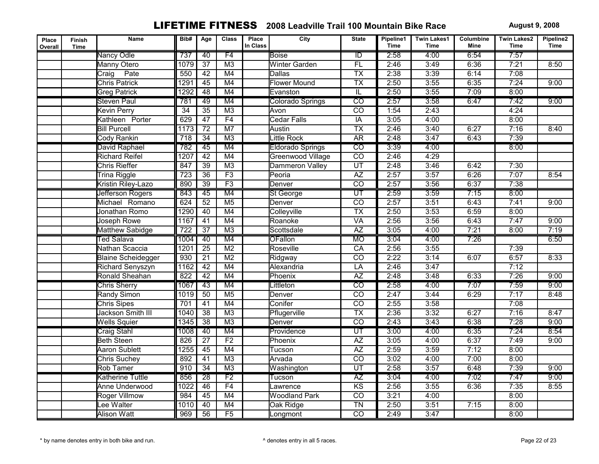| Place<br>Overall | Finish<br><b>Time</b> | Name                      | Bib#             | Age             | <b>Class</b>    | Place<br>In Class | City                     | <b>State</b>             | Pipeline1<br><b>Time</b> | <b>Twin Lakes1</b><br><b>Time</b> | Columbine<br>Mine | <b>Twin Lakes2</b><br><b>Time</b> | Pipeline2<br><b>Time</b> |
|------------------|-----------------------|---------------------------|------------------|-----------------|-----------------|-------------------|--------------------------|--------------------------|--------------------------|-----------------------------------|-------------------|-----------------------------------|--------------------------|
|                  |                       | Nancy Odle                | 737              | 40              | F4              |                   | <b>Boise</b>             | $\overline{ID}$          | 2:58                     | 4:00                              | 6:54              | 7:57                              |                          |
|                  |                       | <b>Manny Otero</b>        | 1079             | $\overline{37}$ | M <sub>3</sub>  |                   | <b>Winter Garden</b>     | FL                       | 2:46                     | 3:49                              | 6:36              | 7:21                              | 8:50                     |
|                  |                       | Pate<br>Craig             | 550              | 42              | M4              |                   | Dallas                   | $\overline{TX}$          | 2:38                     | 3:39                              | 6:14              | 7:08                              |                          |
|                  |                       | <b>Chris Patrick</b>      | 1291             | $\overline{45}$ | M4              |                   | <b>Flower Mound</b>      | $\overline{TX}$          | 2:50                     | 3:55                              | 6:35              | 7:24                              | 9:00                     |
|                  |                       | <b>Greg Patrick</b>       | 1292             | 48              | M4              |                   | Evanston                 | $\overline{\mathbb{L}}$  | 2:50                     | 3:55                              | 7:09              | 8:00                              |                          |
|                  |                       | Steven Paul               | 781              | 49              | M4              |                   | Colorado Springs         | $\overline{co}$          | 2:57                     | 3:58                              | 6:47              | 7:42                              | 9:00                     |
|                  |                       | Kevin Perry               | $\overline{34}$  | $\overline{35}$ | M <sub>3</sub>  |                   | Avon                     | $\overline{co}$          | 1:54                     | 2:43                              |                   | 4:24                              |                          |
|                  |                       | Kathleen Porter           | 629              | $\overline{47}$ | F4              |                   | <b>Cedar Falls</b>       | IA                       | 3:05                     | 4:00                              |                   | 8:00                              |                          |
|                  |                       | <b>Bill Purcell</b>       | 1173             | $\overline{72}$ | M <sub>7</sub>  |                   | Austin                   | $\overline{TX}$          | 2:46                     | 3:40                              | 6:27              | 7:16                              | 8:40                     |
|                  |                       | Cody Rankin               | 718              | $\overline{34}$ | M3              |                   | Little Rock              | <b>AR</b>                | 2:48                     | 3:47                              | 6:43              | 7:39                              |                          |
|                  |                       | David Raphael             | 782              | $\overline{45}$ | M4              |                   | Eldorado Springs         | $\overline{\mathrm{co}}$ | 3:39                     | 4:00                              |                   | 8:00                              |                          |
|                  |                       | <b>Richard Reifel</b>     | 1207             | $\overline{42}$ | M4              |                   | <b>Greenwood Village</b> | $\overline{co}$          | 2:46                     | 4:29                              |                   |                                   |                          |
|                  |                       | Chris Rieffer             | 847              | 39              | M <sub>3</sub>  |                   | Dammeron Valley          | $\overline{UT}$          | 2:48                     | 3:46                              | 6:42              | 7:30                              |                          |
|                  |                       | Trina Riggle              | 723              | $\overline{36}$ | F3              |                   | Peoria                   | $\overline{AZ}$          | 2:57                     | 3:57                              | 6:26              | 7:07                              | 8:54                     |
|                  |                       | Kristin Riley-Lazo        | 890              | $\overline{39}$ | F3              |                   | Denver                   | $\overline{co}$          | 2:57                     | 3:56                              | 6:37              | 7:38                              |                          |
|                  |                       | Jefferson Rogers          | 843              | 45              | M4              |                   | <b>St George</b>         | $\overline{\text{UT}}$   | 2:59                     | 3:59                              | 7:15              | 8:00                              |                          |
|                  |                       | Michael Romano            | 624              | $\overline{52}$ | M <sub>5</sub>  |                   | Denver                   | $\overline{co}$          | 2:57                     | 3:51                              | 6:43              | 7:41                              | 9:00                     |
|                  |                       | Jonathan Romo             | 1290             | 40              | M4              |                   | Colleyville              | $\overline{TX}$          | 2:50                     | 3:53                              | 6:59              | 8:00                              |                          |
|                  |                       | Joseph Rowe               | 1167             | $\overline{41}$ | M4              |                   | Roanoke                  | <b>VA</b>                | 2:56                     | 3:56                              | 6:43              | 7:47                              | 9:00                     |
|                  |                       | Matthew Sabidge           | $\overline{722}$ | $\overline{37}$ | M3              |                   | Scottsdale               | $\overline{AZ}$          | 3:05                     | 4:00                              | 7:21              | 8:00                              | 7:19                     |
|                  |                       | <b>Ted Salava</b>         | 1004             | 40              | M4              |                   | <b>OFallon</b>           | <b>MO</b>                | 3:04                     | 4:00                              | 7:26              |                                   | 6:50                     |
|                  |                       | Nathan Scaccia            | 1201             | $\overline{25}$ | M <sub>2</sub>  |                   | Roseville                | CA                       | 2:56                     | 3:55                              |                   | 7:39                              |                          |
|                  |                       | <b>Blaine Scheidegger</b> | 930              | $\overline{21}$ | M <sub>2</sub>  |                   | Ridgway                  | $\overline{CO}$          | 2:22                     | 3:14                              | 6:07              | 6:57                              | 8:33                     |
|                  |                       | Richard Senyszyn          | 1162             | 42              | M4              |                   | Alexandria               | $\overline{LA}$          | 2:46                     | 3:47                              |                   | 7:12                              |                          |
|                  |                       | Ronald Sheahan            | 822              | 42              | M4              |                   | Phoenix                  | AZ                       | 2:48                     | 3:48                              | 6:33              | 7:26                              | 9:00                     |
|                  |                       | <b>Chris Sherry</b>       | 1067             | 43              | M4              |                   | Littleton                | $\overline{\text{co}}$   | 2:58                     | 4:00                              | 7:07              | 7:59                              | 9:00                     |
|                  |                       | <b>Randy Simon</b>        | 1019             | $\overline{50}$ | M <sub>5</sub>  |                   | Denver                   | $\overline{co}$          | 2:47                     | 3:44                              | 6:29              | 7:17                              | 8:48                     |
|                  |                       | <b>Chris Sipes</b>        | 701              | 41              | M4              |                   | Conifer                  | $\overline{CO}$          | 2:55                     | 3:58                              |                   | 7:08                              |                          |
|                  |                       | Jackson Smith III         | 1040             | 38              | M <sub>3</sub>  |                   | Pflugerville             | $\overline{TX}$          | 2:36                     | 3:32                              | 6:27              | 7:16                              | 8:47                     |
|                  |                       | <b>Wells Squier</b>       | 1345             | $\overline{38}$ | M <sub>3</sub>  |                   | Denver                   | $\overline{co}$          | 2:43                     | 3:43                              | 6:38              | 7:28                              | 9:00                     |
|                  |                       | <b>Craig Stahl</b>        | 1008             | 40              | M4              |                   | Providence               | $\overline{\mathtt{UT}}$ | 3:00                     | 4:00                              | 6:35              | 7:24                              | 8:54                     |
|                  |                       | <b>Beth Steen</b>         | 826              | $\overline{27}$ | F <sub>2</sub>  |                   | Phoenix                  | $\overline{AZ}$          | 3:05                     | 4:00                              | 6:37              | 7:49                              | 9:00                     |
|                  |                       | <b>Aaron Sublett</b>      | 1255             | 45              | M4              |                   | Tucson                   | $\overline{AZ}$          | 2:59                     | 3:59                              | 7:12              | 8:00                              |                          |
|                  |                       | Chris Suchey              | 892              | $\overline{41}$ | M <sub>3</sub>  |                   | Arvada                   | $\overline{co}$          | 3:02                     | 4:00                              | 7:00              | 8:00                              |                          |
|                  |                       | <b>Rob Tamer</b>          | $\overline{910}$ | $\overline{34}$ | M3              |                   | Washington               | $\overline{UT}$          | 2:58                     | 3:57                              | 6:48              | 7:39                              | 9:00                     |
|                  |                       | Katherine Tuttle          | 856              | $\overline{28}$ | $\overline{F2}$ |                   | Tucson                   | $\overline{AZ}$          | 3:04                     | 4:00                              | 7:02              | 7:47                              | 9:00                     |
|                  |                       | <b>Anne Underwood</b>     | 1022             | 46              | F4              |                   | _awrence                 | KS                       | 2:56                     | 3:55                              | 6:36              | 7:35                              | 8:55                     |
|                  |                       | Roger Villmow             | 984              | 45              | M4              |                   | <b>Woodland Park</b>     | $\overline{co}$          | 3:21                     | 4:00                              |                   | 8:00                              |                          |
|                  |                       | ee Walter                 | 1010             | 40              | M4              |                   | Oak Ridge                | <b>TN</b>                | 2:50                     | 3:51                              | 7:15              | 8:00                              |                          |
|                  |                       | <b>Alison Watt</b>        | 969              | $\overline{56}$ | F5              |                   | _ongmont                 | $\overline{co}$          | 2:49                     | 3:47                              |                   | 8:00                              |                          |